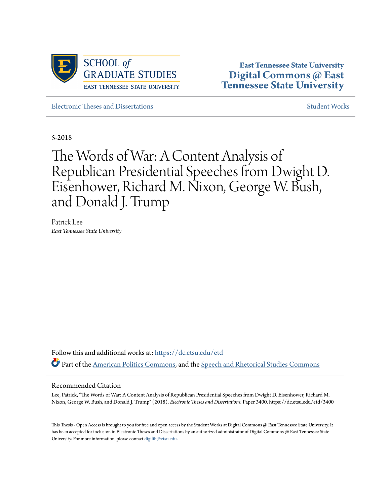

**East Tennessee State University [Digital Commons @ East](https://dc.etsu.edu?utm_source=dc.etsu.edu%2Fetd%2F3400&utm_medium=PDF&utm_campaign=PDFCoverPages) [Tennessee State University](https://dc.etsu.edu?utm_source=dc.etsu.edu%2Fetd%2F3400&utm_medium=PDF&utm_campaign=PDFCoverPages)**

[Electronic Theses and Dissertations](https://dc.etsu.edu/etd?utm_source=dc.etsu.edu%2Fetd%2F3400&utm_medium=PDF&utm_campaign=PDFCoverPages) [Student Works](https://dc.etsu.edu/student-works?utm_source=dc.etsu.edu%2Fetd%2F3400&utm_medium=PDF&utm_campaign=PDFCoverPages) Student Works Student Works

5-2018

# The Words of War: A Content Analysis of Republican Presidential Speeches from Dwight D. Eisenhower, Richard M. Nixon, George W. Bush, and Donald J. Trump

Patrick Lee *East Tennessee State University*

Follow this and additional works at: [https://dc.etsu.edu/etd](https://dc.etsu.edu/etd?utm_source=dc.etsu.edu%2Fetd%2F3400&utm_medium=PDF&utm_campaign=PDFCoverPages) Part of the [American Politics Commons](http://network.bepress.com/hgg/discipline/387?utm_source=dc.etsu.edu%2Fetd%2F3400&utm_medium=PDF&utm_campaign=PDFCoverPages), and the [Speech and Rhetorical Studies Commons](http://network.bepress.com/hgg/discipline/338?utm_source=dc.etsu.edu%2Fetd%2F3400&utm_medium=PDF&utm_campaign=PDFCoverPages)

#### Recommended Citation

Lee, Patrick, "The Words of War: A Content Analysis of Republican Presidential Speeches from Dwight D. Eisenhower, Richard M. Nixon, George W. Bush, and Donald J. Trump" (2018). *Electronic Theses and Dissertations.* Paper 3400. https://dc.etsu.edu/etd/3400

This Thesis - Open Access is brought to you for free and open access by the Student Works at Digital Commons @ East Tennessee State University. It has been accepted for inclusion in Electronic Theses and Dissertations by an authorized administrator of Digital Commons @ East Tennessee State University. For more information, please contact [digilib@etsu.edu.](mailto:digilib@etsu.edu)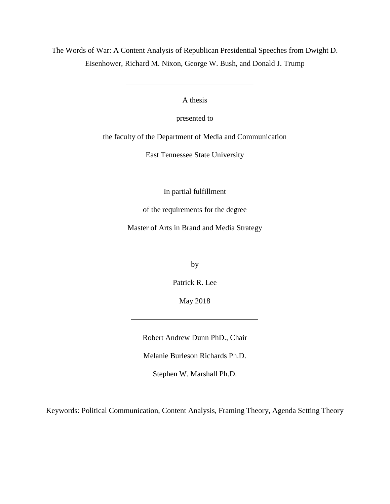The Words of War: A Content Analysis of Republican Presidential Speeches from Dwight D. Eisenhower, Richard M. Nixon, George W. Bush, and Donald J. Trump

A thesis

presented to

the faculty of the Department of Media and Communication

East Tennessee State University

In partial fulfillment

of the requirements for the degree

Master of Arts in Brand and Media Strategy

by

Patrick R. Lee

May 2018

Robert Andrew Dunn PhD., Chair

Melanie Burleson Richards Ph.D.

Stephen W. Marshall Ph.D.

Keywords: Political Communication, Content Analysis, Framing Theory, Agenda Setting Theory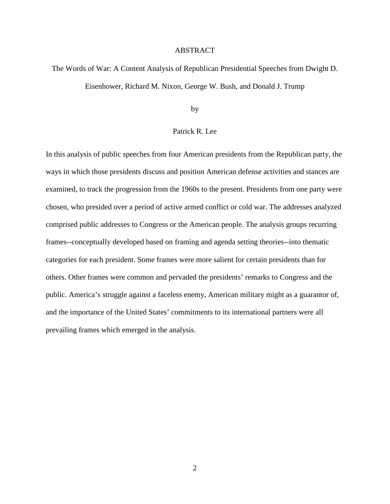#### ABSTRACT

# The Words of War: A Content Analysis of Republican Presidential Speeches from Dwight D. Eisenhower, Richard M. Nixon, George W. Bush, and Donald J. Trump

#### by

#### Patrick R. Lee

In this analysis of public speeches from four American presidents from the Republican party, the ways in which those presidents discuss and position American defense activities and stances are examined, to track the progression from the 1960s to the present. Presidents from one party were chosen, who presided over a period of active armed conflict or cold war. The addresses analyzed comprised public addresses to Congress or the American people. The analysis groups recurring frames--conceptually developed based on framing and agenda setting theories--into thematic categories for each president. Some frames were more salient for certain presidents than for others. Other frames were common and pervaded the presidents' remarks to Congress and the public. America's struggle against a faceless enemy, American military might as a guarantor of, and the importance of the United States' commitments to its international partners were all prevailing frames which emerged in the analysis.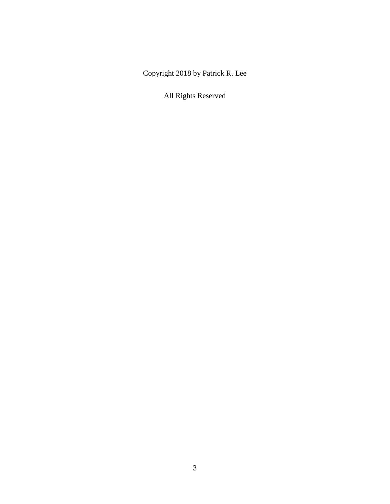Copyright 2018 by Patrick R. Lee

All Rights Reserved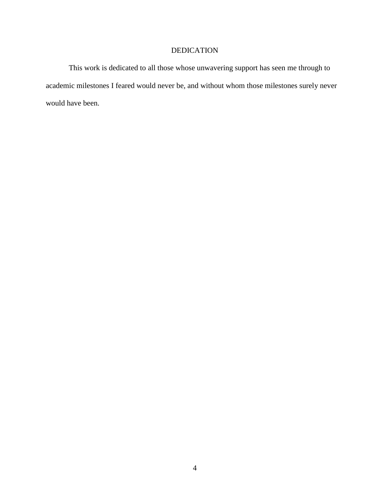### DEDICATION

<span id="page-4-0"></span>This work is dedicated to all those whose unwavering support has seen me through to academic milestones I feared would never be, and without whom those milestones surely never would have been.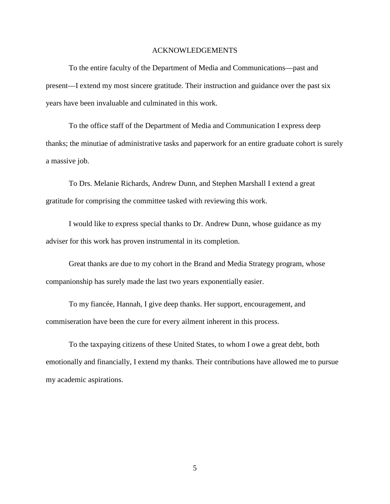#### ACKNOWLEDGEMENTS

<span id="page-5-0"></span>To the entire faculty of the Department of Media and Communications—past and present—I extend my most sincere gratitude. Their instruction and guidance over the past six years have been invaluable and culminated in this work.

To the office staff of the Department of Media and Communication I express deep thanks; the minutiae of administrative tasks and paperwork for an entire graduate cohort is surely a massive job.

To Drs. Melanie Richards, Andrew Dunn, and Stephen Marshall I extend a great gratitude for comprising the committee tasked with reviewing this work.

I would like to express special thanks to Dr. Andrew Dunn, whose guidance as my adviser for this work has proven instrumental in its completion.

Great thanks are due to my cohort in the Brand and Media Strategy program, whose companionship has surely made the last two years exponentially easier.

To my fiancée, Hannah, I give deep thanks. Her support, encouragement, and commiseration have been the cure for every ailment inherent in this process.

To the taxpaying citizens of these United States, to whom I owe a great debt, both emotionally and financially, I extend my thanks. Their contributions have allowed me to pursue my academic aspirations.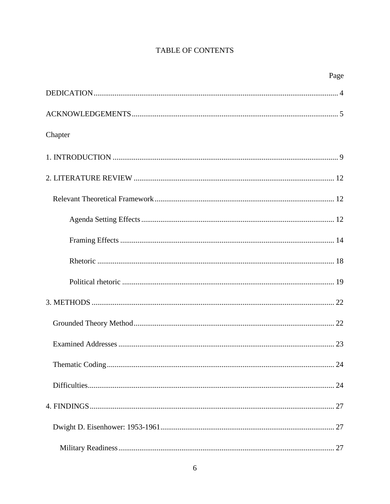## TABLE OF CONTENTS

|         | Page |
|---------|------|
|         |      |
|         |      |
| Chapter |      |
|         |      |
|         |      |
|         |      |
|         |      |
|         |      |
|         |      |
|         |      |
|         |      |
|         |      |
|         |      |
|         |      |
|         |      |
|         |      |
|         |      |
|         |      |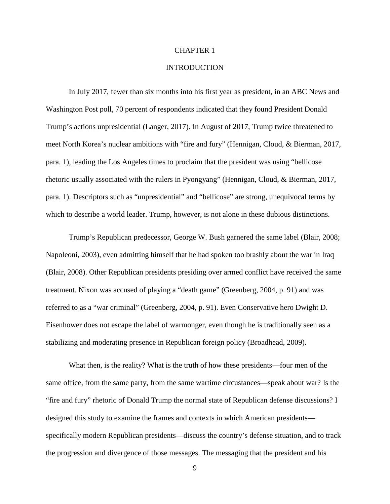#### CHAPTER 1

#### INTRODUCTION

<span id="page-9-0"></span>In July 2017, fewer than six months into his first year as president, in an ABC News and Washington Post poll, 70 percent of respondents indicated that they found President Donald Trump's actions unpresidential (Langer, 2017). In August of 2017, Trump twice threatened to meet North Korea's nuclear ambitions with "fire and fury" (Hennigan, Cloud, & Bierman, 2017, para. 1), leading the Los Angeles times to proclaim that the president was using "bellicose rhetoric usually associated with the rulers in Pyongyang" (Hennigan, Cloud, & Bierman, 2017, para. 1). Descriptors such as "unpresidential" and "bellicose" are strong, unequivocal terms by which to describe a world leader. Trump, however, is not alone in these dubious distinctions.

Trump's Republican predecessor, George W. Bush garnered the same label (Blair, 2008; Napoleoni, 2003), even admitting himself that he had spoken too brashly about the war in Iraq (Blair, 2008). Other Republican presidents presiding over armed conflict have received the same treatment. Nixon was accused of playing a "death game" (Greenberg, 2004, p. 91) and was referred to as a "war criminal" (Greenberg, 2004, p. 91). Even Conservative hero Dwight D. Eisenhower does not escape the label of warmonger, even though he is traditionally seen as a stabilizing and moderating presence in Republican foreign policy (Broadhead, 2009).

What then, is the reality? What is the truth of how these presidents—four men of the same office, from the same party, from the same wartime circustances—speak about war? Is the "fire and fury" rhetoric of Donald Trump the normal state of Republican defense discussions? I designed this study to examine the frames and contexts in which American presidents specifically modern Republican presidents—discuss the country's defense situation, and to track the progression and divergence of those messages. The messaging that the president and his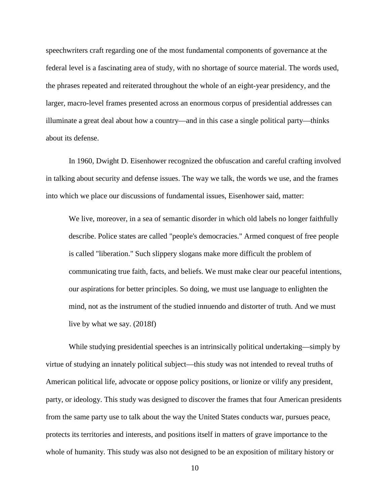speechwriters craft regarding one of the most fundamental components of governance at the federal level is a fascinating area of study, with no shortage of source material. The words used, the phrases repeated and reiterated throughout the whole of an eight-year presidency, and the larger, macro-level frames presented across an enormous corpus of presidential addresses can illuminate a great deal about how a country—and in this case a single political party—thinks about its defense.

In 1960, Dwight D. Eisenhower recognized the obfuscation and careful crafting involved in talking about security and defense issues. The way we talk, the words we use, and the frames into which we place our discussions of fundamental issues, Eisenhower said, matter:

We live, moreover, in a sea of semantic disorder in which old labels no longer faithfully describe. Police states are called "people's democracies." Armed conquest of free people is called "liberation." Such slippery slogans make more difficult the problem of communicating true faith, facts, and beliefs. We must make clear our peaceful intentions, our aspirations for better principles. So doing, we must use language to enlighten the mind, not as the instrument of the studied innuendo and distorter of truth. And we must live by what we say. (2018f)

While studying presidential speeches is an intrinsically political undertaking—simply by virtue of studying an innately political subject—this study was not intended to reveal truths of American political life, advocate or oppose policy positions, or lionize or vilify any president, party, or ideology. This study was designed to discover the frames that four American presidents from the same party use to talk about the way the United States conducts war, pursues peace, protects its territories and interests, and positions itself in matters of grave importance to the whole of humanity. This study was also not designed to be an exposition of military history or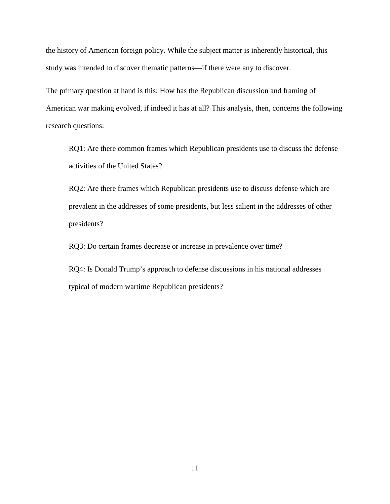the history of American foreign policy. While the subject matter is inherently historical, this study was intended to discover thematic patterns—if there were any to discover.

The primary question at hand is this: How has the Republican discussion and framing of American war making evolved, if indeed it has at all? This analysis, then, concerns the following research questions:

RQ1: Are there common frames which Republican presidents use to discuss the defense activities of the United States?

RQ2: Are there frames which Republican presidents use to discuss defense which are prevalent in the addresses of some presidents, but less salient in the addresses of other presidents?

RQ3: Do certain frames decrease or increase in prevalence over time?

RQ4: Is Donald Trump's approach to defense discussions in his national addresses typical of modern wartime Republican presidents?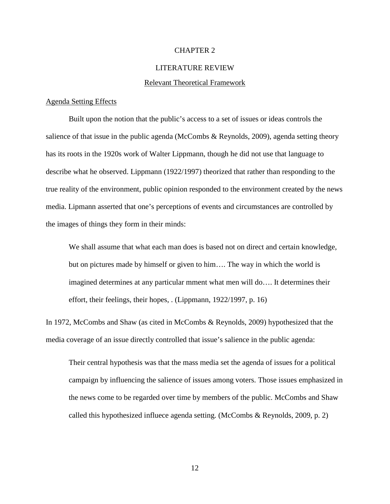#### CHAPTER 2

#### LITERATURE REVIEW

#### Relevant Theoretical Framework

#### <span id="page-12-2"></span><span id="page-12-1"></span><span id="page-12-0"></span>Agenda Setting Effects

Built upon the notion that the public's access to a set of issues or ideas controls the salience of that issue in the public agenda (McCombs & Reynolds, 2009), agenda setting theory has its roots in the 1920s work of Walter Lippmann, though he did not use that language to describe what he observed. Lippmann (1922/1997) theorized that rather than responding to the true reality of the environment, public opinion responded to the environment created by the news media. Lipmann asserted that one's perceptions of events and circumstances are controlled by the images of things they form in their minds:

We shall assume that what each man does is based not on direct and certain knowledge, but on pictures made by himself or given to him…. The way in which the world is imagined determines at any particular mment what men will do…. It determines their effort, their feelings, their hopes, . (Lippmann, 1922/1997, p. 16)

In 1972, McCombs and Shaw (as cited in McCombs & Reynolds, 2009) hypothesized that the media coverage of an issue directly controlled that issue's salience in the public agenda:

Their central hypothesis was that the mass media set the agenda of issues for a political campaign by influencing the salience of issues among voters. Those issues emphasized in the news come to be regarded over time by members of the public. McCombs and Shaw called this hypothesized influece agenda setting. (McCombs & Reynolds, 2009, p. 2)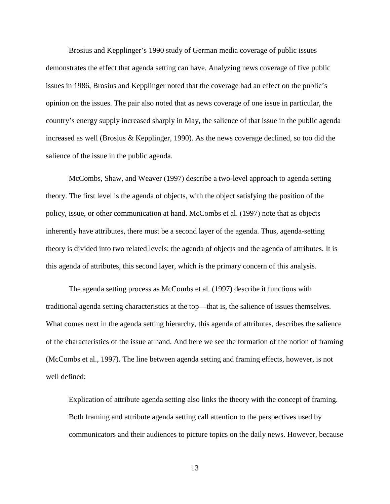Brosius and Kepplinger's 1990 study of German media coverage of public issues demonstrates the effect that agenda setting can have. Analyzing news coverage of five public issues in 1986, Brosius and Kepplinger noted that the coverage had an effect on the public's opinion on the issues. The pair also noted that as news coverage of one issue in particular, the country's energy supply increased sharply in May, the salience of that issue in the public agenda increased as well (Brosius & Kepplinger, 1990). As the news coverage declined, so too did the salience of the issue in the public agenda.

McCombs, Shaw, and Weaver (1997) describe a two-level approach to agenda setting theory. The first level is the agenda of objects, with the object satisfying the position of the policy, issue, or other communication at hand. McCombs et al. (1997) note that as objects inherently have attributes, there must be a second layer of the agenda. Thus, agenda-setting theory is divided into two related levels: the agenda of objects and the agenda of attributes. It is this agenda of attributes, this second layer, which is the primary concern of this analysis.

The agenda setting process as McCombs et al. (1997) describe it functions with traditional agenda setting characteristics at the top—that is, the salience of issues themselves. What comes next in the agenda setting hierarchy, this agenda of attributes, describes the salience of the characteristics of the issue at hand. And here we see the formation of the notion of framing (McCombs et al., 1997). The line between agenda setting and framing effects, however, is not well defined:

Explication of attribute agenda setting also links the theory with the concept of framing. Both framing and attribute agenda setting call attention to the perspectives used by communicators and their audiences to picture topics on the daily news. However, because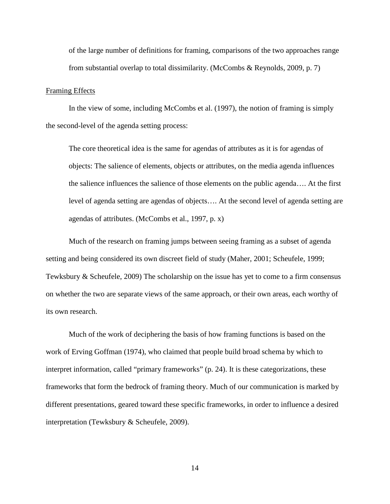of the large number of definitions for framing, comparisons of the two approaches range from substantial overlap to total dissimilarity. (McCombs & Reynolds, 2009, p. 7)

#### <span id="page-14-0"></span>Framing Effects

In the view of some, including McCombs et al. (1997), the notion of framing is simply the second-level of the agenda setting process:

The core theoretical idea is the same for agendas of attributes as it is for agendas of objects: The salience of elements, objects or attributes, on the media agenda influences the salience influences the salience of those elements on the public agenda…. At the first level of agenda setting are agendas of objects…. At the second level of agenda setting are agendas of attributes. (McCombs et al., 1997, p. x)

Much of the research on framing jumps between seeing framing as a subset of agenda setting and being considered its own discreet field of study (Maher, 2001; Scheufele, 1999; Tewksbury & Scheufele, 2009) The scholarship on the issue has yet to come to a firm consensus on whether the two are separate views of the same approach, or their own areas, each worthy of its own research.

Much of the work of deciphering the basis of how framing functions is based on the work of Erving Goffman (1974), who claimed that people build broad schema by which to interpret information, called "primary frameworks" (p. 24). It is these categorizations, these frameworks that form the bedrock of framing theory. Much of our communication is marked by different presentations, geared toward these specific frameworks, in order to influence a desired interpretation (Tewksbury & Scheufele, 2009).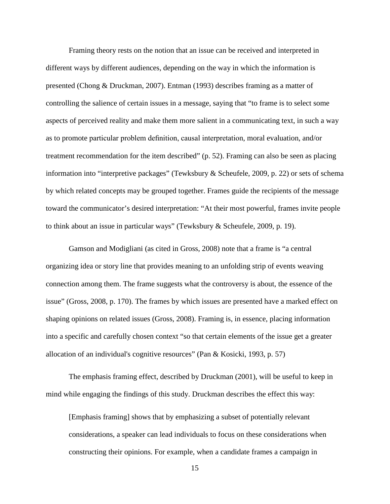Framing theory rests on the notion that an issue can be received and interpreted in different ways by different audiences, depending on the way in which the information is presented (Chong & Druckman, 2007). Entman (1993) describes framing as a matter of controlling the salience of certain issues in a message, saying that "to frame is to select some aspects of perceived reality and make them more salient in a communicating text, in such a way as to promote particular problem definition, causal interpretation, moral evaluation, and/or treatment recommendation for the item described" (p. 52). Framing can also be seen as placing information into "interpretive packages" (Tewksbury & Scheufele, 2009, p. 22) or sets of schema by which related concepts may be grouped together. Frames guide the recipients of the message toward the communicator's desired interpretation: "At their most powerful, frames invite people to think about an issue in particular ways" (Tewksbury & Scheufele, 2009, p. 19).

Gamson and Modigliani (as cited in Gross, 2008) note that a frame is "a central organizing idea or story line that provides meaning to an unfolding strip of events weaving connection among them. The frame suggests what the controversy is about, the essence of the issue" (Gross, 2008, p. 170). The frames by which issues are presented have a marked effect on shaping opinions on related issues (Gross, 2008). Framing is, in essence, placing information into a specific and carefully chosen context "so that certain elements of the issue get a greater allocation of an individual's cognitive resources" (Pan & Kosicki, 1993, p. 57)

The emphasis framing effect, described by Druckman (2001), will be useful to keep in mind while engaging the findings of this study. Druckman describes the effect this way:

[Emphasis framing] shows that by emphasizing a subset of potentially relevant considerations, a speaker can lead individuals to focus on these considerations when constructing their opinions. For example, when a candidate frames a campaign in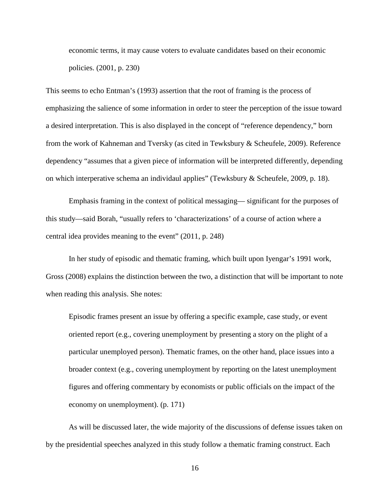economic terms, it may cause voters to evaluate candidates based on their economic policies. (2001, p. 230)

This seems to echo Entman's (1993) assertion that the root of framing is the process of emphasizing the salience of some information in order to steer the perception of the issue toward a desired interpretation. This is also displayed in the concept of "reference dependency," born from the work of Kahneman and Tversky (as cited in Tewksbury & Scheufele, 2009). Reference dependency "assumes that a given piece of information will be interpreted differently, depending on which interperative schema an individaul applies" (Tewksbury & Scheufele, 2009, p. 18).

Emphasis framing in the context of political messaging— significant for the purposes of this study—said Borah, "usually refers to 'characterizations' of a course of action where a central idea provides meaning to the event" (2011, p. 248)

In her study of episodic and thematic framing, which built upon Iyengar's 1991 work, Gross (2008) explains the distinction between the two, a distinction that will be important to note when reading this analysis. She notes:

Episodic frames present an issue by offering a specific example, case study, or event oriented report (e.g., covering unemployment by presenting a story on the plight of a particular unemployed person). Thematic frames, on the other hand, place issues into a broader context (e.g., covering unemployment by reporting on the latest unemployment figures and offering commentary by economists or public officials on the impact of the economy on unemployment). (p. 171)

As will be discussed later, the wide majority of the discussions of defense issues taken on by the presidential speeches analyzed in this study follow a thematic framing construct. Each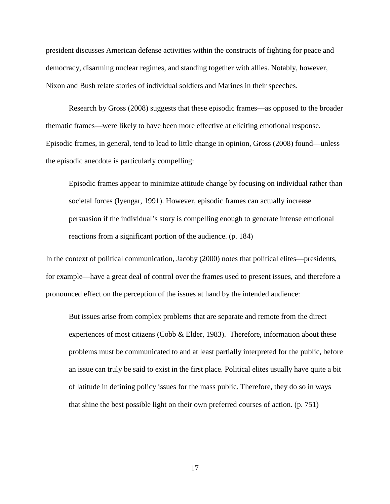president discusses American defense activities within the constructs of fighting for peace and democracy, disarming nuclear regimes, and standing together with allies. Notably, however, Nixon and Bush relate stories of individual soldiers and Marines in their speeches.

Research by Gross (2008) suggests that these episodic frames—as opposed to the broader thematic frames—were likely to have been more effective at eliciting emotional response. Episodic frames, in general, tend to lead to little change in opinion, Gross (2008) found—unless the episodic anecdote is particularly compelling:

Episodic frames appear to minimize attitude change by focusing on individual rather than societal forces (Iyengar, 1991). However, episodic frames can actually increase persuasion if the individual's story is compelling enough to generate intense emotional reactions from a significant portion of the audience. (p. 184)

In the context of political communication, Jacoby (2000) notes that political elites—presidents, for example—have a great deal of control over the frames used to present issues, and therefore a pronounced effect on the perception of the issues at hand by the intended audience:

But issues arise from complex problems that are separate and remote from the direct experiences of most citizens (Cobb & Elder, 1983). Therefore, information about these problems must be communicated to and at least partially interpreted for the public, before an issue can truly be said to exist in the first place. Political elites usually have quite a bit of latitude in defining policy issues for the mass public. Therefore, they do so in ways that shine the best possible light on their own preferred courses of action. (p. 751)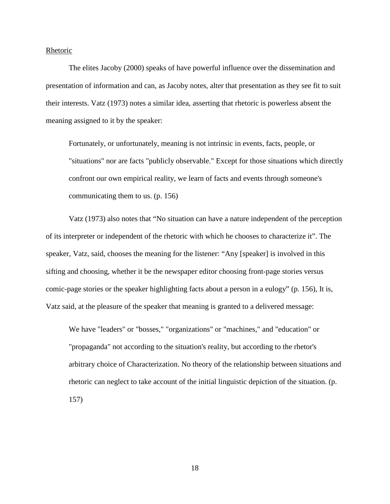<span id="page-18-0"></span>Rhetoric

The elites Jacoby (2000) speaks of have powerful influence over the dissemination and presentation of information and can, as Jacoby notes, alter that presentation as they see fit to suit their interests. Vatz (1973) notes a similar idea, asserting that rhetoric is powerless absent the meaning assigned to it by the speaker:

Fortunately, or unfortunately, meaning is not intrinsic in events, facts, people, or "situations" nor are facts "publicly observable." Except for those situations which directly confront our own empirical reality, we learn of facts and events through someone's communicating them to us. (p. 156)

Vatz (1973) also notes that "No situation can have a nature independent of the perception of its interpreter or independent of the rhetoric with which he chooses to characterize it". The speaker, Vatz, said, chooses the meaning for the listener: "Any [speaker] is involved in this sifting and choosing, whether it be the newspaper editor choosing front-page stories versus comic-page stories or the speaker highlighting facts about a person in a eulogy" (p. 156), It is, Vatz said, at the pleasure of the speaker that meaning is granted to a delivered message:

We have "leaders" or "bosses," "organizations" or "machines," and "education" or "propaganda" not according to the situation's reality, but according to the rhetor's arbitrary choice of Characterization. No theory of the relationship between situations and rhetoric can neglect to take account of the initial linguistic depiction of the situation. (p. 157)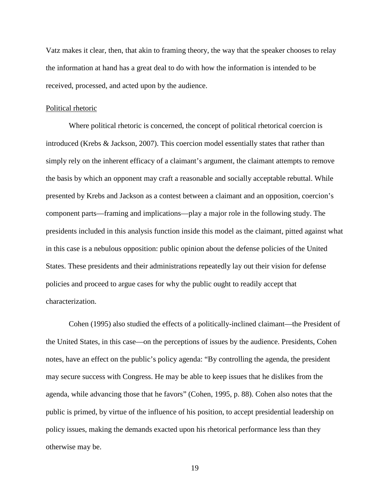Vatz makes it clear, then, that akin to framing theory, the way that the speaker chooses to relay the information at hand has a great deal to do with how the information is intended to be received, processed, and acted upon by the audience.

#### <span id="page-19-0"></span>Political rhetoric

Where political rhetoric is concerned, the concept of political rhetorical coercion is introduced (Krebs & Jackson, 2007). This coercion model essentially states that rather than simply rely on the inherent efficacy of a claimant's argument, the claimant attempts to remove the basis by which an opponent may craft a reasonable and socially acceptable rebuttal. While presented by Krebs and Jackson as a contest between a claimant and an opposition, coercion's component parts—framing and implications—play a major role in the following study. The presidents included in this analysis function inside this model as the claimant, pitted against what in this case is a nebulous opposition: public opinion about the defense policies of the United States. These presidents and their administrations repeatedly lay out their vision for defense policies and proceed to argue cases for why the public ought to readily accept that characterization.

Cohen (1995) also studied the effects of a politically-inclined claimant—the President of the United States, in this case—on the perceptions of issues by the audience. Presidents, Cohen notes, have an effect on the public's policy agenda: "By controlling the agenda, the president may secure success with Congress. He may be able to keep issues that he dislikes from the agenda, while advancing those that he favors" (Cohen, 1995, p. 88). Cohen also notes that the public is primed, by virtue of the influence of his position, to accept presidential leadership on policy issues, making the demands exacted upon his rhetorical performance less than they otherwise may be.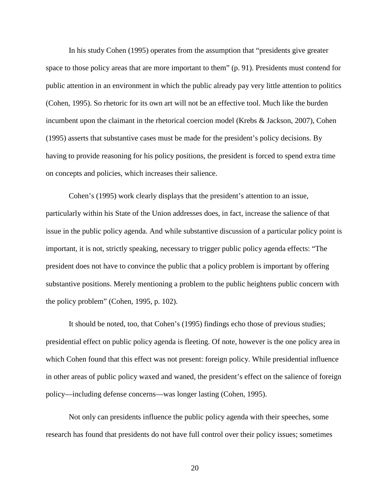In his study Cohen (1995) operates from the assumption that "presidents give greater space to those policy areas that are more important to them" (p. 91). Presidents must contend for public attention in an environment in which the public already pay very little attention to politics (Cohen, 1995). So rhetoric for its own art will not be an effective tool. Much like the burden incumbent upon the claimant in the rhetorical coercion model (Krebs & Jackson, 2007), Cohen (1995) asserts that substantive cases must be made for the president's policy decisions. By having to provide reasoning for his policy positions, the president is forced to spend extra time on concepts and policies, which increases their salience.

Cohen's (1995) work clearly displays that the president's attention to an issue, particularly within his State of the Union addresses does, in fact, increase the salience of that issue in the public policy agenda. And while substantive discussion of a particular policy point is important, it is not, strictly speaking, necessary to trigger public policy agenda effects: "The president does not have to convince the public that a policy problem is important by offering substantive positions. Merely mentioning a problem to the public heightens public concern with the policy problem" (Cohen, 1995, p. 102).

It should be noted, too, that Cohen's (1995) findings echo those of previous studies; presidential effect on public policy agenda is fleeting. Of note, however is the one policy area in which Cohen found that this effect was not present: foreign policy. While presidential influence in other areas of public policy waxed and waned, the president's effect on the salience of foreign policy—including defense concerns—was longer lasting (Cohen, 1995).

Not only can presidents influence the public policy agenda with their speeches, some research has found that presidents do not have full control over their policy issues; sometimes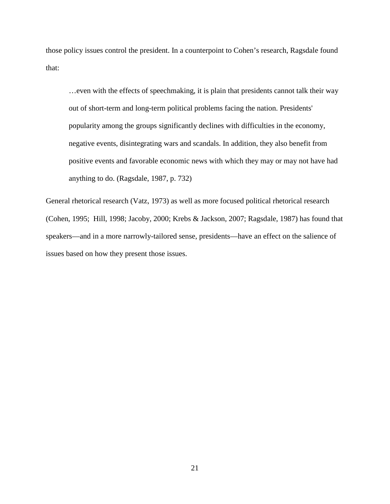those policy issues control the president. In a counterpoint to Cohen's research, Ragsdale found that:

…even with the effects of speechmaking, it is plain that presidents cannot talk their way out of short-term and long-term political problems facing the nation. Presidents' popularity among the groups significantly declines with difficulties in the economy, negative events, disintegrating wars and scandals. In addition, they also benefit from positive events and favorable economic news with which they may or may not have had anything to do. (Ragsdale, 1987, p. 732)

General rhetorical research (Vatz, 1973) as well as more focused political rhetorical research (Cohen, 1995; Hill, 1998; Jacoby, 2000; Krebs & Jackson, 2007; Ragsdale, 1987) has found that speakers—and in a more narrowly-tailored sense, presidents—have an effect on the salience of issues based on how they present those issues.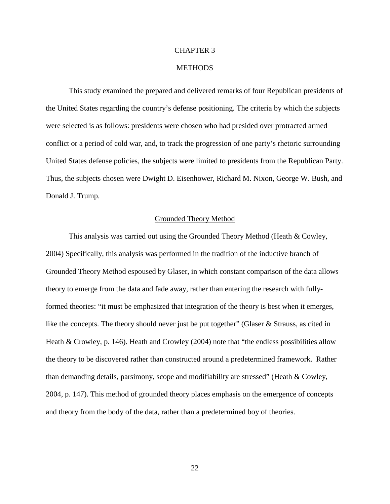#### CHAPTER 3

#### **METHODS**

<span id="page-22-0"></span>This study examined the prepared and delivered remarks of four Republican presidents of the United States regarding the country's defense positioning. The criteria by which the subjects were selected is as follows: presidents were chosen who had presided over protracted armed conflict or a period of cold war, and, to track the progression of one party's rhetoric surrounding United States defense policies, the subjects were limited to presidents from the Republican Party. Thus, the subjects chosen were Dwight D. Eisenhower, Richard M. Nixon, George W. Bush, and Donald J. Trump.

#### Grounded Theory Method

<span id="page-22-1"></span>This analysis was carried out using the Grounded Theory Method (Heath & Cowley, 2004) Specifically, this analysis was performed in the tradition of the inductive branch of Grounded Theory Method espoused by Glaser, in which constant comparison of the data allows theory to emerge from the data and fade away, rather than entering the research with fullyformed theories: "it must be emphasized that integration of the theory is best when it emerges, like the concepts. The theory should never just be put together" (Glaser & Strauss, as cited in Heath & Crowley, p. 146). Heath and Crowley (2004) note that "the endless possibilities allow the theory to be discovered rather than constructed around a predetermined framework. Rather than demanding details, parsimony, scope and modifiability are stressed" (Heath & Cowley, 2004, p. 147). This method of grounded theory places emphasis on the emergence of concepts and theory from the body of the data, rather than a predetermined boy of theories.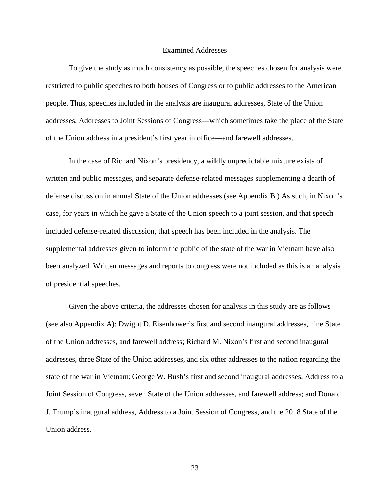#### Examined Addresses

<span id="page-23-0"></span>To give the study as much consistency as possible, the speeches chosen for analysis were restricted to public speeches to both houses of Congress or to public addresses to the American people. Thus, speeches included in the analysis are inaugural addresses, State of the Union addresses, Addresses to Joint Sessions of Congress—which sometimes take the place of the State of the Union address in a president's first year in office—and farewell addresses.

In the case of Richard Nixon's presidency, a wildly unpredictable mixture exists of written and public messages, and separate defense-related messages supplementing a dearth of defense discussion in annual State of the Union addresses (see Appendix B.) As such, in Nixon's case, for years in which he gave a State of the Union speech to a joint session, and that speech included defense-related discussion, that speech has been included in the analysis. The supplemental addresses given to inform the public of the state of the war in Vietnam have also been analyzed. Written messages and reports to congress were not included as this is an analysis of presidential speeches.

Given the above criteria, the addresses chosen for analysis in this study are as follows (see also Appendix A): Dwight D. Eisenhower's first and second inaugural addresses, nine State of the Union addresses, and farewell address; Richard M. Nixon's first and second inaugural addresses, three State of the Union addresses, and six other addresses to the nation regarding the state of the war in Vietnam; George W. Bush's first and second inaugural addresses, Address to a Joint Session of Congress, seven State of the Union addresses, and farewell address; and Donald J. Trump's inaugural address, Address to a Joint Session of Congress, and the 2018 State of the Union address.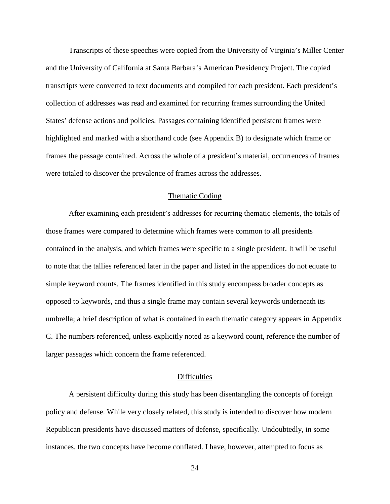Transcripts of these speeches were copied from the University of Virginia's Miller Center and the University of California at Santa Barbara's American Presidency Project. The copied transcripts were converted to text documents and compiled for each president. Each president's collection of addresses was read and examined for recurring frames surrounding the United States' defense actions and policies. Passages containing identified persistent frames were highlighted and marked with a shorthand code (see Appendix B) to designate which frame or frames the passage contained. Across the whole of a president's material, occurrences of frames were totaled to discover the prevalence of frames across the addresses.

#### Thematic Coding

<span id="page-24-0"></span>After examining each president's addresses for recurring thematic elements, the totals of those frames were compared to determine which frames were common to all presidents contained in the analysis, and which frames were specific to a single president. It will be useful to note that the tallies referenced later in the paper and listed in the appendices do not equate to simple keyword counts. The frames identified in this study encompass broader concepts as opposed to keywords, and thus a single frame may contain several keywords underneath its umbrella; a brief description of what is contained in each thematic category appears in Appendix C. The numbers referenced, unless explicitly noted as a keyword count, reference the number of larger passages which concern the frame referenced.

#### **Difficulties**

<span id="page-24-1"></span>A persistent difficulty during this study has been disentangling the concepts of foreign policy and defense. While very closely related, this study is intended to discover how modern Republican presidents have discussed matters of defense, specifically. Undoubtedly, in some instances, the two concepts have become conflated. I have, however, attempted to focus as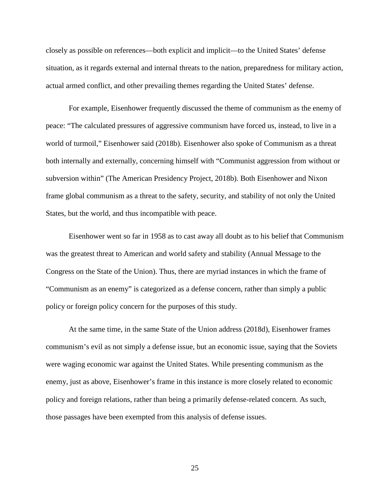closely as possible on references—both explicit and implicit—to the United States' defense situation, as it regards external and internal threats to the nation, preparedness for military action, actual armed conflict, and other prevailing themes regarding the United States' defense.

For example, Eisenhower frequently discussed the theme of communism as the enemy of peace: "The calculated pressures of aggressive communism have forced us, instead, to live in a world of turmoil," Eisenhower said (2018b). Eisenhower also spoke of Communism as a threat both internally and externally, concerning himself with "Communist aggression from without or subversion within" (The American Presidency Project, 2018b). Both Eisenhower and Nixon frame global communism as a threat to the safety, security, and stability of not only the United States, but the world, and thus incompatible with peace.

Eisenhower went so far in 1958 as to cast away all doubt as to his belief that Communism was the greatest threat to American and world safety and stability (Annual Message to the Congress on the State of the Union). Thus, there are myriad instances in which the frame of "Communism as an enemy" is categorized as a defense concern, rather than simply a public policy or foreign policy concern for the purposes of this study.

At the same time, in the same State of the Union address (2018d), Eisenhower frames communism's evil as not simply a defense issue, but an economic issue, saying that the Soviets were waging economic war against the United States. While presenting communism as the enemy, just as above, Eisenhower's frame in this instance is more closely related to economic policy and foreign relations, rather than being a primarily defense-related concern. As such, those passages have been exempted from this analysis of defense issues.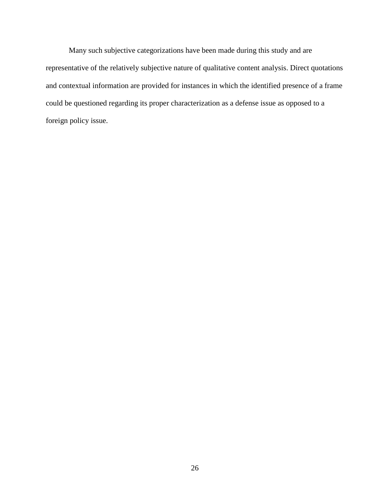<span id="page-26-0"></span>Many such subjective categorizations have been made during this study and are representative of the relatively subjective nature of qualitative content analysis. Direct quotations and contextual information are provided for instances in which the identified presence of a frame could be questioned regarding its proper characterization as a defense issue as opposed to a foreign policy issue.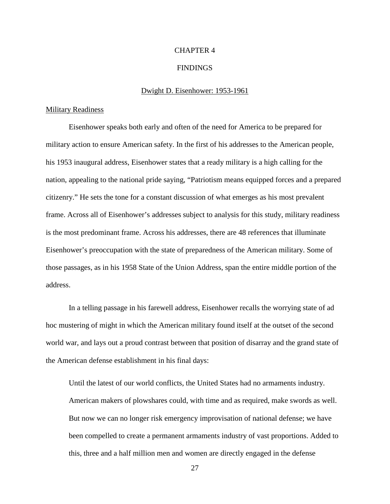#### CHAPTER 4

#### FINDINGS

#### Dwight D. Eisenhower: 1953-1961

#### <span id="page-27-1"></span><span id="page-27-0"></span>**Military Readiness**

Eisenhower speaks both early and often of the need for America to be prepared for military action to ensure American safety. In the first of his addresses to the American people, his 1953 inaugural address, Eisenhower states that a ready military is a high calling for the nation, appealing to the national pride saying, "Patriotism means equipped forces and a prepared citizenry." He sets the tone for a constant discussion of what emerges as his most prevalent frame. Across all of Eisenhower's addresses subject to analysis for this study, military readiness is the most predominant frame. Across his addresses, there are 48 references that illuminate Eisenhower's preoccupation with the state of preparedness of the American military. Some of those passages, as in his 1958 State of the Union Address, span the entire middle portion of the address.

In a telling passage in his farewell address, Eisenhower recalls the worrying state of ad hoc mustering of might in which the American military found itself at the outset of the second world war, and lays out a proud contrast between that position of disarray and the grand state of the American defense establishment in his final days:

Until the latest of our world conflicts, the United States had no armaments industry. American makers of plowshares could, with time and as required, make swords as well. But now we can no longer risk emergency improvisation of national defense; we have been compelled to create a permanent armaments industry of vast proportions. Added to this, three and a half million men and women are directly engaged in the defense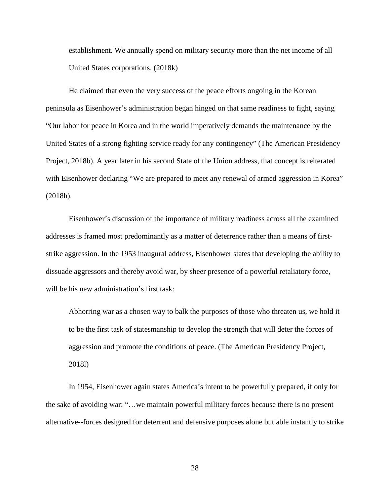establishment. We annually spend on military security more than the net income of all United States corporations. (2018k)

He claimed that even the very success of the peace efforts ongoing in the Korean peninsula as Eisenhower's administration began hinged on that same readiness to fight, saying "Our labor for peace in Korea and in the world imperatively demands the maintenance by the United States of a strong fighting service ready for any contingency" (The American Presidency Project, 2018b). A year later in his second State of the Union address, that concept is reiterated with Eisenhower declaring "We are prepared to meet any renewal of armed aggression in Korea" (2018h).

Eisenhower's discussion of the importance of military readiness across all the examined addresses is framed most predominantly as a matter of deterrence rather than a means of firststrike aggression. In the 1953 inaugural address, Eisenhower states that developing the ability to dissuade aggressors and thereby avoid war, by sheer presence of a powerful retaliatory force, will be his new administration's first task:

Abhorring war as a chosen way to balk the purposes of those who threaten us, we hold it to be the first task of statesmanship to develop the strength that will deter the forces of aggression and promote the conditions of peace. (The American Presidency Project, 2018l)

In 1954, Eisenhower again states America's intent to be powerfully prepared, if only for the sake of avoiding war: "…we maintain powerful military forces because there is no present alternative--forces designed for deterrent and defensive purposes alone but able instantly to strike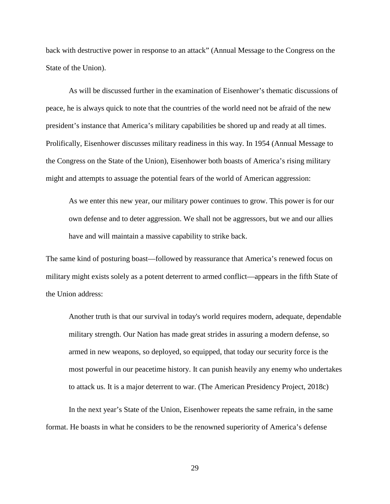back with destructive power in response to an attack" (Annual Message to the Congress on the State of the Union).

As will be discussed further in the examination of Eisenhower's thematic discussions of peace, he is always quick to note that the countries of the world need not be afraid of the new president's instance that America's military capabilities be shored up and ready at all times. Prolifically, Eisenhower discusses military readiness in this way. In 1954 (Annual Message to the Congress on the State of the Union), Eisenhower both boasts of America's rising military might and attempts to assuage the potential fears of the world of American aggression:

As we enter this new year, our military power continues to grow. This power is for our own defense and to deter aggression. We shall not be aggressors, but we and our allies have and will maintain a massive capability to strike back.

The same kind of posturing boast—followed by reassurance that America's renewed focus on military might exists solely as a potent deterrent to armed conflict—appears in the fifth State of the Union address:

Another truth is that our survival in today's world requires modern, adequate, dependable military strength. Our Nation has made great strides in assuring a modern defense, so armed in new weapons, so deployed, so equipped, that today our security force is the most powerful in our peacetime history. It can punish heavily any enemy who undertakes to attack us. It is a major deterrent to war. (The American Presidency Project, 2018c)

In the next year's State of the Union, Eisenhower repeats the same refrain, in the same format. He boasts in what he considers to be the renowned superiority of America's defense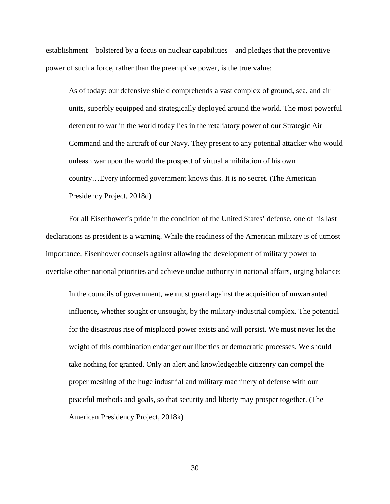establishment—bolstered by a focus on nuclear capabilities—and pledges that the preventive power of such a force, rather than the preemptive power, is the true value:

As of today: our defensive shield comprehends a vast complex of ground, sea, and air units, superbly equipped and strategically deployed around the world. The most powerful deterrent to war in the world today lies in the retaliatory power of our Strategic Air Command and the aircraft of our Navy. They present to any potential attacker who would unleash war upon the world the prospect of virtual annihilation of his own country…Every informed government knows this. It is no secret. (The American Presidency Project, 2018d)

For all Eisenhower's pride in the condition of the United States' defense, one of his last declarations as president is a warning. While the readiness of the American military is of utmost importance, Eisenhower counsels against allowing the development of military power to overtake other national priorities and achieve undue authority in national affairs, urging balance:

In the councils of government, we must guard against the acquisition of unwarranted influence, whether sought or unsought, by the military-industrial complex. The potential for the disastrous rise of misplaced power exists and will persist. We must never let the weight of this combination endanger our liberties or democratic processes. We should take nothing for granted. Only an alert and knowledgeable citizenry can compel the proper meshing of the huge industrial and military machinery of defense with our peaceful methods and goals, so that security and liberty may prosper together. (The American Presidency Project, 2018k)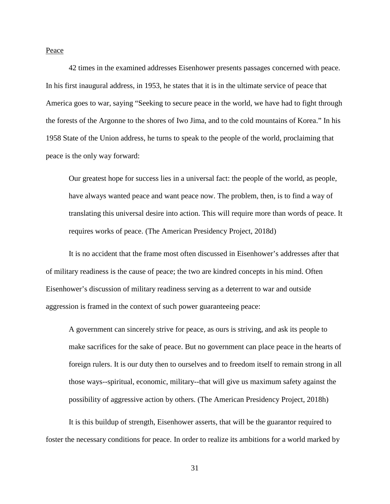<span id="page-31-0"></span>Peace

42 times in the examined addresses Eisenhower presents passages concerned with peace. In his first inaugural address, in 1953, he states that it is in the ultimate service of peace that America goes to war, saying "Seeking to secure peace in the world, we have had to fight through the forests of the Argonne to the shores of Iwo Jima, and to the cold mountains of Korea." In his 1958 State of the Union address, he turns to speak to the people of the world, proclaiming that peace is the only way forward:

Our greatest hope for success lies in a universal fact: the people of the world, as people, have always wanted peace and want peace now. The problem, then, is to find a way of translating this universal desire into action. This will require more than words of peace. It requires works of peace. (The American Presidency Project, 2018d)

It is no accident that the frame most often discussed in Eisenhower's addresses after that of military readiness is the cause of peace; the two are kindred concepts in his mind. Often Eisenhower's discussion of military readiness serving as a deterrent to war and outside aggression is framed in the context of such power guaranteeing peace:

A government can sincerely strive for peace, as ours is striving, and ask its people to make sacrifices for the sake of peace. But no government can place peace in the hearts of foreign rulers. It is our duty then to ourselves and to freedom itself to remain strong in all those ways--spiritual, economic, military--that will give us maximum safety against the possibility of aggressive action by others. (The American Presidency Project, 2018h)

It is this buildup of strength, Eisenhower asserts, that will be the guarantor required to foster the necessary conditions for peace. In order to realize its ambitions for a world marked by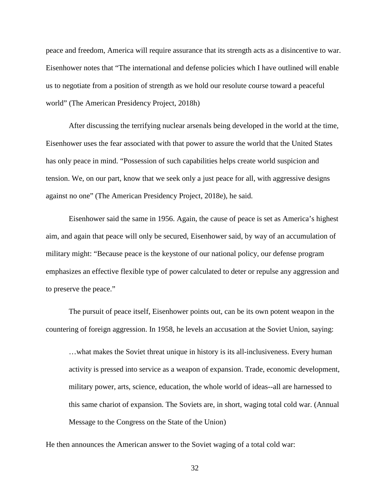peace and freedom, America will require assurance that its strength acts as a disincentive to war. Eisenhower notes that "The international and defense policies which I have outlined will enable us to negotiate from a position of strength as we hold our resolute course toward a peaceful world" (The American Presidency Project, 2018h)

After discussing the terrifying nuclear arsenals being developed in the world at the time, Eisenhower uses the fear associated with that power to assure the world that the United States has only peace in mind. "Possession of such capabilities helps create world suspicion and tension. We, on our part, know that we seek only a just peace for all, with aggressive designs against no one" (The American Presidency Project, 2018e), he said.

Eisenhower said the same in 1956. Again, the cause of peace is set as America's highest aim, and again that peace will only be secured, Eisenhower said, by way of an accumulation of military might: "Because peace is the keystone of our national policy, our defense program emphasizes an effective flexible type of power calculated to deter or repulse any aggression and to preserve the peace."

The pursuit of peace itself, Eisenhower points out, can be its own potent weapon in the countering of foreign aggression. In 1958, he levels an accusation at the Soviet Union, saying:

…what makes the Soviet threat unique in history is its all-inclusiveness. Every human activity is pressed into service as a weapon of expansion. Trade, economic development, military power, arts, science, education, the whole world of ideas--all are harnessed to this same chariot of expansion. The Soviets are, in short, waging total cold war. (Annual Message to the Congress on the State of the Union)

He then announces the American answer to the Soviet waging of a total cold war: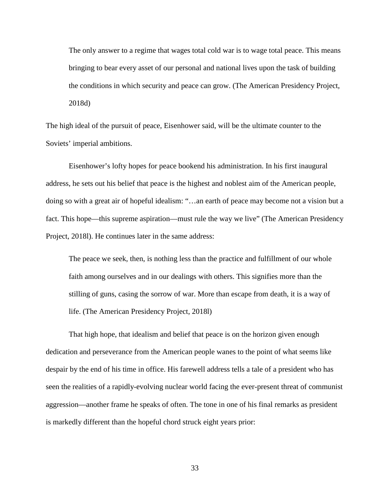The only answer to a regime that wages total cold war is to wage total peace. This means bringing to bear every asset of our personal and national lives upon the task of building the conditions in which security and peace can grow. (The American Presidency Project, 2018d)

The high ideal of the pursuit of peace, Eisenhower said, will be the ultimate counter to the Soviets' imperial ambitions.

Eisenhower's lofty hopes for peace bookend his administration. In his first inaugural address, he sets out his belief that peace is the highest and noblest aim of the American people, doing so with a great air of hopeful idealism: "…an earth of peace may become not a vision but a fact. This hope—this supreme aspiration—must rule the way we live" (The American Presidency Project, 2018l). He continues later in the same address:

The peace we seek, then, is nothing less than the practice and fulfillment of our whole faith among ourselves and in our dealings with others. This signifies more than the stilling of guns, casing the sorrow of war. More than escape from death, it is a way of life. (The American Presidency Project, 2018l)

That high hope, that idealism and belief that peace is on the horizon given enough dedication and perseverance from the American people wanes to the point of what seems like despair by the end of his time in office. His farewell address tells a tale of a president who has seen the realities of a rapidly-evolving nuclear world facing the ever-present threat of communist aggression—another frame he speaks of often. The tone in one of his final remarks as president is markedly different than the hopeful chord struck eight years prior: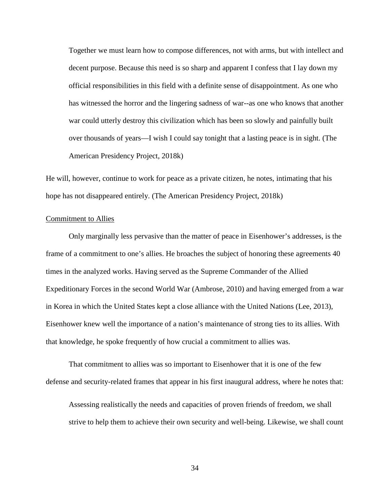Together we must learn how to compose differences, not with arms, but with intellect and decent purpose. Because this need is so sharp and apparent I confess that I lay down my official responsibilities in this field with a definite sense of disappointment. As one who has witnessed the horror and the lingering sadness of war--as one who knows that another war could utterly destroy this civilization which has been so slowly and painfully built over thousands of years—I wish I could say tonight that a lasting peace is in sight. (The American Presidency Project, 2018k)

He will, however, continue to work for peace as a private citizen, he notes, intimating that his hope has not disappeared entirely. (The American Presidency Project, 2018k)

#### <span id="page-34-0"></span>Commitment to Allies

Only marginally less pervasive than the matter of peace in Eisenhower's addresses, is the frame of a commitment to one's allies. He broaches the subject of honoring these agreements 40 times in the analyzed works. Having served as the Supreme Commander of the Allied Expeditionary Forces in the second World War (Ambrose, 2010) and having emerged from a war in Korea in which the United States kept a close alliance with the United Nations (Lee, 2013), Eisenhower knew well the importance of a nation's maintenance of strong ties to its allies. With that knowledge, he spoke frequently of how crucial a commitment to allies was.

That commitment to allies was so important to Eisenhower that it is one of the few defense and security-related frames that appear in his first inaugural address, where he notes that:

Assessing realistically the needs and capacities of proven friends of freedom, we shall strive to help them to achieve their own security and well-being. Likewise, we shall count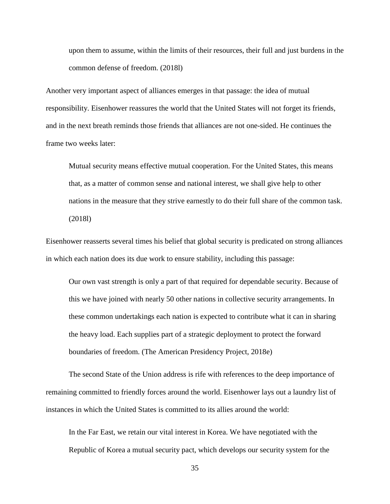upon them to assume, within the limits of their resources, their full and just burdens in the common defense of freedom. (2018l)

Another very important aspect of alliances emerges in that passage: the idea of mutual responsibility. Eisenhower reassures the world that the United States will not forget its friends, and in the next breath reminds those friends that alliances are not one-sided. He continues the frame two weeks later:

Mutual security means effective mutual cooperation. For the United States, this means that, as a matter of common sense and national interest, we shall give help to other nations in the measure that they strive earnestly to do their full share of the common task. (2018l)

Eisenhower reasserts several times his belief that global security is predicated on strong alliances in which each nation does its due work to ensure stability, including this passage:

Our own vast strength is only a part of that required for dependable security. Because of this we have joined with nearly 50 other nations in collective security arrangements. In these common undertakings each nation is expected to contribute what it can in sharing the heavy load. Each supplies part of a strategic deployment to protect the forward boundaries of freedom. (The American Presidency Project, 2018e)

The second State of the Union address is rife with references to the deep importance of remaining committed to friendly forces around the world. Eisenhower lays out a laundry list of instances in which the United States is committed to its allies around the world:

In the Far East, we retain our vital interest in Korea. We have negotiated with the Republic of Korea a mutual security pact, which develops our security system for the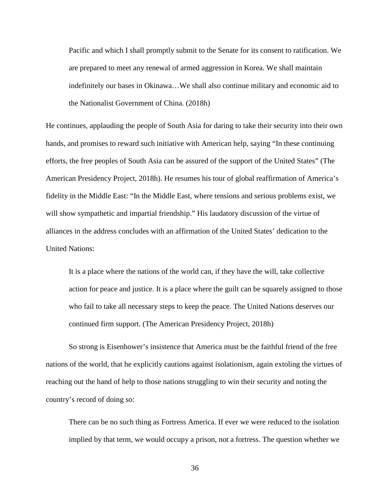Pacific and which I shall promptly submit to the Senate for its consent to ratification. We are prepared to meet any renewal of armed aggression in Korea. We shall maintain indefinitely our bases in Okinawa…We shall also continue military and economic aid to the Nationalist Government of China. (2018h)

He continues, applauding the people of South Asia for daring to take their security into their own hands, and promises to reward such initiative with American help, saying "In these continuing efforts, the free peoples of South Asia can be assured of the support of the United States" (The American Presidency Project, 2018h). He resumes his tour of global reaffirmation of America's fidelity in the Middle East: "In the Middle East, where tensions and serious problems exist, we will show sympathetic and impartial friendship." His laudatory discussion of the virtue of alliances in the address concludes with an affirmation of the United States' dedication to the United Nations:

It is a place where the nations of the world can, if they have the will, take collective action for peace and justice. It is a place where the guilt can be squarely assigned to those who fail to take all necessary steps to keep the peace. The United Nations deserves our continued firm support. (The American Presidency Project, 2018h)

So strong is Eisenhower's insistence that America must be the faithful friend of the free nations of the world, that he explicitly cautions against isolationism, again extoling the virtues of reaching out the hand of help to those nations struggling to win their security and noting the country's record of doing so:

There can be no such thing as Fortress America. If ever we were reduced to the isolation implied by that term, we would occupy a prison, not a fortress. The question whether we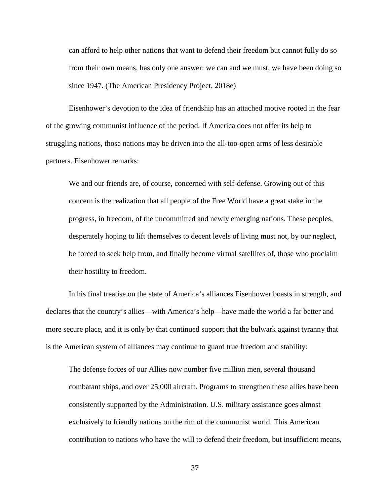can afford to help other nations that want to defend their freedom but cannot fully do so from their own means, has only one answer: we can and we must, we have been doing so since 1947. (The American Presidency Project, 2018e)

Eisenhower's devotion to the idea of friendship has an attached motive rooted in the fear of the growing communist influence of the period. If America does not offer its help to struggling nations, those nations may be driven into the all-too-open arms of less desirable partners. Eisenhower remarks:

We and our friends are, of course, concerned with self-defense. Growing out of this concern is the realization that all people of the Free World have a great stake in the progress, in freedom, of the uncommitted and newly emerging nations. These peoples, desperately hoping to lift themselves to decent levels of living must not, by our neglect, be forced to seek help from, and finally become virtual satellites of, those who proclaim their hostility to freedom.

In his final treatise on the state of America's alliances Eisenhower boasts in strength, and declares that the country's allies—with America's help—have made the world a far better and more secure place, and it is only by that continued support that the bulwark against tyranny that is the American system of alliances may continue to guard true freedom and stability:

The defense forces of our Allies now number five million men, several thousand combatant ships, and over 25,000 aircraft. Programs to strengthen these allies have been consistently supported by the Administration. U.S. military assistance goes almost exclusively to friendly nations on the rim of the communist world. This American contribution to nations who have the will to defend their freedom, but insufficient means,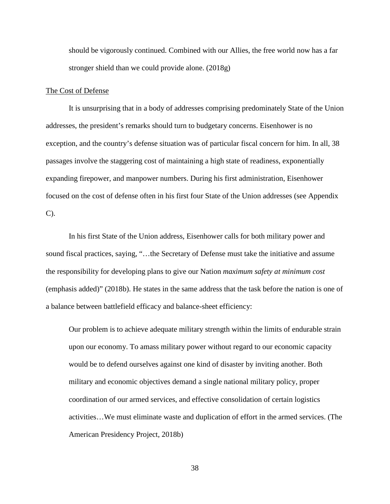should be vigorously continued. Combined with our Allies, the free world now has a far stronger shield than we could provide alone. (2018g)

## The Cost of Defense

It is unsurprising that in a body of addresses comprising predominately State of the Union addresses, the president's remarks should turn to budgetary concerns. Eisenhower is no exception, and the country's defense situation was of particular fiscal concern for him. In all, 38 passages involve the staggering cost of maintaining a high state of readiness, exponentially expanding firepower, and manpower numbers. During his first administration, Eisenhower focused on the cost of defense often in his first four State of the Union addresses (see Appendix C).

In his first State of the Union address, Eisenhower calls for both military power and sound fiscal practices, saying, "…the Secretary of Defense must take the initiative and assume the responsibility for developing plans to give our Nation *maximum safety at minimum cost* (emphasis added)" (2018b). He states in the same address that the task before the nation is one of a balance between battlefield efficacy and balance-sheet efficiency:

Our problem is to achieve adequate military strength within the limits of endurable strain upon our economy. To amass military power without regard to our economic capacity would be to defend ourselves against one kind of disaster by inviting another. Both military and economic objectives demand a single national military policy, proper coordination of our armed services, and effective consolidation of certain logistics activities…We must eliminate waste and duplication of effort in the armed services. (The American Presidency Project, 2018b)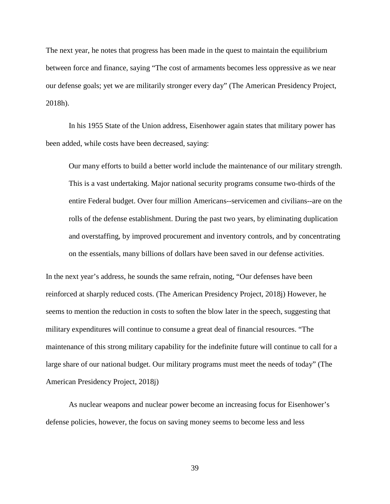The next year, he notes that progress has been made in the quest to maintain the equilibrium between force and finance, saying "The cost of armaments becomes less oppressive as we near our defense goals; yet we are militarily stronger every day" (The American Presidency Project, 2018h).

In his 1955 State of the Union address, Eisenhower again states that military power has been added, while costs have been decreased, saying:

Our many efforts to build a better world include the maintenance of our military strength. This is a vast undertaking. Major national security programs consume two-thirds of the entire Federal budget. Over four million Americans--servicemen and civilians--are on the rolls of the defense establishment. During the past two years, by eliminating duplication and overstaffing, by improved procurement and inventory controls, and by concentrating on the essentials, many billions of dollars have been saved in our defense activities.

In the next year's address, he sounds the same refrain, noting, "Our defenses have been reinforced at sharply reduced costs. (The American Presidency Project, 2018j) However, he seems to mention the reduction in costs to soften the blow later in the speech, suggesting that military expenditures will continue to consume a great deal of financial resources. "The maintenance of this strong military capability for the indefinite future will continue to call for a large share of our national budget. Our military programs must meet the needs of today" (The American Presidency Project, 2018j)

As nuclear weapons and nuclear power become an increasing focus for Eisenhower's defense policies, however, the focus on saving money seems to become less and less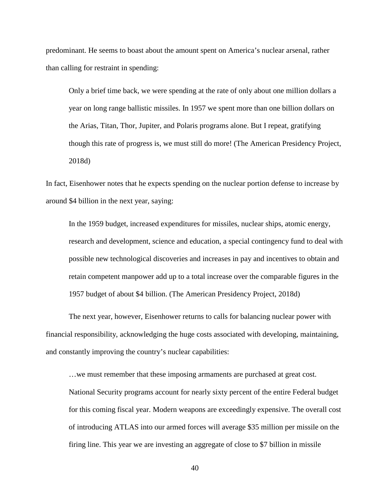predominant. He seems to boast about the amount spent on America's nuclear arsenal, rather than calling for restraint in spending:

Only a brief time back, we were spending at the rate of only about one million dollars a year on long range ballistic missiles. In 1957 we spent more than one billion dollars on the Arias, Titan, Thor, Jupiter, and Polaris programs alone. But I repeat, gratifying though this rate of progress is, we must still do more! (The American Presidency Project, 2018d)

In fact, Eisenhower notes that he expects spending on the nuclear portion defense to increase by around \$4 billion in the next year, saying:

In the 1959 budget, increased expenditures for missiles, nuclear ships, atomic energy, research and development, science and education, a special contingency fund to deal with possible new technological discoveries and increases in pay and incentives to obtain and retain competent manpower add up to a total increase over the comparable figures in the 1957 budget of about \$4 billion. (The American Presidency Project, 2018d)

The next year, however, Eisenhower returns to calls for balancing nuclear power with financial responsibility, acknowledging the huge costs associated with developing, maintaining, and constantly improving the country's nuclear capabilities:

…we must remember that these imposing armaments are purchased at great cost. National Security programs account for nearly sixty percent of the entire Federal budget for this coming fiscal year. Modern weapons are exceedingly expensive. The overall cost of introducing ATLAS into our armed forces will average \$35 million per missile on the firing line. This year we are investing an aggregate of close to \$7 billion in missile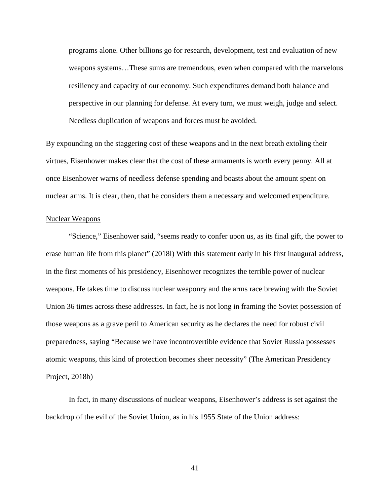programs alone. Other billions go for research, development, test and evaluation of new weapons systems…These sums are tremendous, even when compared with the marvelous resiliency and capacity of our economy. Such expenditures demand both balance and perspective in our planning for defense. At every turn, we must weigh, judge and select. Needless duplication of weapons and forces must be avoided.

By expounding on the staggering cost of these weapons and in the next breath extoling their virtues, Eisenhower makes clear that the cost of these armaments is worth every penny. All at once Eisenhower warns of needless defense spending and boasts about the amount spent on nuclear arms. It is clear, then, that he considers them a necessary and welcomed expenditure.

#### Nuclear Weapons

"Science," Eisenhower said, "seems ready to confer upon us, as its final gift, the power to erase human life from this planet" (2018l) With this statement early in his first inaugural address, in the first moments of his presidency, Eisenhower recognizes the terrible power of nuclear weapons. He takes time to discuss nuclear weaponry and the arms race brewing with the Soviet Union 36 times across these addresses. In fact, he is not long in framing the Soviet possession of those weapons as a grave peril to American security as he declares the need for robust civil preparedness, saying "Because we have incontrovertible evidence that Soviet Russia possesses atomic weapons, this kind of protection becomes sheer necessity" (The American Presidency Project, 2018b)

In fact, in many discussions of nuclear weapons, Eisenhower's address is set against the backdrop of the evil of the Soviet Union, as in his 1955 State of the Union address: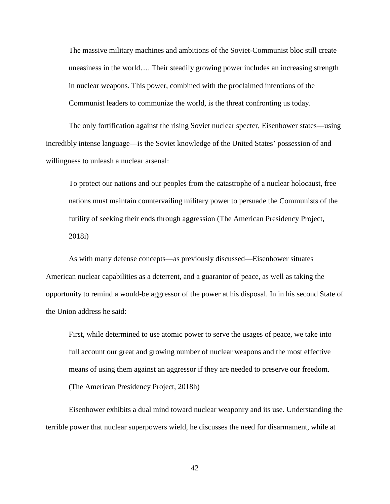The massive military machines and ambitions of the Soviet-Communist bloc still create uneasiness in the world…. Their steadily growing power includes an increasing strength in nuclear weapons. This power, combined with the proclaimed intentions of the Communist leaders to communize the world, is the threat confronting us today.

The only fortification against the rising Soviet nuclear specter, Eisenhower states—using incredibly intense language—is the Soviet knowledge of the United States' possession of and willingness to unleash a nuclear arsenal:

To protect our nations and our peoples from the catastrophe of a nuclear holocaust, free nations must maintain countervailing military power to persuade the Communists of the futility of seeking their ends through aggression (The American Presidency Project, 2018i)

As with many defense concepts—as previously discussed—Eisenhower situates American nuclear capabilities as a deterrent, and a guarantor of peace, as well as taking the opportunity to remind a would-be aggressor of the power at his disposal. In in his second State of the Union address he said:

First, while determined to use atomic power to serve the usages of peace, we take into full account our great and growing number of nuclear weapons and the most effective means of using them against an aggressor if they are needed to preserve our freedom. (The American Presidency Project, 2018h)

Eisenhower exhibits a dual mind toward nuclear weaponry and its use. Understanding the terrible power that nuclear superpowers wield, he discusses the need for disarmament, while at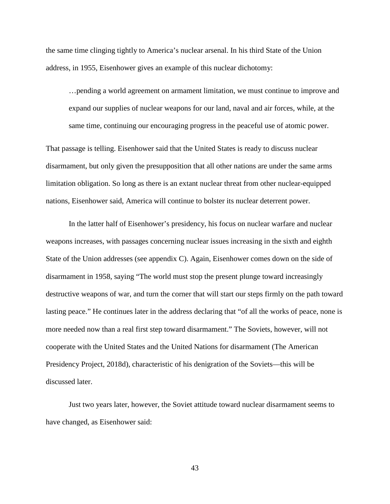the same time clinging tightly to America's nuclear arsenal. In his third State of the Union address, in 1955, Eisenhower gives an example of this nuclear dichotomy:

…pending a world agreement on armament limitation, we must continue to improve and expand our supplies of nuclear weapons for our land, naval and air forces, while, at the same time, continuing our encouraging progress in the peaceful use of atomic power.

That passage is telling. Eisenhower said that the United States is ready to discuss nuclear disarmament, but only given the presupposition that all other nations are under the same arms limitation obligation. So long as there is an extant nuclear threat from other nuclear-equipped nations, Eisenhower said, America will continue to bolster its nuclear deterrent power.

In the latter half of Eisenhower's presidency, his focus on nuclear warfare and nuclear weapons increases, with passages concerning nuclear issues increasing in the sixth and eighth State of the Union addresses (see appendix C). Again, Eisenhower comes down on the side of disarmament in 1958, saying "The world must stop the present plunge toward increasingly destructive weapons of war, and turn the corner that will start our steps firmly on the path toward lasting peace." He continues later in the address declaring that "of all the works of peace, none is more needed now than a real first step toward disarmament." The Soviets, however, will not cooperate with the United States and the United Nations for disarmament (The American Presidency Project, 2018d), characteristic of his denigration of the Soviets—this will be discussed later.

Just two years later, however, the Soviet attitude toward nuclear disarmament seems to have changed, as Eisenhower said: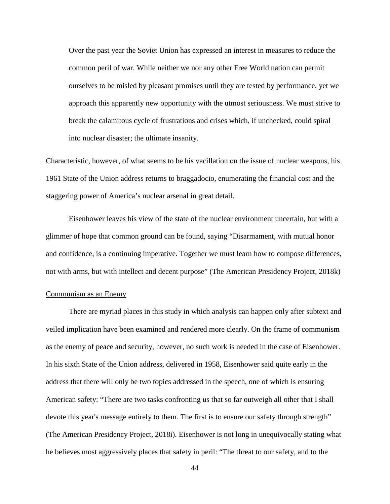Over the past year the Soviet Union has expressed an interest in measures to reduce the common peril of war. While neither we nor any other Free World nation can permit ourselves to be misled by pleasant promises until they are tested by performance, yet we approach this apparently new opportunity with the utmost seriousness. We must strive to break the calamitous cycle of frustrations and crises which, if unchecked, could spiral into nuclear disaster; the ultimate insanity.

Characteristic, however, of what seems to be his vacillation on the issue of nuclear weapons, his 1961 State of the Union address returns to braggadocio, enumerating the financial cost and the staggering power of America's nuclear arsenal in great detail.

Eisenhower leaves his view of the state of the nuclear environment uncertain, but with a glimmer of hope that common ground can be found, saying "Disarmament, with mutual honor and confidence, is a continuing imperative. Together we must learn how to compose differences, not with arms, but with intellect and decent purpose" (The American Presidency Project, 2018k)

# Communism as an Enemy

There are myriad places in this study in which analysis can happen only after subtext and veiled implication have been examined and rendered more clearly. On the frame of communism as the enemy of peace and security, however, no such work is needed in the case of Eisenhower. In his sixth State of the Union address, delivered in 1958, Eisenhower said quite early in the address that there will only be two topics addressed in the speech, one of which is ensuring American safety: "There are two tasks confronting us that so far outweigh all other that I shall devote this year's message entirely to them. The first is to ensure our safety through strength" (The American Presidency Project, 2018i). Eisenhower is not long in unequivocally stating what he believes most aggressively places that safety in peril: "The threat to our safety, and to the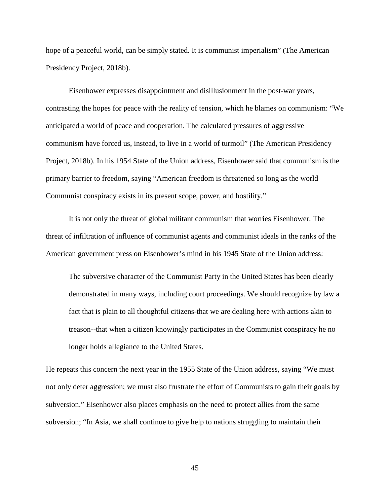hope of a peaceful world, can be simply stated. It is communist imperialism" (The American Presidency Project, 2018b).

Eisenhower expresses disappointment and disillusionment in the post-war years, contrasting the hopes for peace with the reality of tension, which he blames on communism: "We anticipated a world of peace and cooperation. The calculated pressures of aggressive communism have forced us, instead, to live in a world of turmoil" (The American Presidency Project, 2018b). In his 1954 State of the Union address, Eisenhower said that communism is the primary barrier to freedom, saying "American freedom is threatened so long as the world Communist conspiracy exists in its present scope, power, and hostility."

It is not only the threat of global militant communism that worries Eisenhower. The threat of infiltration of influence of communist agents and communist ideals in the ranks of the American government press on Eisenhower's mind in his 1945 State of the Union address:

The subversive character of the Communist Party in the United States has been clearly demonstrated in many ways, including court proceedings. We should recognize by law a fact that is plain to all thoughtful citizens-that we are dealing here with actions akin to treason--that when a citizen knowingly participates in the Communist conspiracy he no longer holds allegiance to the United States.

He repeats this concern the next year in the 1955 State of the Union address, saying "We must not only deter aggression; we must also frustrate the effort of Communists to gain their goals by subversion." Eisenhower also places emphasis on the need to protect allies from the same subversion; "In Asia, we shall continue to give help to nations struggling to maintain their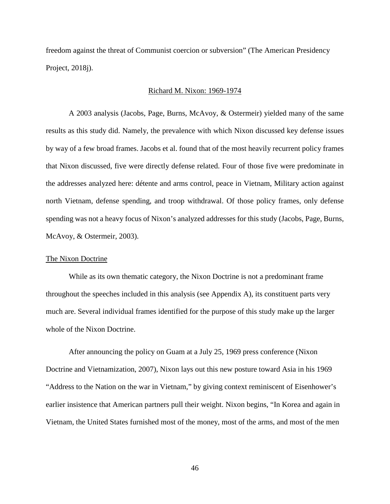freedom against the threat of Communist coercion or subversion" (The American Presidency Project, 2018j).

## Richard M. Nixon: 1969-1974

A 2003 analysis (Jacobs, Page, Burns, McAvoy, & Ostermeir) yielded many of the same results as this study did. Namely, the prevalence with which Nixon discussed key defense issues by way of a few broad frames. Jacobs et al. found that of the most heavily recurrent policy frames that Nixon discussed, five were directly defense related. Four of those five were predominate in the addresses analyzed here: détente and arms control, peace in Vietnam, Military action against north Vietnam, defense spending, and troop withdrawal. Of those policy frames, only defense spending was not a heavy focus of Nixon's analyzed addresses for this study (Jacobs, Page, Burns, McAvoy, & Ostermeir, 2003).

## The Nixon Doctrine

While as its own thematic category, the Nixon Doctrine is not a predominant frame throughout the speeches included in this analysis (see Appendix A), its constituent parts very much are. Several individual frames identified for the purpose of this study make up the larger whole of the Nixon Doctrine.

After announcing the policy on Guam at a July 25, 1969 press conference (Nixon Doctrine and Vietnamization, 2007), Nixon lays out this new posture toward Asia in his 1969 "Address to the Nation on the war in Vietnam," by giving context reminiscent of Eisenhower's earlier insistence that American partners pull their weight. Nixon begins, "In Korea and again in Vietnam, the United States furnished most of the money, most of the arms, and most of the men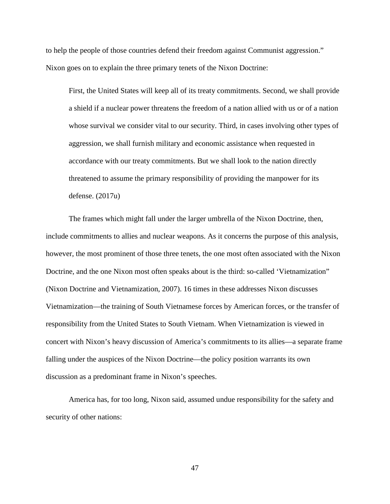to help the people of those countries defend their freedom against Communist aggression." Nixon goes on to explain the three primary tenets of the Nixon Doctrine:

First, the United States will keep all of its treaty commitments. Second, we shall provide a shield if a nuclear power threatens the freedom of a nation allied with us or of a nation whose survival we consider vital to our security. Third, in cases involving other types of aggression, we shall furnish military and economic assistance when requested in accordance with our treaty commitments. But we shall look to the nation directly threatened to assume the primary responsibility of providing the manpower for its defense. (2017u)

The frames which might fall under the larger umbrella of the Nixon Doctrine, then, include commitments to allies and nuclear weapons. As it concerns the purpose of this analysis, however, the most prominent of those three tenets, the one most often associated with the Nixon Doctrine, and the one Nixon most often speaks about is the third: so-called 'Vietnamization" (Nixon Doctrine and Vietnamization, 2007). 16 times in these addresses Nixon discusses Vietnamization—the training of South Vietnamese forces by American forces, or the transfer of responsibility from the United States to South Vietnam. When Vietnamization is viewed in concert with Nixon's heavy discussion of America's commitments to its allies—a separate frame falling under the auspices of the Nixon Doctrine—the policy position warrants its own discussion as a predominant frame in Nixon's speeches.

America has, for too long, Nixon said, assumed undue responsibility for the safety and security of other nations: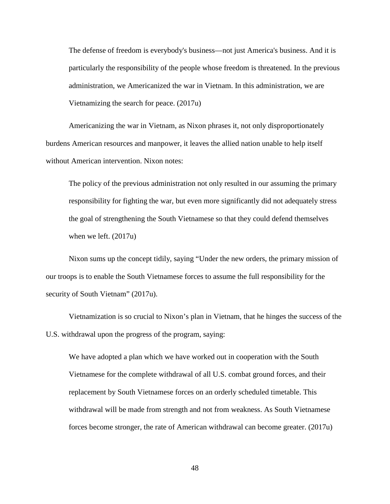The defense of freedom is everybody's business—not just America's business. And it is particularly the responsibility of the people whose freedom is threatened. In the previous administration, we Americanized the war in Vietnam. In this administration, we are Vietnamizing the search for peace. (2017u)

Americanizing the war in Vietnam, as Nixon phrases it, not only disproportionately burdens American resources and manpower, it leaves the allied nation unable to help itself without American intervention. Nixon notes:

The policy of the previous administration not only resulted in our assuming the primary responsibility for fighting the war, but even more significantly did not adequately stress the goal of strengthening the South Vietnamese so that they could defend themselves when we left. (2017u)

Nixon sums up the concept tidily, saying "Under the new orders, the primary mission of our troops is to enable the South Vietnamese forces to assume the full responsibility for the security of South Vietnam" (2017u).

Vietnamization is so crucial to Nixon's plan in Vietnam, that he hinges the success of the U.S. withdrawal upon the progress of the program, saying:

We have adopted a plan which we have worked out in cooperation with the South Vietnamese for the complete withdrawal of all U.S. combat ground forces, and their replacement by South Vietnamese forces on an orderly scheduled timetable. This withdrawal will be made from strength and not from weakness. As South Vietnamese forces become stronger, the rate of American withdrawal can become greater. (2017u)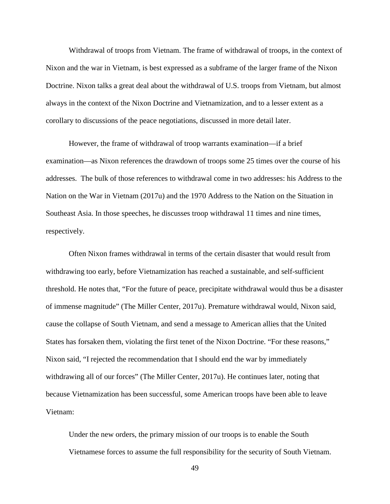Withdrawal of troops from Vietnam. The frame of withdrawal of troops, in the context of Nixon and the war in Vietnam, is best expressed as a subframe of the larger frame of the Nixon Doctrine. Nixon talks a great deal about the withdrawal of U.S. troops from Vietnam, but almost always in the context of the Nixon Doctrine and Vietnamization, and to a lesser extent as a corollary to discussions of the peace negotiations, discussed in more detail later.

However, the frame of withdrawal of troop warrants examination—if a brief examination—as Nixon references the drawdown of troops some 25 times over the course of his addresses. The bulk of those references to withdrawal come in two addresses: his Address to the Nation on the War in Vietnam (2017u) and the 1970 Address to the Nation on the Situation in Southeast Asia. In those speeches, he discusses troop withdrawal 11 times and nine times, respectively.

Often Nixon frames withdrawal in terms of the certain disaster that would result from withdrawing too early, before Vietnamization has reached a sustainable, and self-sufficient threshold. He notes that, "For the future of peace, precipitate withdrawal would thus be a disaster of immense magnitude" (The Miller Center, 2017u). Premature withdrawal would, Nixon said, cause the collapse of South Vietnam, and send a message to American allies that the United States has forsaken them, violating the first tenet of the Nixon Doctrine. "For these reasons," Nixon said, "I rejected the recommendation that I should end the war by immediately withdrawing all of our forces" (The Miller Center, 2017u). He continues later, noting that because Vietnamization has been successful, some American troops have been able to leave Vietnam:

Under the new orders, the primary mission of our troops is to enable the South Vietnamese forces to assume the full responsibility for the security of South Vietnam.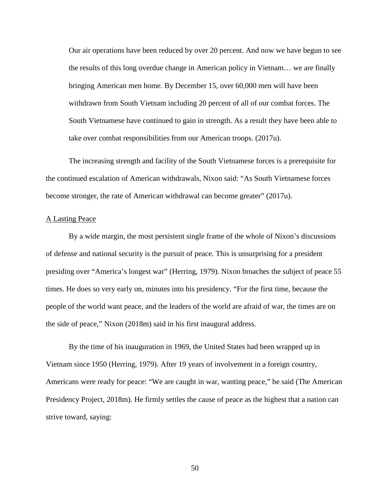Our air operations have been reduced by over 20 percent. And now we have begun to see the results of this long overdue change in American policy in Vietnam… we are finally bringing American men home. By December 15, over 60,000 men will have been withdrawn from South Vietnam including 20 percent of all of our combat forces. The South Vietnamese have continued to gain in strength. As a result they have been able to take over combat responsibilities from our American troops. (2017u).

The increasing strength and facility of the South Vietnamese forces is a prerequisite for the continued escalation of American withdrawals, Nixon said: "As South Vietnamese forces become stronger, the rate of American withdrawal can become greater" (2017u).

## A Lasting Peace

By a wide margin, the most persistent single frame of the whole of Nixon's discussions of defense and national security is the pursuit of peace. This is unsurprising for a president presiding over "America's longest war" (Herring, 1979). Nixon broaches the subject of peace 55 times. He does so very early on, minutes into his presidency. "For the first time, because the people of the world want peace, and the leaders of the world are afraid of war, the times are on the side of peace," Nixon (2018m) said in his first inaugural address.

By the time of his inauguration in 1969, the United States had been wrapped up in Vietnam since 1950 (Herring, 1979). After 19 years of involvement in a foreign country, Americans were ready for peace: "We are caught in war, wanting peace," he said (The American Presidency Project, 2018m). He firmly settles the cause of peace as the highest that a nation can strive toward, saying: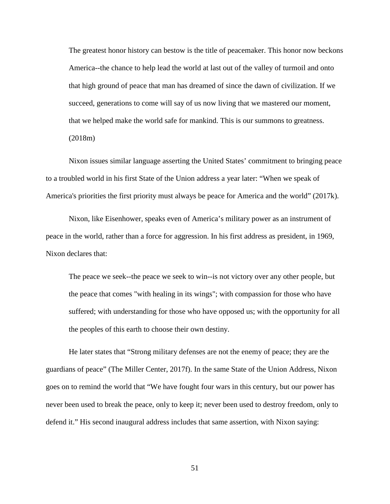The greatest honor history can bestow is the title of peacemaker. This honor now beckons America--the chance to help lead the world at last out of the valley of turmoil and onto that high ground of peace that man has dreamed of since the dawn of civilization. If we succeed, generations to come will say of us now living that we mastered our moment, that we helped make the world safe for mankind. This is our summons to greatness. (2018m)

Nixon issues similar language asserting the United States' commitment to bringing peace to a troubled world in his first State of the Union address a year later: "When we speak of America's priorities the first priority must always be peace for America and the world" (2017k).

Nixon, like Eisenhower, speaks even of America's military power as an instrument of peace in the world, rather than a force for aggression. In his first address as president, in 1969, Nixon declares that:

The peace we seek--the peace we seek to win--is not victory over any other people, but the peace that comes "with healing in its wings"; with compassion for those who have suffered; with understanding for those who have opposed us; with the opportunity for all the peoples of this earth to choose their own destiny.

He later states that "Strong military defenses are not the enemy of peace; they are the guardians of peace" (The Miller Center, 2017f). In the same State of the Union Address, Nixon goes on to remind the world that "We have fought four wars in this century, but our power has never been used to break the peace, only to keep it; never been used to destroy freedom, only to defend it." His second inaugural address includes that same assertion, with Nixon saying: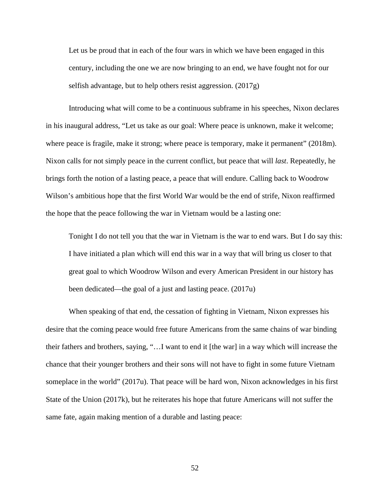Let us be proud that in each of the four wars in which we have been engaged in this century, including the one we are now bringing to an end, we have fought not for our selfish advantage, but to help others resist aggression. (2017g)

Introducing what will come to be a continuous subframe in his speeches, Nixon declares in his inaugural address, "Let us take as our goal: Where peace is unknown, make it welcome; where peace is fragile, make it strong; where peace is temporary, make it permanent" (2018m). Nixon calls for not simply peace in the current conflict, but peace that will *last*. Repeatedly, he brings forth the notion of a lasting peace, a peace that will endure. Calling back to Woodrow Wilson's ambitious hope that the first World War would be the end of strife, Nixon reaffirmed the hope that the peace following the war in Vietnam would be a lasting one:

Tonight I do not tell you that the war in Vietnam is the war to end wars. But I do say this: I have initiated a plan which will end this war in a way that will bring us closer to that great goal to which Woodrow Wilson and every American President in our history has been dedicated—the goal of a just and lasting peace. (2017u)

When speaking of that end, the cessation of fighting in Vietnam, Nixon expresses his desire that the coming peace would free future Americans from the same chains of war binding their fathers and brothers, saying, "…I want to end it [the war] in a way which will increase the chance that their younger brothers and their sons will not have to fight in some future Vietnam someplace in the world" (2017u). That peace will be hard won, Nixon acknowledges in his first State of the Union (2017k), but he reiterates his hope that future Americans will not suffer the same fate, again making mention of a durable and lasting peace: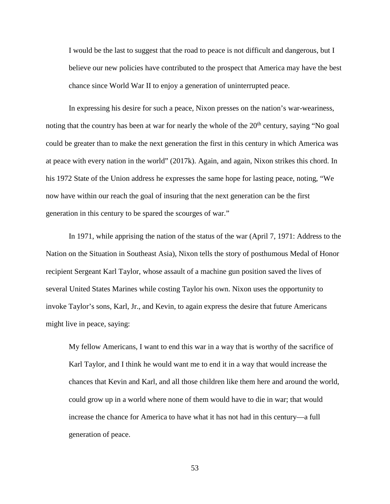I would be the last to suggest that the road to peace is not difficult and dangerous, but I believe our new policies have contributed to the prospect that America may have the best chance since World War II to enjoy a generation of uninterrupted peace.

In expressing his desire for such a peace, Nixon presses on the nation's war-weariness, noting that the country has been at war for nearly the whole of the  $20<sup>th</sup>$  century, saying "No goal" could be greater than to make the next generation the first in this century in which America was at peace with every nation in the world" (2017k). Again, and again, Nixon strikes this chord. In his 1972 State of the Union address he expresses the same hope for lasting peace, noting, "We now have within our reach the goal of insuring that the next generation can be the first generation in this century to be spared the scourges of war."

In 1971, while apprising the nation of the status of the war (April 7, 1971: Address to the Nation on the Situation in Southeast Asia), Nixon tells the story of posthumous Medal of Honor recipient Sergeant Karl Taylor, whose assault of a machine gun position saved the lives of several United States Marines while costing Taylor his own. Nixon uses the opportunity to invoke Taylor's sons, Karl, Jr., and Kevin, to again express the desire that future Americans might live in peace, saying:

My fellow Americans, I want to end this war in a way that is worthy of the sacrifice of Karl Taylor, and I think he would want me to end it in a way that would increase the chances that Kevin and Karl, and all those children like them here and around the world, could grow up in a world where none of them would have to die in war; that would increase the chance for America to have what it has not had in this century—a full generation of peace.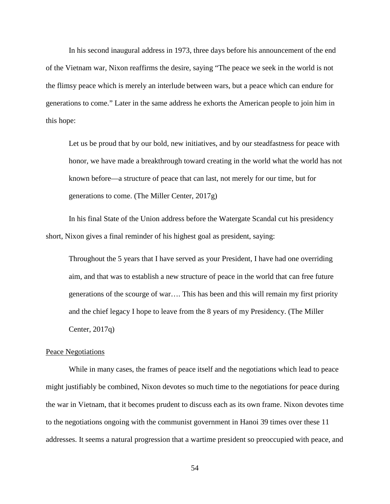In his second inaugural address in 1973, three days before his announcement of the end of the Vietnam war, Nixon reaffirms the desire, saying "The peace we seek in the world is not the flimsy peace which is merely an interlude between wars, but a peace which can endure for generations to come." Later in the same address he exhorts the American people to join him in this hope:

Let us be proud that by our bold, new initiatives, and by our steadfastness for peace with honor, we have made a breakthrough toward creating in the world what the world has not known before—a structure of peace that can last, not merely for our time, but for generations to come. (The Miller Center, 2017g)

In his final State of the Union address before the Watergate Scandal cut his presidency short, Nixon gives a final reminder of his highest goal as president, saying:

Throughout the 5 years that I have served as your President, I have had one overriding aim, and that was to establish a new structure of peace in the world that can free future generations of the scourge of war…. This has been and this will remain my first priority and the chief legacy I hope to leave from the 8 years of my Presidency. (The Miller Center, 2017q)

## Peace Negotiations

While in many cases, the frames of peace itself and the negotiations which lead to peace might justifiably be combined, Nixon devotes so much time to the negotiations for peace during the war in Vietnam, that it becomes prudent to discuss each as its own frame. Nixon devotes time to the negotiations ongoing with the communist government in Hanoi 39 times over these 11 addresses. It seems a natural progression that a wartime president so preoccupied with peace, and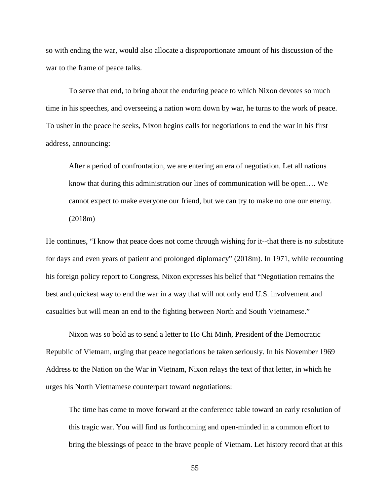so with ending the war, would also allocate a disproportionate amount of his discussion of the war to the frame of peace talks.

To serve that end, to bring about the enduring peace to which Nixon devotes so much time in his speeches, and overseeing a nation worn down by war, he turns to the work of peace. To usher in the peace he seeks, Nixon begins calls for negotiations to end the war in his first address, announcing:

After a period of confrontation, we are entering an era of negotiation. Let all nations know that during this administration our lines of communication will be open…. We cannot expect to make everyone our friend, but we can try to make no one our enemy. (2018m)

He continues, "I know that peace does not come through wishing for it--that there is no substitute for days and even years of patient and prolonged diplomacy" (2018m). In 1971, while recounting his foreign policy report to Congress, Nixon expresses his belief that "Negotiation remains the best and quickest way to end the war in a way that will not only end U.S. involvement and casualties but will mean an end to the fighting between North and South Vietnamese."

Nixon was so bold as to send a letter to Ho Chi Minh, President of the Democratic Republic of Vietnam, urging that peace negotiations be taken seriously. In his November 1969 Address to the Nation on the War in Vietnam, Nixon relays the text of that letter, in which he urges his North Vietnamese counterpart toward negotiations:

The time has come to move forward at the conference table toward an early resolution of this tragic war. You will find us forthcoming and open-minded in a common effort to bring the blessings of peace to the brave people of Vietnam. Let history record that at this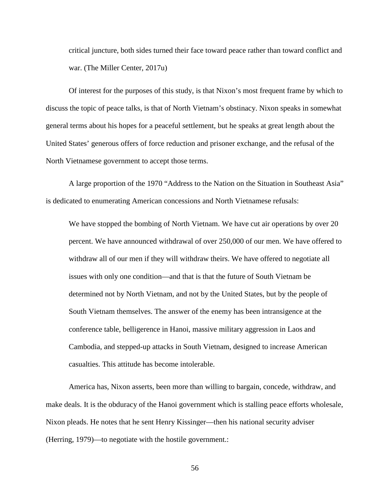critical juncture, both sides turned their face toward peace rather than toward conflict and war. (The Miller Center, 2017u)

Of interest for the purposes of this study, is that Nixon's most frequent frame by which to discuss the topic of peace talks, is that of North Vietnam's obstinacy. Nixon speaks in somewhat general terms about his hopes for a peaceful settlement, but he speaks at great length about the United States' generous offers of force reduction and prisoner exchange, and the refusal of the North Vietnamese government to accept those terms.

A large proportion of the 1970 "Address to the Nation on the Situation in Southeast Asia" is dedicated to enumerating American concessions and North Vietnamese refusals:

We have stopped the bombing of North Vietnam. We have cut air operations by over 20 percent. We have announced withdrawal of over 250,000 of our men. We have offered to withdraw all of our men if they will withdraw theirs. We have offered to negotiate all issues with only one condition—and that is that the future of South Vietnam be determined not by North Vietnam, and not by the United States, but by the people of South Vietnam themselves. The answer of the enemy has been intransigence at the conference table, belligerence in Hanoi, massive military aggression in Laos and Cambodia, and stepped-up attacks in South Vietnam, designed to increase American casualties. This attitude has become intolerable.

America has, Nixon asserts, been more than willing to bargain, concede, withdraw, and make deals. It is the obduracy of the Hanoi government which is stalling peace efforts wholesale, Nixon pleads. He notes that he sent Henry Kissinger—then his national security adviser (Herring, 1979)—to negotiate with the hostile government.: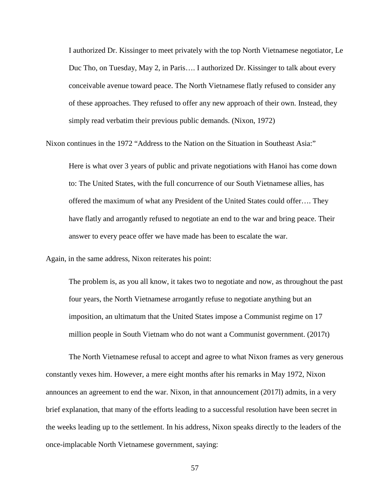I authorized Dr. Kissinger to meet privately with the top North Vietnamese negotiator, Le Duc Tho, on Tuesday, May 2, in Paris…. I authorized Dr. Kissinger to talk about every conceivable avenue toward peace. The North Vietnamese flatly refused to consider any of these approaches. They refused to offer any new approach of their own. Instead, they simply read verbatim their previous public demands. (Nixon, 1972)

Nixon continues in the 1972 "Address to the Nation on the Situation in Southeast Asia:"

Here is what over 3 years of public and private negotiations with Hanoi has come down to: The United States, with the full concurrence of our South Vietnamese allies, has offered the maximum of what any President of the United States could offer…. They have flatly and arrogantly refused to negotiate an end to the war and bring peace. Their answer to every peace offer we have made has been to escalate the war.

Again, in the same address, Nixon reiterates his point:

The problem is, as you all know, it takes two to negotiate and now, as throughout the past four years, the North Vietnamese arrogantly refuse to negotiate anything but an imposition, an ultimatum that the United States impose a Communist regime on 17 million people in South Vietnam who do not want a Communist government. (2017t)

The North Vietnamese refusal to accept and agree to what Nixon frames as very generous constantly vexes him. However, a mere eight months after his remarks in May 1972, Nixon announces an agreement to end the war. Nixon, in that announcement (2017l) admits, in a very brief explanation, that many of the efforts leading to a successful resolution have been secret in the weeks leading up to the settlement. In his address, Nixon speaks directly to the leaders of the once-implacable North Vietnamese government, saying: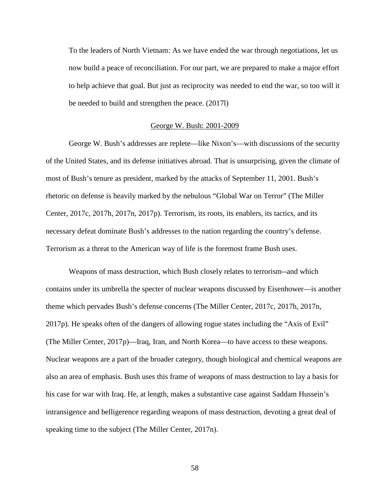To the leaders of North Vietnam: As we have ended the war through negotiations, let us now build a peace of reconciliation. For our part, we are prepared to make a major effort to help achieve that goal. But just as reciprocity was needed to end the war, so too will it be needed to build and strengthen the peace. (2017l)

#### George W. Bush: 2001-2009

George W. Bush's addresses are replete—like Nixon's—with discussions of the security of the United States, and its defense initiatives abroad. That is unsurprising, given the climate of most of Bush's tenure as president, marked by the attacks of September 11, 2001. Bush's rhetoric on defense is heavily marked by the nebulous "Global War on Terror" (The Miller Center, 2017c, 2017h, 2017n, 2017p). Terrorism, its roots, its enablers, its tactics, and its necessary defeat dominate Bush's addresses to the nation regarding the country's defense. Terrorism as a threat to the American way of life is the foremost frame Bush uses.

Weapons of mass destruction, which Bush closely relates to terrorism--and which contains under its umbrella the specter of nuclear weapons discussed by Eisenhower—is another theme which pervades Bush's defense concerns (The Miller Center, 2017c, 2017h, 2017n, 2017p). He speaks often of the dangers of allowing rogue states including the "Axis of Evil" (The Miller Center, 2017p)—Iraq, Iran, and North Korea—to have access to these weapons. Nuclear weapons are a part of the broader category, though biological and chemical weapons are also an area of emphasis. Bush uses this frame of weapons of mass destruction to lay a basis for his case for war with Iraq. He, at length, makes a substantive case against Saddam Hussein's intransigence and belligerence regarding weapons of mass destruction, devoting a great deal of speaking time to the subject (The Miller Center, 2017n).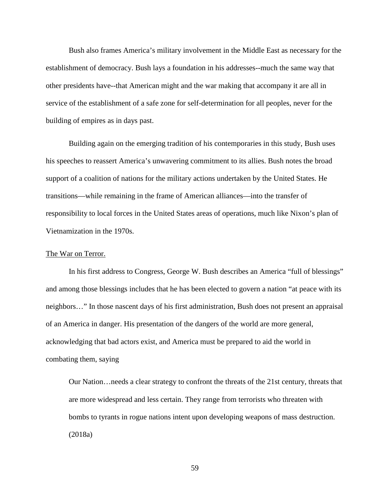Bush also frames America's military involvement in the Middle East as necessary for the establishment of democracy. Bush lays a foundation in his addresses--much the same way that other presidents have--that American might and the war making that accompany it are all in service of the establishment of a safe zone for self-determination for all peoples, never for the building of empires as in days past.

Building again on the emerging tradition of his contemporaries in this study, Bush uses his speeches to reassert America's unwavering commitment to its allies. Bush notes the broad support of a coalition of nations for the military actions undertaken by the United States. He transitions—while remaining in the frame of American alliances—into the transfer of responsibility to local forces in the United States areas of operations, much like Nixon's plan of Vietnamization in the 1970s.

#### The War on Terror.

In his first address to Congress, George W. Bush describes an America "full of blessings" and among those blessings includes that he has been elected to govern a nation "at peace with its neighbors…" In those nascent days of his first administration, Bush does not present an appraisal of an America in danger. His presentation of the dangers of the world are more general, acknowledging that bad actors exist, and America must be prepared to aid the world in combating them, saying

Our Nation…needs a clear strategy to confront the threats of the 21st century, threats that are more widespread and less certain. They range from terrorists who threaten with bombs to tyrants in rogue nations intent upon developing weapons of mass destruction. (2018a)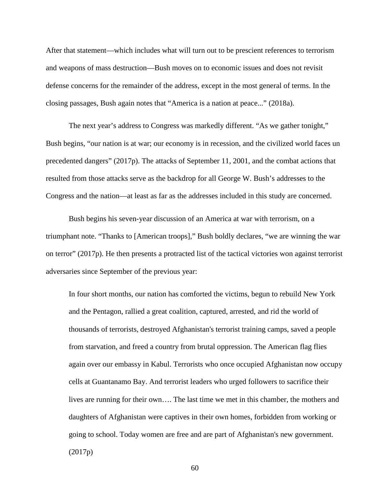After that statement—which includes what will turn out to be prescient references to terrorism and weapons of mass destruction—Bush moves on to economic issues and does not revisit defense concerns for the remainder of the address, except in the most general of terms. In the closing passages, Bush again notes that "America is a nation at peace..." (2018a).

The next year's address to Congress was markedly different. "As we gather tonight," Bush begins, "our nation is at war; our economy is in recession, and the civilized world faces un precedented dangers" (2017p). The attacks of September 11, 2001, and the combat actions that resulted from those attacks serve as the backdrop for all George W. Bush's addresses to the Congress and the nation—at least as far as the addresses included in this study are concerned.

Bush begins his seven-year discussion of an America at war with terrorism, on a triumphant note. "Thanks to [American troops]," Bush boldly declares, "we are winning the war on terror" (2017p). He then presents a protracted list of the tactical victories won against terrorist adversaries since September of the previous year:

In four short months, our nation has comforted the victims, begun to rebuild New York and the Pentagon, rallied a great coalition, captured, arrested, and rid the world of thousands of terrorists, destroyed Afghanistan's terrorist training camps, saved a people from starvation, and freed a country from brutal oppression. The American flag flies again over our embassy in Kabul. Terrorists who once occupied Afghanistan now occupy cells at Guantanamo Bay. And terrorist leaders who urged followers to sacrifice their lives are running for their own…. The last time we met in this chamber, the mothers and daughters of Afghanistan were captives in their own homes, forbidden from working or going to school. Today women are free and are part of Afghanistan's new government. (2017p)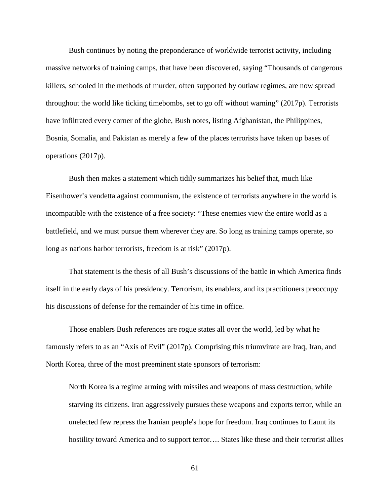Bush continues by noting the preponderance of worldwide terrorist activity, including massive networks of training camps, that have been discovered, saying "Thousands of dangerous killers, schooled in the methods of murder, often supported by outlaw regimes, are now spread throughout the world like ticking timebombs, set to go off without warning" (2017p). Terrorists have infiltrated every corner of the globe, Bush notes, listing Afghanistan, the Philippines, Bosnia, Somalia, and Pakistan as merely a few of the places terrorists have taken up bases of operations (2017p).

Bush then makes a statement which tidily summarizes his belief that, much like Eisenhower's vendetta against communism, the existence of terrorists anywhere in the world is incompatible with the existence of a free society: "These enemies view the entire world as a battlefield, and we must pursue them wherever they are. So long as training camps operate, so long as nations harbor terrorists, freedom is at risk" (2017p).

That statement is the thesis of all Bush's discussions of the battle in which America finds itself in the early days of his presidency. Terrorism, its enablers, and its practitioners preoccupy his discussions of defense for the remainder of his time in office.

Those enablers Bush references are rogue states all over the world, led by what he famously refers to as an "Axis of Evil" (2017p). Comprising this triumvirate are Iraq, Iran, and North Korea, three of the most preeminent state sponsors of terrorism:

North Korea is a regime arming with missiles and weapons of mass destruction, while starving its citizens. Iran aggressively pursues these weapons and exports terror, while an unelected few repress the Iranian people's hope for freedom. Iraq continues to flaunt its hostility toward America and to support terror…. States like these and their terrorist allies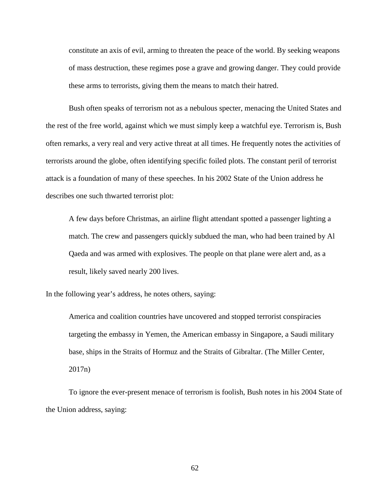constitute an axis of evil, arming to threaten the peace of the world. By seeking weapons of mass destruction, these regimes pose a grave and growing danger. They could provide these arms to terrorists, giving them the means to match their hatred.

Bush often speaks of terrorism not as a nebulous specter, menacing the United States and the rest of the free world, against which we must simply keep a watchful eye. Terrorism is, Bush often remarks, a very real and very active threat at all times. He frequently notes the activities of terrorists around the globe, often identifying specific foiled plots. The constant peril of terrorist attack is a foundation of many of these speeches. In his 2002 State of the Union address he describes one such thwarted terrorist plot:

A few days before Christmas, an airline flight attendant spotted a passenger lighting a match. The crew and passengers quickly subdued the man, who had been trained by Al Qaeda and was armed with explosives. The people on that plane were alert and, as a result, likely saved nearly 200 lives.

In the following year's address, he notes others, saying:

America and coalition countries have uncovered and stopped terrorist conspiracies targeting the embassy in Yemen, the American embassy in Singapore, a Saudi military base, ships in the Straits of Hormuz and the Straits of Gibraltar. (The Miller Center, 2017n)

To ignore the ever-present menace of terrorism is foolish, Bush notes in his 2004 State of the Union address, saying: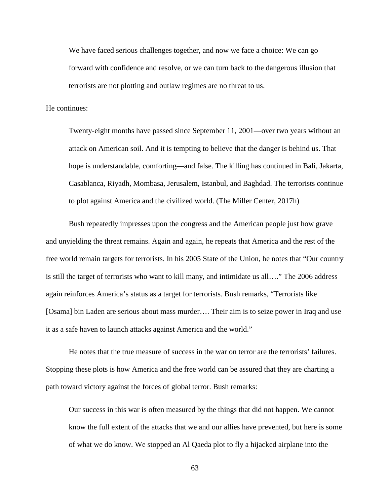We have faced serious challenges together, and now we face a choice: We can go forward with confidence and resolve, or we can turn back to the dangerous illusion that terrorists are not plotting and outlaw regimes are no threat to us.

He continues:

Twenty-eight months have passed since September 11, 2001—over two years without an attack on American soil. And it is tempting to believe that the danger is behind us. That hope is understandable, comforting—and false. The killing has continued in Bali, Jakarta, Casablanca, Riyadh, Mombasa, Jerusalem, Istanbul, and Baghdad. The terrorists continue to plot against America and the civilized world. (The Miller Center, 2017h)

Bush repeatedly impresses upon the congress and the American people just how grave and unyielding the threat remains. Again and again, he repeats that America and the rest of the free world remain targets for terrorists. In his 2005 State of the Union, he notes that "Our country is still the target of terrorists who want to kill many, and intimidate us all…." The 2006 address again reinforces America's status as a target for terrorists. Bush remarks, "Terrorists like [Osama] bin Laden are serious about mass murder.... Their aim is to seize power in Iraq and use it as a safe haven to launch attacks against America and the world."

He notes that the true measure of success in the war on terror are the terrorists' failures. Stopping these plots is how America and the free world can be assured that they are charting a path toward victory against the forces of global terror. Bush remarks:

Our success in this war is often measured by the things that did not happen. We cannot know the full extent of the attacks that we and our allies have prevented, but here is some of what we do know. We stopped an Al Qaeda plot to fly a hijacked airplane into the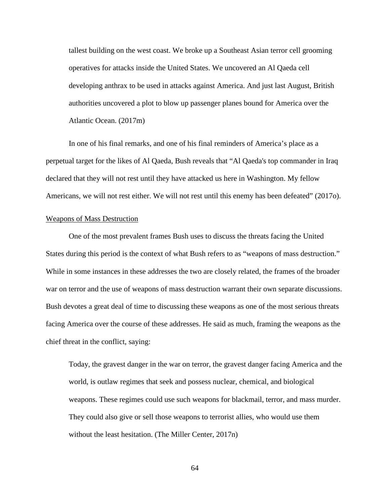tallest building on the west coast. We broke up a Southeast Asian terror cell grooming operatives for attacks inside the United States. We uncovered an Al Qaeda cell developing anthrax to be used in attacks against America. And just last August, British authorities uncovered a plot to blow up passenger planes bound for America over the Atlantic Ocean. (2017m)

In one of his final remarks, and one of his final reminders of America's place as a perpetual target for the likes of Al Qaeda, Bush reveals that "Al Qaeda's top commander in Iraq declared that they will not rest until they have attacked us here in Washington. My fellow Americans, we will not rest either. We will not rest until this enemy has been defeated" (2017o).

## Weapons of Mass Destruction

One of the most prevalent frames Bush uses to discuss the threats facing the United States during this period is the context of what Bush refers to as "weapons of mass destruction." While in some instances in these addresses the two are closely related, the frames of the broader war on terror and the use of weapons of mass destruction warrant their own separate discussions. Bush devotes a great deal of time to discussing these weapons as one of the most serious threats facing America over the course of these addresses. He said as much, framing the weapons as the chief threat in the conflict, saying:

Today, the gravest danger in the war on terror, the gravest danger facing America and the world, is outlaw regimes that seek and possess nuclear, chemical, and biological weapons. These regimes could use such weapons for blackmail, terror, and mass murder. They could also give or sell those weapons to terrorist allies, who would use them without the least hesitation. (The Miller Center, 2017n)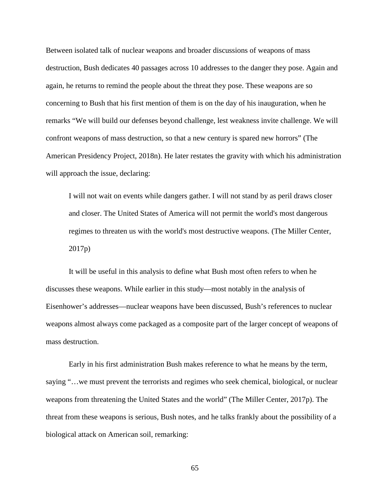Between isolated talk of nuclear weapons and broader discussions of weapons of mass destruction, Bush dedicates 40 passages across 10 addresses to the danger they pose. Again and again, he returns to remind the people about the threat they pose. These weapons are so concerning to Bush that his first mention of them is on the day of his inauguration, when he remarks "We will build our defenses beyond challenge, lest weakness invite challenge. We will confront weapons of mass destruction, so that a new century is spared new horrors" (The American Presidency Project, 2018n). He later restates the gravity with which his administration will approach the issue, declaring:

I will not wait on events while dangers gather. I will not stand by as peril draws closer and closer. The United States of America will not permit the world's most dangerous regimes to threaten us with the world's most destructive weapons. (The Miller Center, 2017p)

It will be useful in this analysis to define what Bush most often refers to when he discusses these weapons. While earlier in this study—most notably in the analysis of Eisenhower's addresses—nuclear weapons have been discussed, Bush's references to nuclear weapons almost always come packaged as a composite part of the larger concept of weapons of mass destruction.

Early in his first administration Bush makes reference to what he means by the term, saying "…we must prevent the terrorists and regimes who seek chemical, biological, or nuclear weapons from threatening the United States and the world" (The Miller Center, 2017p). The threat from these weapons is serious, Bush notes, and he talks frankly about the possibility of a biological attack on American soil, remarking: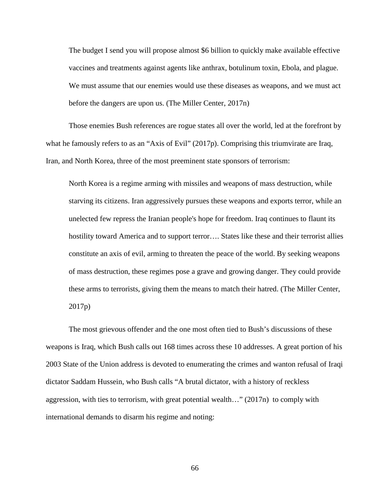The budget I send you will propose almost \$6 billion to quickly make available effective vaccines and treatments against agents like anthrax, botulinum toxin, Ebola, and plague. We must assume that our enemies would use these diseases as weapons, and we must act before the dangers are upon us. (The Miller Center, 2017n)

Those enemies Bush references are rogue states all over the world, led at the forefront by what he famously refers to as an "Axis of Evil" (2017p). Comprising this triumvirate are Iraq, Iran, and North Korea, three of the most preeminent state sponsors of terrorism:

North Korea is a regime arming with missiles and weapons of mass destruction, while starving its citizens. Iran aggressively pursues these weapons and exports terror, while an unelected few repress the Iranian people's hope for freedom. Iraq continues to flaunt its hostility toward America and to support terror.... States like these and their terrorist allies constitute an axis of evil, arming to threaten the peace of the world. By seeking weapons of mass destruction, these regimes pose a grave and growing danger. They could provide these arms to terrorists, giving them the means to match their hatred. (The Miller Center, 2017p)

The most grievous offender and the one most often tied to Bush's discussions of these weapons is Iraq, which Bush calls out 168 times across these 10 addresses. A great portion of his 2003 State of the Union address is devoted to enumerating the crimes and wanton refusal of Iraqi dictator Saddam Hussein, who Bush calls "A brutal dictator, with a history of reckless aggression, with ties to terrorism, with great potential wealth…" (2017n) to comply with international demands to disarm his regime and noting: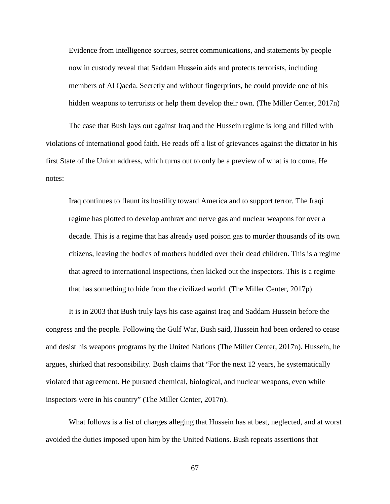Evidence from intelligence sources, secret communications, and statements by people now in custody reveal that Saddam Hussein aids and protects terrorists, including members of Al Qaeda. Secretly and without fingerprints, he could provide one of his hidden weapons to terrorists or help them develop their own. (The Miller Center, 2017n)

The case that Bush lays out against Iraq and the Hussein regime is long and filled with violations of international good faith. He reads off a list of grievances against the dictator in his first State of the Union address, which turns out to only be a preview of what is to come. He notes:

Iraq continues to flaunt its hostility toward America and to support terror. The Iraqi regime has plotted to develop anthrax and nerve gas and nuclear weapons for over a decade. This is a regime that has already used poison gas to murder thousands of its own citizens, leaving the bodies of mothers huddled over their dead children. This is a regime that agreed to international inspections, then kicked out the inspectors. This is a regime that has something to hide from the civilized world. (The Miller Center, 2017p)

It is in 2003 that Bush truly lays his case against Iraq and Saddam Hussein before the congress and the people. Following the Gulf War, Bush said, Hussein had been ordered to cease and desist his weapons programs by the United Nations (The Miller Center, 2017n). Hussein, he argues, shirked that responsibility. Bush claims that "For the next 12 years, he systematically violated that agreement. He pursued chemical, biological, and nuclear weapons, even while inspectors were in his country" (The Miller Center, 2017n).

What follows is a list of charges alleging that Hussein has at best, neglected, and at worst avoided the duties imposed upon him by the United Nations. Bush repeats assertions that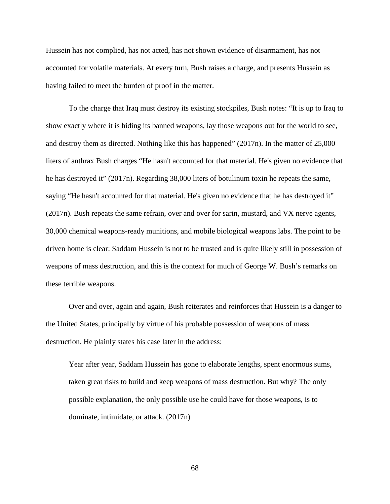Hussein has not complied, has not acted, has not shown evidence of disarmament, has not accounted for volatile materials. At every turn, Bush raises a charge, and presents Hussein as having failed to meet the burden of proof in the matter.

To the charge that Iraq must destroy its existing stockpiles, Bush notes: "It is up to Iraq to show exactly where it is hiding its banned weapons, lay those weapons out for the world to see, and destroy them as directed. Nothing like this has happened" (2017n). In the matter of 25,000 liters of anthrax Bush charges "He hasn't accounted for that material. He's given no evidence that he has destroyed it" (2017n). Regarding 38,000 liters of botulinum toxin he repeats the same, saying "He hasn't accounted for that material. He's given no evidence that he has destroyed it" (2017n). Bush repeats the same refrain, over and over for sarin, mustard, and VX nerve agents, 30,000 chemical weapons-ready munitions, and mobile biological weapons labs. The point to be driven home is clear: Saddam Hussein is not to be trusted and is quite likely still in possession of weapons of mass destruction, and this is the context for much of George W. Bush's remarks on these terrible weapons.

Over and over, again and again, Bush reiterates and reinforces that Hussein is a danger to the United States, principally by virtue of his probable possession of weapons of mass destruction. He plainly states his case later in the address:

Year after year, Saddam Hussein has gone to elaborate lengths, spent enormous sums, taken great risks to build and keep weapons of mass destruction. But why? The only possible explanation, the only possible use he could have for those weapons, is to dominate, intimidate, or attack. (2017n)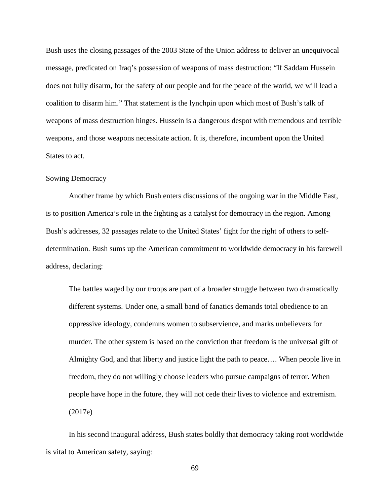Bush uses the closing passages of the 2003 State of the Union address to deliver an unequivocal message, predicated on Iraq's possession of weapons of mass destruction: "If Saddam Hussein does not fully disarm, for the safety of our people and for the peace of the world, we will lead a coalition to disarm him." That statement is the lynchpin upon which most of Bush's talk of weapons of mass destruction hinges. Hussein is a dangerous despot with tremendous and terrible weapons, and those weapons necessitate action. It is, therefore, incumbent upon the United States to act.

## Sowing Democracy

Another frame by which Bush enters discussions of the ongoing war in the Middle East, is to position America's role in the fighting as a catalyst for democracy in the region. Among Bush's addresses, 32 passages relate to the United States' fight for the right of others to selfdetermination. Bush sums up the American commitment to worldwide democracy in his farewell address, declaring:

The battles waged by our troops are part of a broader struggle between two dramatically different systems. Under one, a small band of fanatics demands total obedience to an oppressive ideology, condemns women to subservience, and marks unbelievers for murder. The other system is based on the conviction that freedom is the universal gift of Almighty God, and that liberty and justice light the path to peace…. When people live in freedom, they do not willingly choose leaders who pursue campaigns of terror. When people have hope in the future, they will not cede their lives to violence and extremism. (2017e)

In his second inaugural address, Bush states boldly that democracy taking root worldwide is vital to American safety, saying: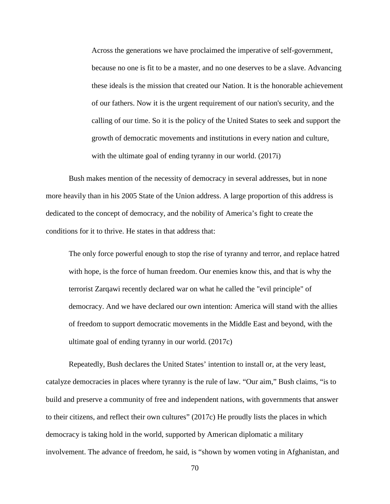Across the generations we have proclaimed the imperative of self-government, because no one is fit to be a master, and no one deserves to be a slave. Advancing these ideals is the mission that created our Nation. It is the honorable achievement of our fathers. Now it is the urgent requirement of our nation's security, and the calling of our time. So it is the policy of the United States to seek and support the growth of democratic movements and institutions in every nation and culture, with the ultimate goal of ending tyranny in our world. (2017i)

Bush makes mention of the necessity of democracy in several addresses, but in none more heavily than in his 2005 State of the Union address. A large proportion of this address is dedicated to the concept of democracy, and the nobility of America's fight to create the conditions for it to thrive. He states in that address that:

The only force powerful enough to stop the rise of tyranny and terror, and replace hatred with hope, is the force of human freedom. Our enemies know this, and that is why the terrorist Zarqawi recently declared war on what he called the "evil principle" of democracy. And we have declared our own intention: America will stand with the allies of freedom to support democratic movements in the Middle East and beyond, with the ultimate goal of ending tyranny in our world. (2017c)

Repeatedly, Bush declares the United States' intention to install or, at the very least, catalyze democracies in places where tyranny is the rule of law. "Our aim," Bush claims, "is to build and preserve a community of free and independent nations, with governments that answer to their citizens, and reflect their own cultures" (2017c) He proudly lists the places in which democracy is taking hold in the world, supported by American diplomatic a military involvement. The advance of freedom, he said, is "shown by women voting in Afghanistan, and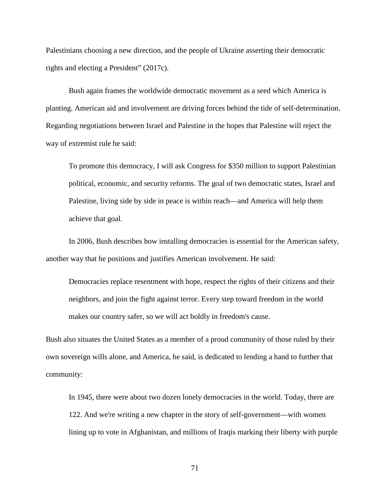Palestinians choosing a new direction, and the people of Ukraine asserting their democratic rights and electing a President" (2017c).

Bush again frames the worldwide democratic movement as a seed which America is planting. American aid and involvement are driving forces behind the tide of self-determination. Regarding negotiations between Israel and Palestine in the hopes that Palestine will reject the way of extremist rule he said:

To promote this democracy, I will ask Congress for \$350 million to support Palestinian political, economic, and security reforms. The goal of two democratic states, Israel and Palestine, living side by side in peace is within reach—and America will help them achieve that goal.

In 2006, Bush describes how installing democracies is essential for the American safety, another way that he positions and justifies American involvement. He said:

Democracies replace resentment with hope, respect the rights of their citizens and their neighbors, and join the fight against terror. Every step toward freedom in the world makes our country safer, so we will act boldly in freedom's cause.

Bush also situates the United States as a member of a proud community of those ruled by their own sovereign wills alone, and America, he said, is dedicated to lending a hand to further that community:

In 1945, there were about two dozen lonely democracies in the world. Today, there are 122. And we're writing a new chapter in the story of self-government—with women lining up to vote in Afghanistan, and millions of Iraqis marking their liberty with purple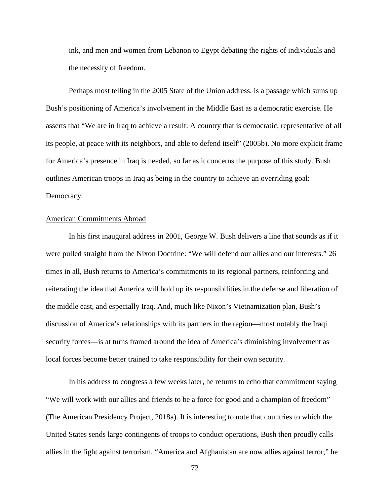ink, and men and women from Lebanon to Egypt debating the rights of individuals and the necessity of freedom.

Perhaps most telling in the 2005 State of the Union address, is a passage which sums up Bush's positioning of America's involvement in the Middle East as a democratic exercise. He asserts that "We are in Iraq to achieve a result: A country that is democratic, representative of all its people, at peace with its neighbors, and able to defend itself" (2005b). No more explicit frame for America's presence in Iraq is needed, so far as it concerns the purpose of this study. Bush outlines American troops in Iraq as being in the country to achieve an overriding goal: Democracy.

## American Commitments Abroad

In his first inaugural address in 2001, George W. Bush delivers a line that sounds as if it were pulled straight from the Nixon Doctrine: "We will defend our allies and our interests." 26 times in all, Bush returns to America's commitments to its regional partners, reinforcing and reiterating the idea that America will hold up its responsibilities in the defense and liberation of the middle east, and especially Iraq. And, much like Nixon's Vietnamization plan, Bush's discussion of America's relationships with its partners in the region—most notably the Iraqi security forces—is at turns framed around the idea of America's diminishing involvement as local forces become better trained to take responsibility for their own security.

In his address to congress a few weeks later, he returns to echo that commitment saying "We will work with our allies and friends to be a force for good and a champion of freedom" (The American Presidency Project, 2018a). It is interesting to note that countries to which the United States sends large contingents of troops to conduct operations, Bush then proudly calls allies in the fight against terrorism. "America and Afghanistan are now allies against terror," he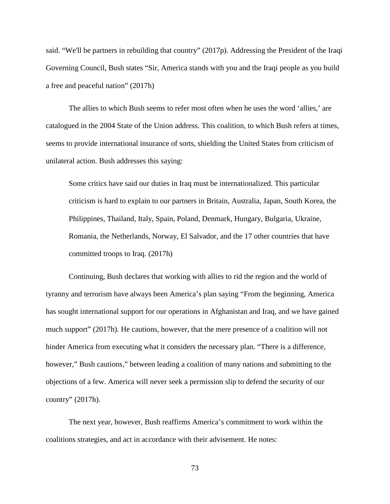said. "We'll be partners in rebuilding that country" (2017p). Addressing the President of the Iraqi Governing Council, Bush states "Sir, America stands with you and the Iraqi people as you build a free and peaceful nation" (2017h)

The allies to which Bush seems to refer most often when he uses the word 'allies,' are catalogued in the 2004 State of the Union address. This coalition, to which Bush refers at times, seems to provide international insurance of sorts, shielding the United States from criticism of unilateral action. Bush addresses this saying:

Some critics have said our duties in Iraq must be internationalized. This particular criticism is hard to explain to our partners in Britain, Australia, Japan, South Korea, the Philippines, Thailand, Italy, Spain, Poland, Denmark, Hungary, Bulgaria, Ukraine, Romania, the Netherlands, Norway, El Salvador, and the 17 other countries that have committed troops to Iraq. (2017h)

Continuing, Bush declares that working with allies to rid the region and the world of tyranny and terrorism have always been America's plan saying "From the beginning, America has sought international support for our operations in Afghanistan and Iraq, and we have gained much support" (2017h). He cautions, however, that the mere presence of a coalition will not hinder America from executing what it considers the necessary plan. "There is a difference, however," Bush cautions," between leading a coalition of many nations and submitting to the objections of a few. America will never seek a permission slip to defend the security of our country" (2017h).

The next year, however, Bush reaffirms America's commitment to work within the coalitions strategies, and act in accordance with their advisement. He notes: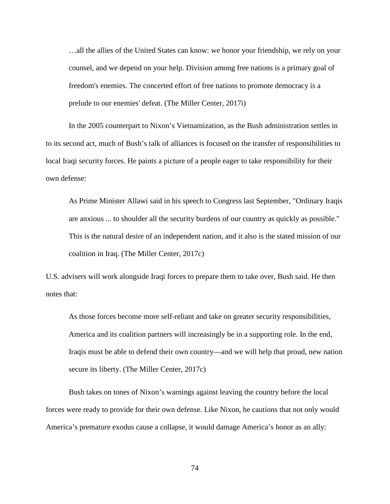…all the allies of the United States can know: we honor your friendship, we rely on your counsel, and we depend on your help. Division among free nations is a primary goal of freedom's enemies. The concerted effort of free nations to promote democracy is a prelude to our enemies' defeat. (The Miller Center, 2017i)

In the 2005 counterpart to Nixon's Vietnamization, as the Bush administration settles in to its second act, much of Bush's talk of alliances is focused on the transfer of responsibilities to local Iraqi security forces. He paints a picture of a people eager to take responsibility for their own defense:

As Prime Minister Allawi said in his speech to Congress last September, "Ordinary Iraqis are anxious ... to shoulder all the security burdens of our country as quickly as possible." This is the natural desire of an independent nation, and it also is the stated mission of our coalition in Iraq. (The Miller Center, 2017c)

U.S. advisers will work alongside Iraqi forces to prepare them to take over, Bush said. He then notes that:

As those forces become more self-reliant and take on greater security responsibilities, America and its coalition partners will increasingly be in a supporting role. In the end, Iraqis must be able to defend their own country—and we will help that proud, new nation secure its liberty. (The Miller Center, 2017c)

Bush takes on tones of Nixon's warnings against leaving the country before the local forces were ready to provide for their own defense. Like Nixon, he cautions that not only would America's premature exodus cause a collapse, it would damage America's honor as an ally: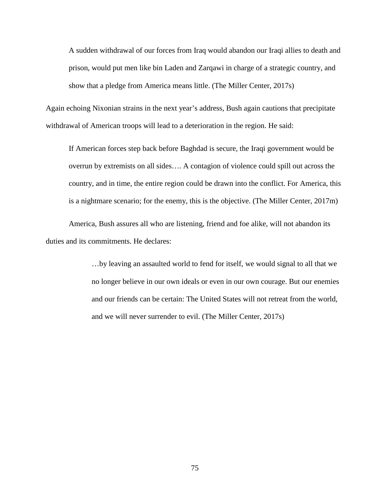A sudden withdrawal of our forces from Iraq would abandon our Iraqi allies to death and prison, would put men like bin Laden and Zarqawi in charge of a strategic country, and show that a pledge from America means little. (The Miller Center, 2017s)

Again echoing Nixonian strains in the next year's address, Bush again cautions that precipitate withdrawal of American troops will lead to a deterioration in the region. He said:

If American forces step back before Baghdad is secure, the Iraqi government would be overrun by extremists on all sides…. A contagion of violence could spill out across the country, and in time, the entire region could be drawn into the conflict. For America, this is a nightmare scenario; for the enemy, this is the objective. (The Miller Center, 2017m)

America, Bush assures all who are listening, friend and foe alike, will not abandon its duties and its commitments. He declares:

> …by leaving an assaulted world to fend for itself, we would signal to all that we no longer believe in our own ideals or even in our own courage. But our enemies and our friends can be certain: The United States will not retreat from the world, and we will never surrender to evil. (The Miller Center, 2017s)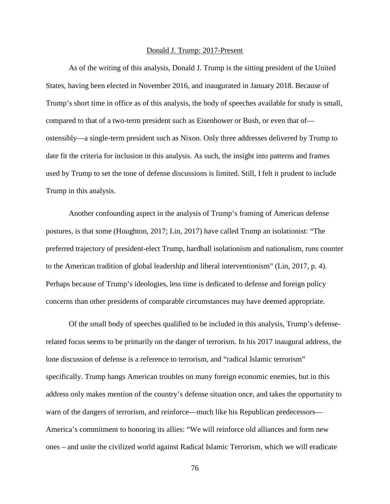#### Donald J. Trump: 2017-Present

As of the writing of this analysis, Donald J. Trump is the sitting president of the United States, having been elected in November 2016, and inaugurated in January 2018. Because of Trump's short time in office as of this analysis, the body of speeches available for study is small, compared to that of a two-term president such as Eisenhower or Bush, or even that of ostensibly—a single-term president such as Nixon. Only three addresses delivered by Trump to date fit the criteria for inclusion in this analysis. As such, the insight into patterns and frames used by Trump to set the tone of defense discussions is limited. Still, I felt it prudent to include Trump in this analysis.

Another confounding aspect in the analysis of Trump's framing of American defense postures, is that some (Houghton, 2017; Lin, 2017) have called Trump an isolationist: "The preferred trajectory of president-elect Trump, hardball isolationism and nationalism, runs counter to the American tradition of global leadership and liberal interventionism" (Lin, 2017, p. 4). Perhaps because of Trump's ideologies, less time is dedicated to defense and foreign policy concerns than other presidents of comparable circumstances may have deemed appropriate.

Of the small body of speeches qualified to be included in this analysis, Trump's defenserelated focus seems to be primarily on the danger of terrorism. In his 2017 inaugural address, the lone discussion of defense is a reference to terrorism, and "radical Islamic terrorism" specifically. Trump hangs American troubles on many foreign economic enemies, but in this address only makes mention of the country's defense situation once, and takes the opportunity to warn of the dangers of terrorism, and reinforce—much like his Republican predecessors— America's commitment to honoring its allies: "We will reinforce old alliances and form new ones – and unite the civilized world against Radical Islamic Terrorism, which we will eradicate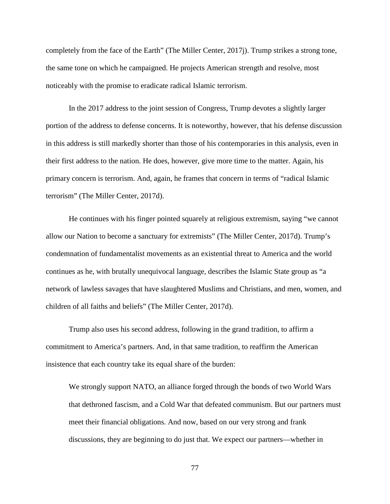completely from the face of the Earth" (The Miller Center, 2017j). Trump strikes a strong tone, the same tone on which he campaigned. He projects American strength and resolve, most noticeably with the promise to eradicate radical Islamic terrorism.

In the 2017 address to the joint session of Congress, Trump devotes a slightly larger portion of the address to defense concerns. It is noteworthy, however, that his defense discussion in this address is still markedly shorter than those of his contemporaries in this analysis, even in their first address to the nation. He does, however, give more time to the matter. Again, his primary concern is terrorism. And, again, he frames that concern in terms of "radical Islamic terrorism" (The Miller Center, 2017d).

He continues with his finger pointed squarely at religious extremism, saying "we cannot allow our Nation to become a sanctuary for extremists" (The Miller Center, 2017d). Trump's condemnation of fundamentalist movements as an existential threat to America and the world continues as he, with brutally unequivocal language, describes the Islamic State group as "a network of lawless savages that have slaughtered Muslims and Christians, and men, women, and children of all faiths and beliefs" (The Miller Center, 2017d).

Trump also uses his second address, following in the grand tradition, to affirm a commitment to America's partners. And, in that same tradition, to reaffirm the American insistence that each country take its equal share of the burden:

We strongly support NATO, an alliance forged through the bonds of two World Wars that dethroned fascism, and a Cold War that defeated communism. But our partners must meet their financial obligations. And now, based on our very strong and frank discussions, they are beginning to do just that. We expect our partners—whether in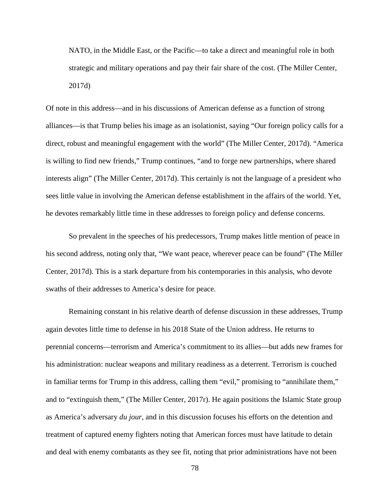NATO, in the Middle East, or the Pacific—to take a direct and meaningful role in both strategic and military operations and pay their fair share of the cost. (The Miller Center, 2017d)

Of note in this address—and in his discussions of American defense as a function of strong alliances—is that Trump belies his image as an isolationist, saying "Our foreign policy calls for a direct, robust and meaningful engagement with the world" (The Miller Center, 2017d). "America is willing to find new friends," Trump continues, "and to forge new partnerships, where shared interests align" (The Miller Center, 2017d). This certainly is not the language of a president who sees little value in involving the American defense establishment in the affairs of the world. Yet, he devotes remarkably little time in these addresses to foreign policy and defense concerns.

So prevalent in the speeches of his predecessors, Trump makes little mention of peace in his second address, noting only that, "We want peace, wherever peace can be found" (The Miller Center, 2017d). This is a stark departure from his contemporaries in this analysis, who devote swaths of their addresses to America's desire for peace.

Remaining constant in his relative dearth of defense discussion in these addresses, Trump again devotes little time to defense in his 2018 State of the Union address. He returns to perennial concerns—terrorism and America's commitment to its allies—but adds new frames for his administration: nuclear weapons and military readiness as a deterrent. Terrorism is couched in familiar terms for Trump in this address, calling them "evil," promising to "annihilate them," and to "extinguish them," (The Miller Center, 2017r). He again positions the Islamic State group as America's adversary *du jour*, and in this discussion focuses his efforts on the detention and treatment of captured enemy fighters noting that American forces must have latitude to detain and deal with enemy combatants as they see fit, noting that prior administrations have not been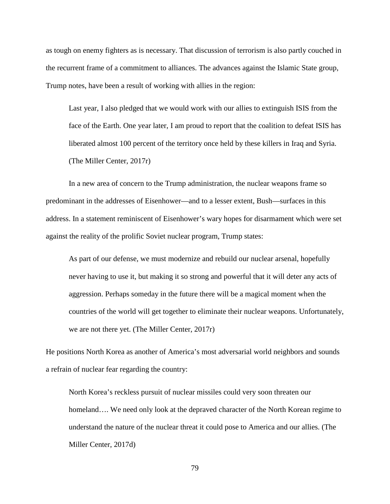as tough on enemy fighters as is necessary. That discussion of terrorism is also partly couched in the recurrent frame of a commitment to alliances. The advances against the Islamic State group, Trump notes, have been a result of working with allies in the region:

Last year, I also pledged that we would work with our allies to extinguish ISIS from the face of the Earth. One year later, I am proud to report that the coalition to defeat ISIS has liberated almost 100 percent of the territory once held by these killers in Iraq and Syria. (The Miller Center, 2017r)

In a new area of concern to the Trump administration, the nuclear weapons frame so predominant in the addresses of Eisenhower—and to a lesser extent, Bush—surfaces in this address. In a statement reminiscent of Eisenhower's wary hopes for disarmament which were set against the reality of the prolific Soviet nuclear program, Trump states:

As part of our defense, we must modernize and rebuild our nuclear arsenal, hopefully never having to use it, but making it so strong and powerful that it will deter any acts of aggression. Perhaps someday in the future there will be a magical moment when the countries of the world will get together to eliminate their nuclear weapons. Unfortunately, we are not there yet. (The Miller Center, 2017r)

He positions North Korea as another of America's most adversarial world neighbors and sounds a refrain of nuclear fear regarding the country:

North Korea's reckless pursuit of nuclear missiles could very soon threaten our homeland.... We need only look at the depraved character of the North Korean regime to understand the nature of the nuclear threat it could pose to America and our allies. (The Miller Center, 2017d)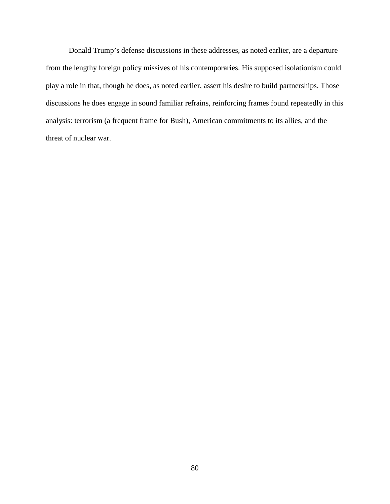Donald Trump's defense discussions in these addresses, as noted earlier, are a departure from the lengthy foreign policy missives of his contemporaries. His supposed isolationism could play a role in that, though he does, as noted earlier, assert his desire to build partnerships. Those discussions he does engage in sound familiar refrains, reinforcing frames found repeatedly in this analysis: terrorism (a frequent frame for Bush), American commitments to its allies, and the threat of nuclear war.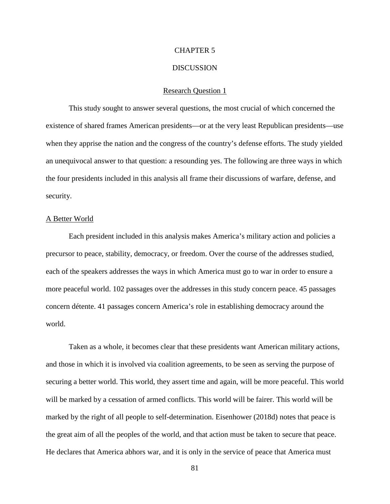### CHAPTER 5

### DISCUSSION

#### Research Question 1

This study sought to answer several questions, the most crucial of which concerned the existence of shared frames American presidents—or at the very least Republican presidents—use when they apprise the nation and the congress of the country's defense efforts. The study yielded an unequivocal answer to that question: a resounding yes. The following are three ways in which the four presidents included in this analysis all frame their discussions of warfare, defense, and security.

#### A Better World

Each president included in this analysis makes America's military action and policies a precursor to peace, stability, democracy, or freedom. Over the course of the addresses studied, each of the speakers addresses the ways in which America must go to war in order to ensure a more peaceful world. 102 passages over the addresses in this study concern peace. 45 passages concern détente. 41 passages concern America's role in establishing democracy around the world.

Taken as a whole, it becomes clear that these presidents want American military actions, and those in which it is involved via coalition agreements, to be seen as serving the purpose of securing a better world. This world, they assert time and again, will be more peaceful. This world will be marked by a cessation of armed conflicts. This world will be fairer. This world will be marked by the right of all people to self-determination. Eisenhower (2018d) notes that peace is the great aim of all the peoples of the world, and that action must be taken to secure that peace. He declares that America abhors war, and it is only in the service of peace that America must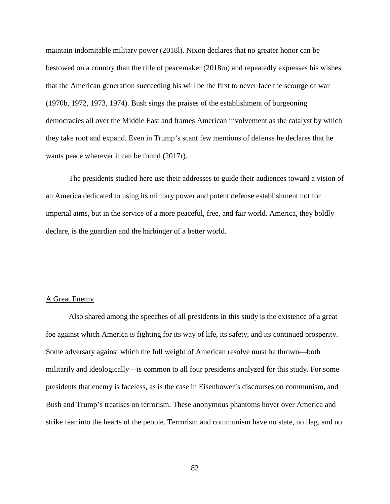maintain indomitable military power (2018l). Nixon declares that no greater honor can be bestowed on a country than the title of peacemaker (2018m) and repeatedly expresses his wishes that the American generation succeeding his will be the first to never face the scourge of war (1970b, 1972, 1973, 1974). Bush sings the praises of the establishment of burgeoning democracies all over the Middle East and frames American involvement as the catalyst by which they take root and expand. Even in Trump's scant few mentions of defense he declares that he wants peace wherever it can be found (2017r).

The presidents studied here use their addresses to guide their audiences toward a vision of an America dedicated to using its military power and potent defense establishment not for imperial aims, but in the service of a more peaceful, free, and fair world. America, they boldly declare, is the guardian and the harbinger of a better world.

## A Great Enemy

Also shared among the speeches of all presidents in this study is the existence of a great foe against which America is fighting for its way of life, its safety, and its continued prosperity. Some adversary against which the full weight of American resolve must be thrown—both militarily and ideologically—is common to all four presidents analyzed for this study. For some presidents that enemy is faceless, as is the case in Eisenhower's discourses on communism, and Bush and Trump's treatises on terrorism. These anonymous phantoms hover over America and strike fear into the hearts of the people. Terrorism and communism have no state, no flag, and no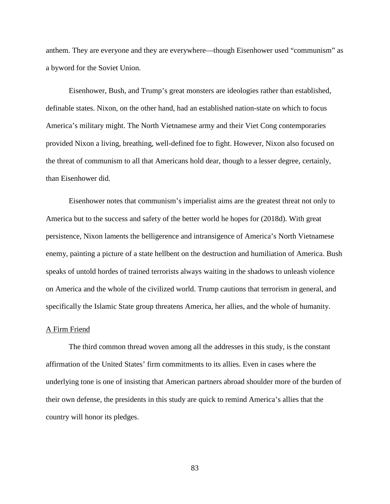anthem. They are everyone and they are everywhere—though Eisenhower used "communism" as a byword for the Soviet Union.

Eisenhower, Bush, and Trump's great monsters are ideologies rather than established, definable states. Nixon, on the other hand, had an established nation-state on which to focus America's military might. The North Vietnamese army and their Viet Cong contemporaries provided Nixon a living, breathing, well-defined foe to fight. However, Nixon also focused on the threat of communism to all that Americans hold dear, though to a lesser degree, certainly, than Eisenhower did.

Eisenhower notes that communism's imperialist aims are the greatest threat not only to America but to the success and safety of the better world he hopes for (2018d). With great persistence, Nixon laments the belligerence and intransigence of America's North Vietnamese enemy, painting a picture of a state hellbent on the destruction and humiliation of America. Bush speaks of untold hordes of trained terrorists always waiting in the shadows to unleash violence on America and the whole of the civilized world. Trump cautions that terrorism in general, and specifically the Islamic State group threatens America, her allies, and the whole of humanity.

## A Firm Friend

The third common thread woven among all the addresses in this study, is the constant affirmation of the United States' firm commitments to its allies. Even in cases where the underlying tone is one of insisting that American partners abroad shoulder more of the burden of their own defense, the presidents in this study are quick to remind America's allies that the country will honor its pledges.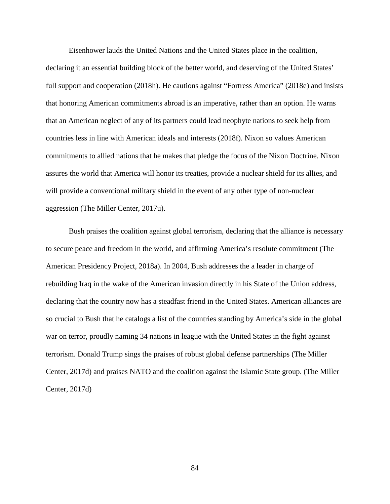Eisenhower lauds the United Nations and the United States place in the coalition, declaring it an essential building block of the better world, and deserving of the United States' full support and cooperation (2018h). He cautions against "Fortress America" (2018e) and insists that honoring American commitments abroad is an imperative, rather than an option. He warns that an American neglect of any of its partners could lead neophyte nations to seek help from countries less in line with American ideals and interests (2018f). Nixon so values American commitments to allied nations that he makes that pledge the focus of the Nixon Doctrine. Nixon assures the world that America will honor its treaties, provide a nuclear shield for its allies, and will provide a conventional military shield in the event of any other type of non-nuclear aggression (The Miller Center, 2017u).

Bush praises the coalition against global terrorism, declaring that the alliance is necessary to secure peace and freedom in the world, and affirming America's resolute commitment (The American Presidency Project, 2018a). In 2004, Bush addresses the a leader in charge of rebuilding Iraq in the wake of the American invasion directly in his State of the Union address, declaring that the country now has a steadfast friend in the United States. American alliances are so crucial to Bush that he catalogs a list of the countries standing by America's side in the global war on terror, proudly naming 34 nations in league with the United States in the fight against terrorism. Donald Trump sings the praises of robust global defense partnerships (The Miller Center, 2017d) and praises NATO and the coalition against the Islamic State group. (The Miller Center, 2017d)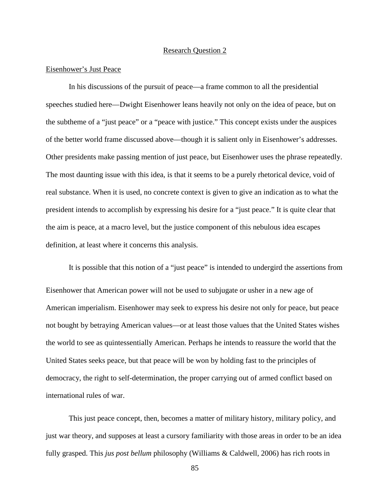## Research Question 2

#### Eisenhower's Just Peace

In his discussions of the pursuit of peace—a frame common to all the presidential speeches studied here—Dwight Eisenhower leans heavily not only on the idea of peace, but on the subtheme of a "just peace" or a "peace with justice." This concept exists under the auspices of the better world frame discussed above—though it is salient only in Eisenhower's addresses. Other presidents make passing mention of just peace, but Eisenhower uses the phrase repeatedly. The most daunting issue with this idea, is that it seems to be a purely rhetorical device, void of real substance. When it is used, no concrete context is given to give an indication as to what the president intends to accomplish by expressing his desire for a "just peace." It is quite clear that the aim is peace, at a macro level, but the justice component of this nebulous idea escapes definition, at least where it concerns this analysis.

It is possible that this notion of a "just peace" is intended to undergird the assertions from Eisenhower that American power will not be used to subjugate or usher in a new age of American imperialism. Eisenhower may seek to express his desire not only for peace, but peace not bought by betraying American values—or at least those values that the United States wishes the world to see as quintessentially American. Perhaps he intends to reassure the world that the United States seeks peace, but that peace will be won by holding fast to the principles of democracy, the right to self-determination, the proper carrying out of armed conflict based on international rules of war.

This just peace concept, then, becomes a matter of military history, military policy, and just war theory, and supposes at least a cursory familiarity with those areas in order to be an idea fully grasped. This *jus post bellum* philosophy (Williams & Caldwell, 2006) has rich roots in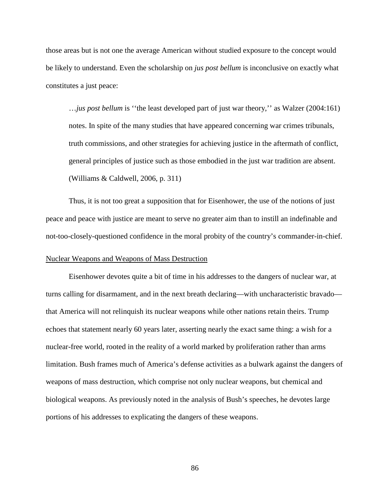those areas but is not one the average American without studied exposure to the concept would be likely to understand. Even the scholarship on *jus post bellum* is inconclusive on exactly what constitutes a just peace:

…*jus post bellum* is ''the least developed part of just war theory,'' as Walzer (2004:161) notes. In spite of the many studies that have appeared concerning war crimes tribunals, truth commissions, and other strategies for achieving justice in the aftermath of conflict, general principles of justice such as those embodied in the just war tradition are absent. (Williams & Caldwell, 2006, p. 311)

Thus, it is not too great a supposition that for Eisenhower, the use of the notions of just peace and peace with justice are meant to serve no greater aim than to instill an indefinable and not-too-closely-questioned confidence in the moral probity of the country's commander-in-chief.

### Nuclear Weapons and Weapons of Mass Destruction

Eisenhower devotes quite a bit of time in his addresses to the dangers of nuclear war, at turns calling for disarmament, and in the next breath declaring—with uncharacteristic bravado that America will not relinquish its nuclear weapons while other nations retain theirs. Trump echoes that statement nearly 60 years later, asserting nearly the exact same thing: a wish for a nuclear-free world, rooted in the reality of a world marked by proliferation rather than arms limitation. Bush frames much of America's defense activities as a bulwark against the dangers of weapons of mass destruction, which comprise not only nuclear weapons, but chemical and biological weapons. As previously noted in the analysis of Bush's speeches, he devotes large portions of his addresses to explicating the dangers of these weapons.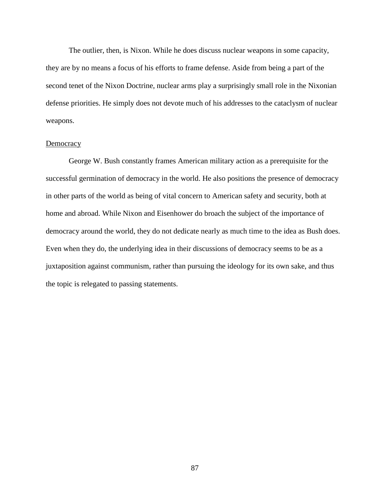The outlier, then, is Nixon. While he does discuss nuclear weapons in some capacity, they are by no means a focus of his efforts to frame defense. Aside from being a part of the second tenet of the Nixon Doctrine, nuclear arms play a surprisingly small role in the Nixonian defense priorities. He simply does not devote much of his addresses to the cataclysm of nuclear weapons.

## **Democracy**

George W. Bush constantly frames American military action as a prerequisite for the successful germination of democracy in the world. He also positions the presence of democracy in other parts of the world as being of vital concern to American safety and security, both at home and abroad. While Nixon and Eisenhower do broach the subject of the importance of democracy around the world, they do not dedicate nearly as much time to the idea as Bush does. Even when they do, the underlying idea in their discussions of democracy seems to be as a juxtaposition against communism, rather than pursuing the ideology for its own sake, and thus the topic is relegated to passing statements.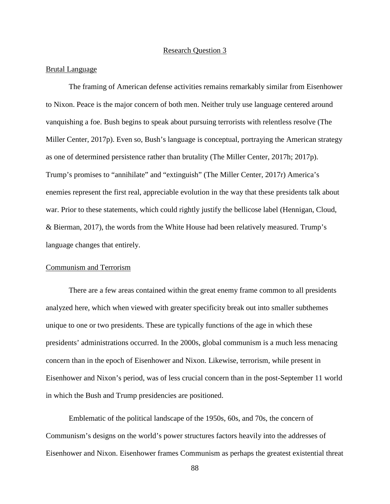### Research Question 3

#### Brutal Language

The framing of American defense activities remains remarkably similar from Eisenhower to Nixon. Peace is the major concern of both men. Neither truly use language centered around vanquishing a foe. Bush begins to speak about pursuing terrorists with relentless resolve (The Miller Center, 2017p). Even so, Bush's language is conceptual, portraying the American strategy as one of determined persistence rather than brutality (The Miller Center, 2017h; 2017p). Trump's promises to "annihilate" and "extinguish" (The Miller Center, 2017r) America's enemies represent the first real, appreciable evolution in the way that these presidents talk about war. Prior to these statements, which could rightly justify the bellicose label (Hennigan, Cloud, & Bierman, 2017), the words from the White House had been relatively measured. Trump's language changes that entirely.

### Communism and Terrorism

There are a few areas contained within the great enemy frame common to all presidents analyzed here, which when viewed with greater specificity break out into smaller subthemes unique to one or two presidents. These are typically functions of the age in which these presidents' administrations occurred. In the 2000s, global communism is a much less menacing concern than in the epoch of Eisenhower and Nixon. Likewise, terrorism, while present in Eisenhower and Nixon's period, was of less crucial concern than in the post-September 11 world in which the Bush and Trump presidencies are positioned.

Emblematic of the political landscape of the 1950s, 60s, and 70s, the concern of Communism's designs on the world's power structures factors heavily into the addresses of Eisenhower and Nixon. Eisenhower frames Communism as perhaps the greatest existential threat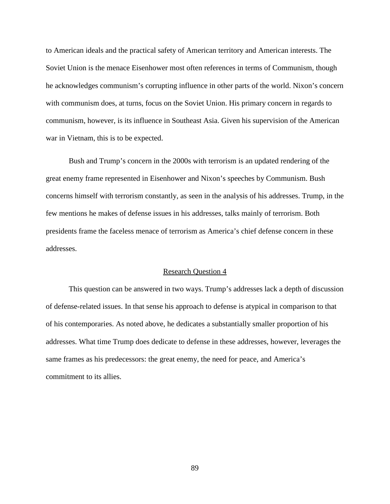to American ideals and the practical safety of American territory and American interests. The Soviet Union is the menace Eisenhower most often references in terms of Communism, though he acknowledges communism's corrupting influence in other parts of the world. Nixon's concern with communism does, at turns, focus on the Soviet Union. His primary concern in regards to communism, however, is its influence in Southeast Asia. Given his supervision of the American war in Vietnam, this is to be expected.

Bush and Trump's concern in the 2000s with terrorism is an updated rendering of the great enemy frame represented in Eisenhower and Nixon's speeches by Communism. Bush concerns himself with terrorism constantly, as seen in the analysis of his addresses. Trump, in the few mentions he makes of defense issues in his addresses, talks mainly of terrorism. Both presidents frame the faceless menace of terrorism as America's chief defense concern in these addresses.

### Research Question 4

This question can be answered in two ways. Trump's addresses lack a depth of discussion of defense-related issues. In that sense his approach to defense is atypical in comparison to that of his contemporaries. As noted above, he dedicates a substantially smaller proportion of his addresses. What time Trump does dedicate to defense in these addresses, however, leverages the same frames as his predecessors: the great enemy, the need for peace, and America's commitment to its allies.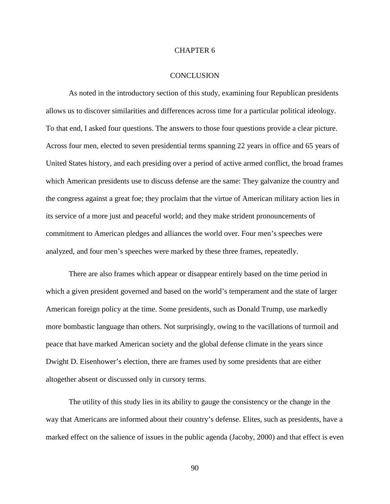## CHAPTER 6

#### **CONCLUSION**

As noted in the introductory section of this study, examining four Republican presidents allows us to discover similarities and differences across time for a particular political ideology. To that end, I asked four questions. The answers to those four questions provide a clear picture. Across four men, elected to seven presidential terms spanning 22 years in office and 65 years of United States history, and each presiding over a period of active armed conflict, the broad frames which American presidents use to discuss defense are the same: They galvanize the country and the congress against a great foe; they proclaim that the virtue of American military action lies in its service of a more just and peaceful world; and they make strident pronouncements of commitment to American pledges and alliances the world over. Four men's speeches were analyzed, and four men's speeches were marked by these three frames, repeatedly.

There are also frames which appear or disappear entirely based on the time period in which a given president governed and based on the world's temperament and the state of larger American foreign policy at the time. Some presidents, such as Donald Trump, use markedly more bombastic language than others. Not surprisingly, owing to the vacillations of turmoil and peace that have marked American society and the global defense climate in the years since Dwight D. Eisenhower's election, there are frames used by some presidents that are either altogether absent or discussed only in cursory terms.

The utility of this study lies in its ability to gauge the consistency or the change in the way that Americans are informed about their country's defense. Elites, such as presidents, have a marked effect on the salience of issues in the public agenda (Jacoby, 2000) and that effect is even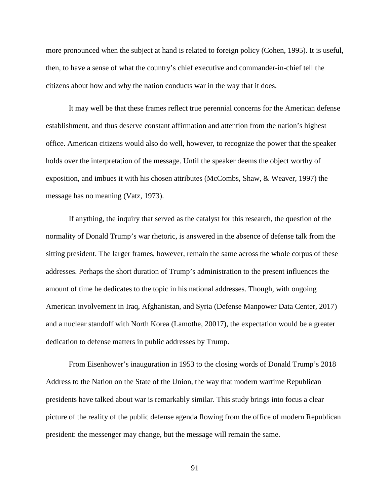more pronounced when the subject at hand is related to foreign policy (Cohen, 1995). It is useful, then, to have a sense of what the country's chief executive and commander-in-chief tell the citizens about how and why the nation conducts war in the way that it does.

It may well be that these frames reflect true perennial concerns for the American defense establishment, and thus deserve constant affirmation and attention from the nation's highest office. American citizens would also do well, however, to recognize the power that the speaker holds over the interpretation of the message. Until the speaker deems the object worthy of exposition, and imbues it with his chosen attributes (McCombs, Shaw, & Weaver, 1997) the message has no meaning (Vatz, 1973).

If anything, the inquiry that served as the catalyst for this research, the question of the normality of Donald Trump's war rhetoric, is answered in the absence of defense talk from the sitting president. The larger frames, however, remain the same across the whole corpus of these addresses. Perhaps the short duration of Trump's administration to the present influences the amount of time he dedicates to the topic in his national addresses. Though, with ongoing American involvement in Iraq, Afghanistan, and Syria (Defense Manpower Data Center, 2017) and a nuclear standoff with North Korea (Lamothe, 20017), the expectation would be a greater dedication to defense matters in public addresses by Trump.

From Eisenhower's inauguration in 1953 to the closing words of Donald Trump's 2018 Address to the Nation on the State of the Union, the way that modern wartime Republican presidents have talked about war is remarkably similar. This study brings into focus a clear picture of the reality of the public defense agenda flowing from the office of modern Republican president: the messenger may change, but the message will remain the same.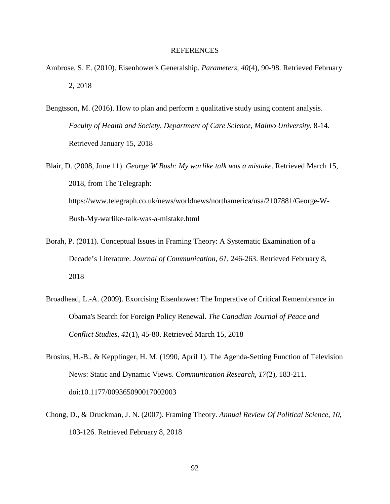### REFERENCES

- Ambrose, S. E. (2010). Eisenhower's Generalship. *Parameters, 40*(4), 90-98. Retrieved February 2, 2018
- Bengtsson, M. (2016). How to plan and perform a qualitative study using content analysis. *Faculty of Health and Society, Department of Care Science, Malmo University*, 8-14. Retrieved January 15, 2018
- Blair, D. (2008, June 11). *George W Bush: My warlike talk was a mistake*. Retrieved March 15, 2018, from The Telegraph: https://www.telegraph.co.uk/news/worldnews/northamerica/usa/2107881/George-W-Bush-My-warlike-talk-was-a-mistake.html
- Borah, P. (2011). Conceptual Issues in Framing Theory: A Systematic Examination of a Decade's Literature. *Journal of Communication, 61*, 246-263. Retrieved February 8, 2018
- Broadhead, L.-A. (2009). Exorcising Eisenhower: The Imperative of Critical Remembrance in Obama's Search for Foreign Policy Renewal. *The Canadian Journal of Peace and Conflict Studies, 41*(1), 45-80. Retrieved March 15, 2018
- Brosius, H.-B., & Kepplinger, H. M. (1990, April 1). The Agenda-Setting Function of Television News: Static and Dynamic Views. *Communication Research, 17*(2), 183-211. doi:10.1177/009365090017002003
- Chong, D., & Druckman, J. N. (2007). Framing Theory. *Annual Review Of Political Science, 10*, 103-126. Retrieved February 8, 2018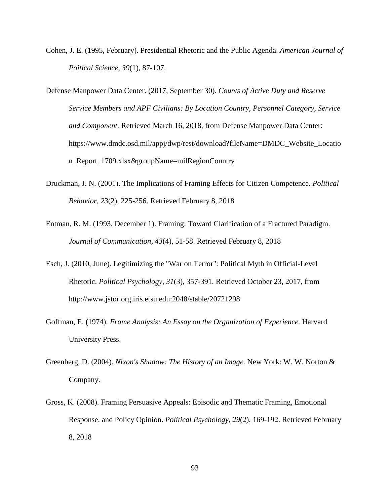- Cohen, J. E. (1995, February). Presidential Rhetoric and the Public Agenda. *American Journal of Poitical Science, 39*(1), 87-107.
- Defense Manpower Data Center. (2017, September 30). *Counts of Active Duty and Reserve Service Members and APF Civilians: By Location Country, Personnel Category, Service and Component.* Retrieved March 16, 2018, from Defense Manpower Data Center: https://www.dmdc.osd.mil/appj/dwp/rest/download?fileName=DMDC\_Website\_Locatio n\_Report\_1709.xlsx&groupName=milRegionCountry
- Druckman, J. N. (2001). The Implications of Framing Effects for Citizen Competence. *Political Behavior, 23*(2), 225-256. Retrieved February 8, 2018
- Entman, R. M. (1993, December 1). Framing: Toward Clarification of a Fractured Paradigm. *Journal of Communication, 43*(4), 51-58. Retrieved February 8, 2018
- Esch, J. (2010, June). Legitimizing the "War on Terror": Political Myth in Official-Level Rhetoric. *Political Psychology, 31*(3), 357-391. Retrieved October 23, 2017, from http://www.jstor.org.iris.etsu.edu:2048/stable/20721298
- Goffman, E. (1974). *Frame Analysis: An Essay on the Organization of Experience.* Harvard University Press.
- Greenberg, D. (2004). *Nixon's Shadow: The History of an Image.* New York: W. W. Norton & Company.
- Gross, K. (2008). Framing Persuasive Appeals: Episodic and Thematic Framing, Emotional Response, and Policy Opinion. *Political Psychology, 29*(2), 169-192. Retrieved February 8, 2018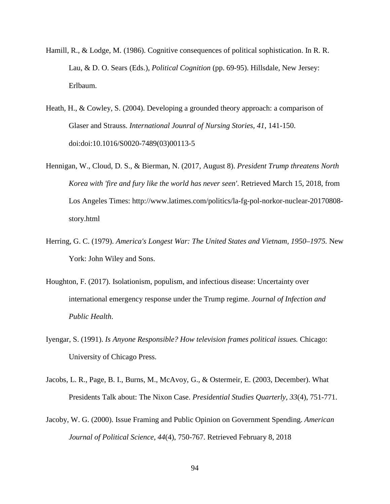- Hamill, R., & Lodge, M. (1986). Cognitive consequences of political sophistication. In R. R. Lau, & D. O. Sears (Eds.), *Political Cognition* (pp. 69-95). Hillsdale, New Jersey: Erlbaum.
- Heath, H., & Cowley, S. (2004). Developing a grounded theory approach: a comparison of Glaser and Strauss. *International Jounral of Nursing Stories, 41*, 141-150. doi:doi:10.1016/S0020-7489(03)00113-5
- Hennigan, W., Cloud, D. S., & Bierman, N. (2017, August 8). *President Trump threatens North Korea with 'fire and fury like the world has never seen'*. Retrieved March 15, 2018, from Los Angeles Times: http://www.latimes.com/politics/la-fg-pol-norkor-nuclear-20170808 story.html
- Herring, G. C. (1979). *America's Longest War: The United States and Vietnam, 1950–1975.* New York: John Wiley and Sons.
- Houghton, F. (2017). Isolationism, populism, and infectious disease: Uncertainty over international emergency response under the Trump regime. *Journal of Infection and Public Health*.
- Iyengar, S. (1991). *Is Anyone Responsible? How television frames political issues.* Chicago: University of Chicago Press.
- Jacobs, L. R., Page, B. I., Burns, M., McAvoy, G., & Ostermeir, E. (2003, December). What Presidents Talk about: The Nixon Case. *Presidential Studies Quarterly, 33*(4), 751-771.
- Jacoby, W. G. (2000). Issue Framing and Public Opinion on Government Spending. *American Journal of Political Science, 44*(4), 750-767. Retrieved February 8, 2018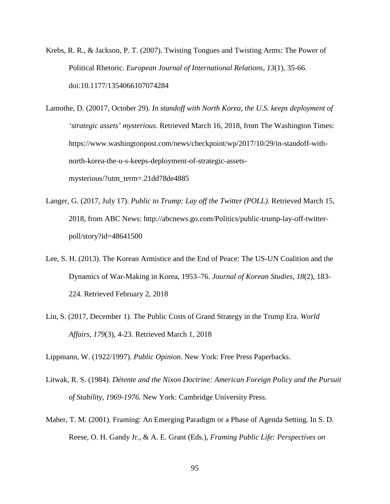- Krebs, R. R., & Jackson, P. T. (2007). Twisting Tongues and Twisting Arms: The Power of Political Rhetoric. *European Journal of International Relations, 13*(1), 35-66. doi:10.1177/1354066107074284
- Lamothe, D. (20017, October 29). *In standoff with North Korea, the U.S. keeps deployment of 'strategic assets' mysterious*. Retrieved March 16, 2018, from The Washington Times: https://www.washingtonpost.com/news/checkpoint/wp/2017/10/29/in-standoff-withnorth-korea-the-u-s-keeps-deployment-of-strategic-assetsmysterious/?utm\_term=.21dd78de4885
- Langer, G. (2017, July 17). *Public to Trump: Lay off the Twitter (POLL)*. Retrieved March 15, 2018, from ABC News: http://abcnews.go.com/Politics/public-trump-lay-off-twitterpoll/story?id=48641500
- Lee, S. H. (2013). The Korean Armistice and the End of Peace: The US-UN Coalition and the Dynamics of War-Making in Korea, 1953–76. *Journal of Korean Studies, 18*(2), 183- 224. Retrieved February 2, 2018
- Lin, S. (2017, December 1). The Public Costs of Grand Strategy in the Trump Era. *World Affairs, 179*(3), 4-23. Retrieved March 1, 2018

Lippmann, W. (1922/1997). *Public Opinion.* New York: Free Press Paperbacks.

- Litwak, R. S. (1984). *Détente and the Nixon Doctrine: American Foreign Policy and the Pursuit of Stability, 1969-1976.* New York: Cambridge University Press.
- Maher, T. M. (2001). Framing: An Emerging Paradigm or a Phase of Agenda Setting. In S. D. Reese, O. H. Gandy Jr., & A. E. Grant (Eds.), *Framing Public Life: Perspectives on*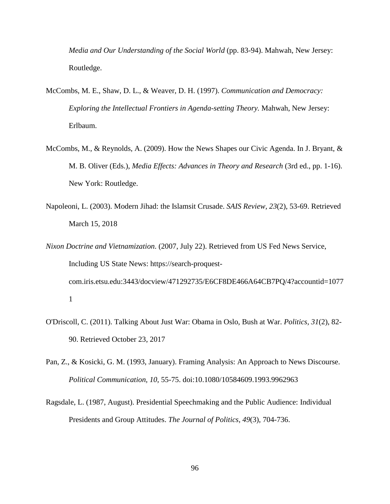*Media and Our Understanding of the Social World* (pp. 83-94). Mahwah, New Jersey: Routledge.

- McCombs, M. E., Shaw, D. L., & Weaver, D. H. (1997). *Communication and Democracy: Exploring the Intellectual Frontiers in Agenda-setting Theory.* Mahwah, New Jersey: Erlbaum.
- McCombs, M., & Reynolds, A. (2009). How the News Shapes our Civic Agenda. In J. Bryant, & M. B. Oliver (Eds.), *Media Effects: Advances in Theory and Research* (3rd ed., pp. 1-16). New York: Routledge.
- Napoleoni, L. (2003). Modern Jihad: the Islamsit Crusade. *SAIS Review, 23*(2), 53-69. Retrieved March 15, 2018
- *Nixon Doctrine and Vietnamization*. (2007, July 22). Retrieved from US Fed News Service, Including US State News: https://search-proquestcom.iris.etsu.edu:3443/docview/471292735/E6CF8DE466A64CB7PQ/4?accountid=1077 1
- O'Driscoll, C. (2011). Talking About Just War: Obama in Oslo, Bush at War. *Politics, 31*(2), 82- 90. Retrieved October 23, 2017
- Pan, Z., & Kosicki, G. M. (1993, January). Framing Analysis: An Approach to News Discourse. *Political Communication, 10*, 55-75. doi:10.1080/10584609.1993.9962963
- Ragsdale, L. (1987, August). Presidential Speechmaking and the Public Audience: Individual Presidents and Group Attitudes. *The Journal of Politics, 49*(3), 704-736.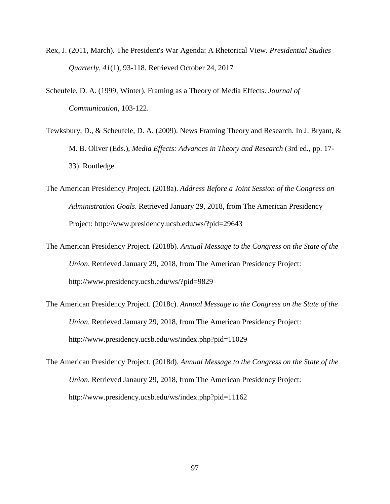- Rex, J. (2011, March). The President's War Agenda: A Rhetorical View. *Presidential Studies Quarterly, 41*(1), 93-118. Retrieved October 24, 2017
- Scheufele, D. A. (1999, Winter). Framing as a Theory of Media Effects. *Journal of Communication*, 103-122.
- Tewksbury, D., & Scheufele, D. A. (2009). News Framing Theory and Research. In J. Bryant, & M. B. Oliver (Eds.), *Media Effects: Advances in Theory and Research* (3rd ed., pp. 17- 33). Routledge.
- The American Presidency Project. (2018a). *Address Before a Joint Session of the Congress on Administration Goals*. Retrieved January 29, 2018, from The American Presidency Project: http://www.presidency.ucsb.edu/ws/?pid=29643
- The American Presidency Project. (2018b). *Annual Message to the Congress on the State of the Union*. Retrieved January 29, 2018, from The American Presidency Project: http://www.presidency.ucsb.edu/ws/?pid=9829
- The American Presidency Project. (2018c). *Annual Message to the Congress on the State of the Union*. Retrieved January 29, 2018, from The American Presidency Project: http://www.presidency.ucsb.edu/ws/index.php?pid=11029
- The American Presidency Project. (2018d). *Annual Message to the Congress on the State of the Union*. Retrieved Janaury 29, 2018, from The American Presidency Project: http://www.presidency.ucsb.edu/ws/index.php?pid=11162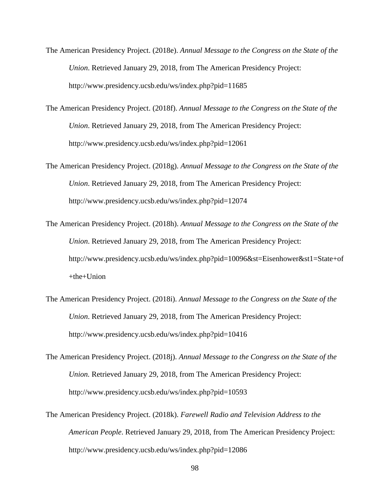- The American Presidency Project. (2018e). *Annual Message to the Congress on the State of the Union*. Retrieved January 29, 2018, from The American Presidency Project: http://www.presidency.ucsb.edu/ws/index.php?pid=11685
- The American Presidency Project. (2018f). *Annual Message to the Congress on the State of the Union*. Retrieved January 29, 2018, from The American Presidency Project: http://www.presidency.ucsb.edu/ws/index.php?pid=12061
- The American Presidency Project. (2018g). *Annual Message to the Congress on the State of the Union*. Retrieved January 29, 2018, from The American Presidency Project: http://www.presidency.ucsb.edu/ws/index.php?pid=12074
- The American Presidency Project. (2018h). *Annual Message to the Congress on the State of the Union*. Retrieved January 29, 2018, from The American Presidency Project: http://www.presidency.ucsb.edu/ws/index.php?pid=10096&st=Eisenhower&st1=State+of  $+$ the $+$ Union
- The American Presidency Project. (2018i). *Annual Message to the Congress on the State of the Union*. Retrieved January 29, 2018, from The American Presidency Project: http://www.presidency.ucsb.edu/ws/index.php?pid=10416
- The American Presidency Project. (2018j). *Annual Message to the Congress on the State of the Union.* Retrieved January 29, 2018, from The American Presidency Project: http://www.presidency.ucsb.edu/ws/index.php?pid=10593
- The American Presidency Project. (2018k). *Farewell Radio and Television Address to the American People*. Retrieved January 29, 2018, from The American Presidency Project: http://www.presidency.ucsb.edu/ws/index.php?pid=12086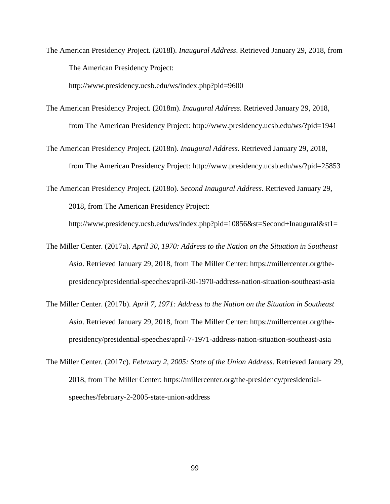The American Presidency Project. (2018l). *Inaugural Address*. Retrieved January 29, 2018, from The American Presidency Project:

http://www.presidency.ucsb.edu/ws/index.php?pid=9600

- The American Presidency Project. (2018m). *Inaugural Address*. Retrieved January 29, 2018, from The American Presidency Project: http://www.presidency.ucsb.edu/ws/?pid=1941
- The American Presidency Project. (2018n). *Inaugural Address*. Retrieved January 29, 2018, from The American Presidency Project: http://www.presidency.ucsb.edu/ws/?pid=25853

The American Presidency Project. (2018o). *Second Inaugural Address*. Retrieved January 29, 2018, from The American Presidency Project:

http://www.presidency.ucsb.edu/ws/index.php?pid=10856&st=Second+Inaugural&st1=

- The Miller Center. (2017a). *April 30, 1970: Address to the Nation on the Situation in Southeast Asia*. Retrieved January 29, 2018, from The Miller Center: https://millercenter.org/thepresidency/presidential-speeches/april-30-1970-address-nation-situation-southeast-asia
- The Miller Center. (2017b). *April 7, 1971: Address to the Nation on the Situation in Southeast Asia*. Retrieved January 29, 2018, from The Miller Center: https://millercenter.org/thepresidency/presidential-speeches/april-7-1971-address-nation-situation-southeast-asia
- The Miller Center. (2017c). *February 2, 2005: State of the Union Address*. Retrieved January 29, 2018, from The Miller Center: https://millercenter.org/the-presidency/presidentialspeeches/february-2-2005-state-union-address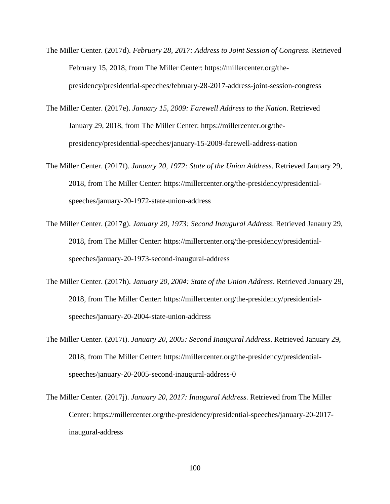- The Miller Center. (2017d). *February 28, 2017: Address to Joint Session of Congress*. Retrieved February 15, 2018, from The Miller Center: https://millercenter.org/thepresidency/presidential-speeches/february-28-2017-address-joint-session-congress
- The Miller Center. (2017e). *January 15, 2009: Farewell Address to the Nation*. Retrieved January 29, 2018, from The Miller Center: https://millercenter.org/thepresidency/presidential-speeches/january-15-2009-farewell-address-nation
- The Miller Center. (2017f). *January 20, 1972: State of the Union Address*. Retrieved January 29, 2018, from The Miller Center: https://millercenter.org/the-presidency/presidentialspeeches/january-20-1972-state-union-address
- The Miller Center. (2017g). *January 20, 1973: Second Inaugural Address*. Retrieved Janaury 29, 2018, from The Miller Center: https://millercenter.org/the-presidency/presidentialspeeches/january-20-1973-second-inaugural-address
- The Miller Center. (2017h). *January 20, 2004: State of the Union Address*. Retrieved January 29, 2018, from The Miller Center: https://millercenter.org/the-presidency/presidentialspeeches/january-20-2004-state-union-address
- The Miller Center. (2017i). *January 20, 2005: Second Inaugural Address*. Retrieved January 29, 2018, from The Miller Center: https://millercenter.org/the-presidency/presidentialspeeches/january-20-2005-second-inaugural-address-0
- The Miller Center. (2017j). *January 20, 2017: Inaugural Address*. Retrieved from The Miller Center: https://millercenter.org/the-presidency/presidential-speeches/january-20-2017 inaugural-address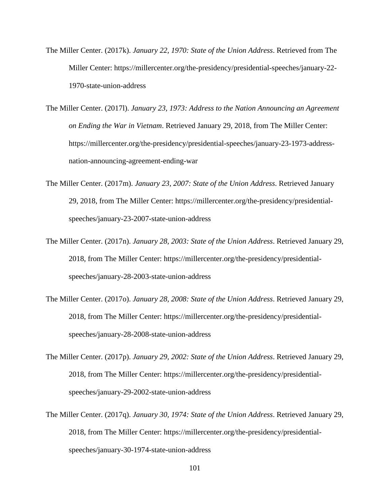- The Miller Center. (2017k). *January 22, 1970: State of the Union Address*. Retrieved from The Miller Center: https://millercenter.org/the-presidency/presidential-speeches/january-22- 1970-state-union-address
- The Miller Center. (2017l). *January 23, 1973: Address to the Nation Announcing an Agreement on Ending the War in Vietnam*. Retrieved January 29, 2018, from The Miller Center: https://millercenter.org/the-presidency/presidential-speeches/january-23-1973-addressnation-announcing-agreement-ending-war
- The Miller Center. (2017m). *January 23, 2007: State of the Union Address*. Retrieved January 29, 2018, from The Miller Center: https://millercenter.org/the-presidency/presidentialspeeches/january-23-2007-state-union-address
- The Miller Center. (2017n). *January 28, 2003: State of the Union Address*. Retrieved January 29, 2018, from The Miller Center: https://millercenter.org/the-presidency/presidentialspeeches/january-28-2003-state-union-address
- The Miller Center. (2017o). *January 28, 2008: State of the Union Address*. Retrieved January 29, 2018, from The Miller Center: https://millercenter.org/the-presidency/presidentialspeeches/january-28-2008-state-union-address
- The Miller Center. (2017p). *January 29, 2002: State of the Union Address*. Retrieved January 29, 2018, from The Miller Center: https://millercenter.org/the-presidency/presidentialspeeches/january-29-2002-state-union-address
- The Miller Center. (2017q). *January 30, 1974: State of the Union Address*. Retrieved January 29, 2018, from The Miller Center: https://millercenter.org/the-presidency/presidentialspeeches/january-30-1974-state-union-address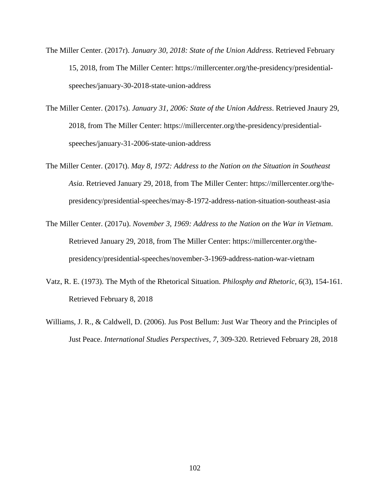- The Miller Center. (2017r). *January 30, 2018: State of the Union Address*. Retrieved February 15, 2018, from The Miller Center: https://millercenter.org/the-presidency/presidentialspeeches/january-30-2018-state-union-address
- The Miller Center. (2017s). *January 31, 2006: State of the Union Address*. Retrieved Jnaury 29, 2018, from The Miller Center: https://millercenter.org/the-presidency/presidentialspeeches/january-31-2006-state-union-address
- The Miller Center. (2017t). *May 8, 1972: Address to the Nation on the Situation in Southeast Asia*. Retrieved January 29, 2018, from The Miller Center: https://millercenter.org/thepresidency/presidential-speeches/may-8-1972-address-nation-situation-southeast-asia
- The Miller Center. (2017u). *November 3, 1969: Address to the Nation on the War in Vietnam*. Retrieved January 29, 2018, from The Miller Center: https://millercenter.org/thepresidency/presidential-speeches/november-3-1969-address-nation-war-vietnam
- Vatz, R. E. (1973). The Myth of the Rhetorical Situation. *Philosphy and Rhetoric, 6*(3), 154-161. Retrieved February 8, 2018
- Williams, J. R., & Caldwell, D. (2006). Jus Post Bellum: Just War Theory and the Principles of Just Peace. *International Studies Perspectives, 7*, 309-320. Retrieved February 28, 2018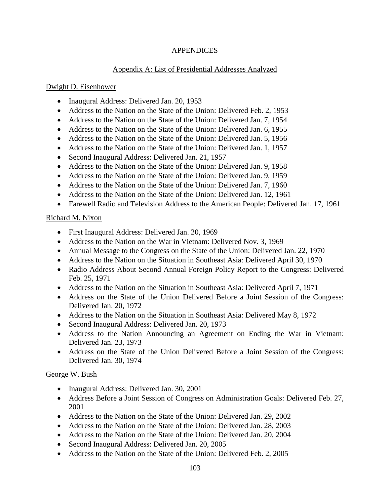# **APPENDICES**

# Appendix A: List of Presidential Addresses Analyzed

# Dwight D. Eisenhower

- Inaugural Address: Delivered Jan. 20, 1953
- Address to the Nation on the State of the Union: Delivered Feb. 2, 1953
- Address to the Nation on the State of the Union: Delivered Jan. 7, 1954
- Address to the Nation on the State of the Union: Delivered Jan. 6, 1955
- Address to the Nation on the State of the Union: Delivered Jan. 5, 1956
- Address to the Nation on the State of the Union: Delivered Jan. 1, 1957
- Second Inaugural Address: Delivered Jan. 21, 1957
- Address to the Nation on the State of the Union: Delivered Jan. 9, 1958
- Address to the Nation on the State of the Union: Delivered Jan. 9, 1959
- Address to the Nation on the State of the Union: Delivered Jan. 7, 1960
- Address to the Nation on the State of the Union: Delivered Jan. 12, 1961
- Farewell Radio and Television Address to the American People: Delivered Jan. 17, 1961

# Richard M. Nixon

- First Inaugural Address: Delivered Jan. 20, 1969
- Address to the Nation on the War in Vietnam: Delivered Nov. 3, 1969
- Annual Message to the Congress on the State of the Union: Delivered Jan. 22, 1970
- Address to the Nation on the Situation in Southeast Asia: Delivered April 30, 1970
- Radio Address About Second Annual Foreign Policy Report to the Congress: Delivered Feb. 25, 1971
- Address to the Nation on the Situation in Southeast Asia: Delivered April 7, 1971
- Address on the State of the Union Delivered Before a Joint Session of the Congress: Delivered Jan. 20, 1972
- Address to the Nation on the Situation in Southeast Asia: Delivered May 8, 1972
- Second Inaugural Address: Delivered Jan. 20, 1973
- Address to the Nation Announcing an Agreement on Ending the War in Vietnam: Delivered Jan. 23, 1973
- Address on the State of the Union Delivered Before a Joint Session of the Congress: Delivered Jan. 30, 1974

# George W. Bush

- Inaugural Address: Delivered Jan. 30, 2001
- Address Before a Joint Session of Congress on Administration Goals: Delivered Feb. 27, 2001
- Address to the Nation on the State of the Union: Delivered Jan. 29, 2002
- Address to the Nation on the State of the Union: Delivered Jan. 28, 2003
- Address to the Nation on the State of the Union: Delivered Jan. 20, 2004
- Second Inaugural Address: Delivered Jan. 20, 2005
- Address to the Nation on the State of the Union: Delivered Feb. 2, 2005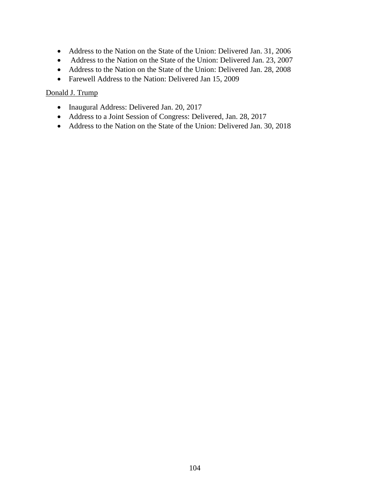- Address to the Nation on the State of the Union: Delivered Jan. 31, 2006
- Address to the Nation on the State of the Union: Delivered Jan. 23, 2007
- Address to the Nation on the State of the Union: Delivered Jan. 28, 2008
- Farewell Address to the Nation: Delivered Jan 15, 2009

# Donald J. Trump

- Inaugural Address: Delivered Jan. 20, 2017
- Address to a Joint Session of Congress: Delivered, Jan. 28, 2017
- Address to the Nation on the State of the Union: Delivered Jan. 30, 2018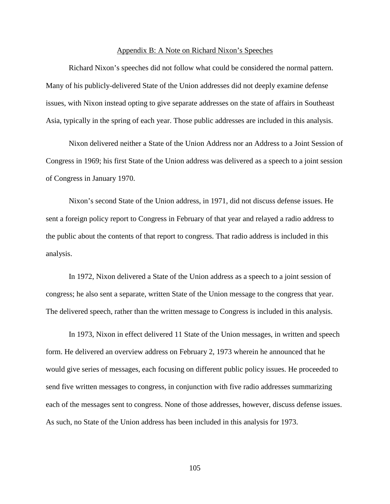#### Appendix B: A Note on Richard Nixon's Speeches

Richard Nixon's speeches did not follow what could be considered the normal pattern. Many of his publicly-delivered State of the Union addresses did not deeply examine defense issues, with Nixon instead opting to give separate addresses on the state of affairs in Southeast Asia, typically in the spring of each year. Those public addresses are included in this analysis.

Nixon delivered neither a State of the Union Address nor an Address to a Joint Session of Congress in 1969; his first State of the Union address was delivered as a speech to a joint session of Congress in January 1970.

Nixon's second State of the Union address, in 1971, did not discuss defense issues. He sent a foreign policy report to Congress in February of that year and relayed a radio address to the public about the contents of that report to congress. That radio address is included in this analysis.

In 1972, Nixon delivered a State of the Union address as a speech to a joint session of congress; he also sent a separate, written State of the Union message to the congress that year. The delivered speech, rather than the written message to Congress is included in this analysis.

In 1973, Nixon in effect delivered 11 State of the Union messages, in written and speech form. He delivered an overview address on February 2, 1973 wherein he announced that he would give series of messages, each focusing on different public policy issues. He proceeded to send five written messages to congress, in conjunction with five radio addresses summarizing each of the messages sent to congress. None of those addresses, however, discuss defense issues. As such, no State of the Union address has been included in this analysis for 1973.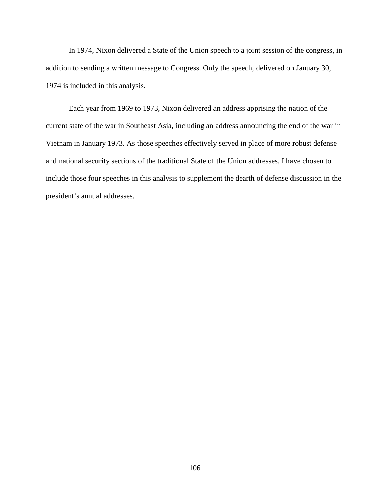In 1974, Nixon delivered a State of the Union speech to a joint session of the congress, in addition to sending a written message to Congress. Only the speech, delivered on January 30, 1974 is included in this analysis.

Each year from 1969 to 1973, Nixon delivered an address apprising the nation of the current state of the war in Southeast Asia, including an address announcing the end of the war in Vietnam in January 1973. As those speeches effectively served in place of more robust defense and national security sections of the traditional State of the Union addresses, I have chosen to include those four speeches in this analysis to supplement the dearth of defense discussion in the president's annual addresses.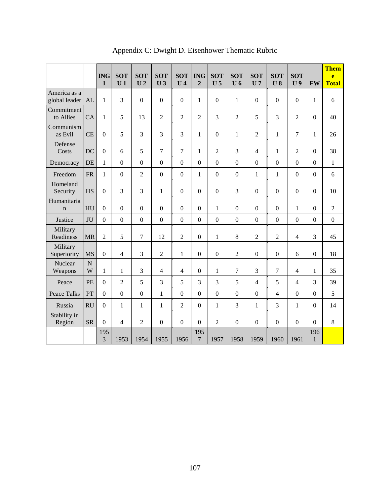|                                  |                  | <b>ING</b><br>$\mathbf{1}$ | <b>SOT</b><br>U <sub>1</sub> | <b>SOT</b><br>U <sub>2</sub> | <b>SOT</b><br>U <sub>3</sub> | <b>SOT</b><br>U <sub>4</sub> | <b>ING</b><br>$\overline{2}$ | <b>SOT</b><br>U <sub>5</sub> | <b>SOT</b><br>$U_6$ | <b>SOT</b><br>U <sub>7</sub> | <b>SOT</b><br>U <sub>8</sub> | <b>SOT</b><br>U <sub>9</sub> | <b>FW</b>           | <b>Them</b><br>e<br><b>Total</b> |
|----------------------------------|------------------|----------------------------|------------------------------|------------------------------|------------------------------|------------------------------|------------------------------|------------------------------|---------------------|------------------------------|------------------------------|------------------------------|---------------------|----------------------------------|
| America as a<br>global leader AL |                  | $\,1\,$                    | 3                            | $\boldsymbol{0}$             | $\boldsymbol{0}$             | $\boldsymbol{0}$             | $\mathbf{1}$                 | $\boldsymbol{0}$             | $\mathbf{1}$        | $\boldsymbol{0}$             | $\boldsymbol{0}$             | $\boldsymbol{0}$             | $\mathbf{1}$        | 6                                |
| Commitment<br>to Allies          | CA               | 1                          | 5                            | 13                           | $\overline{2}$               | $\overline{c}$               | $\overline{2}$               | 3                            | $\overline{c}$      | 5                            | 3                            | $\overline{2}$               | $\boldsymbol{0}$    | 40                               |
| Communism<br>as Evil             | <b>CE</b>        | $\overline{0}$             | 5                            | 3                            | 3                            | 3                            | 1                            | $\Omega$                     | $\mathbf{1}$        | $\overline{c}$               | 1                            | 7                            | 1                   | 26                               |
| Defense<br>Costs                 | DC               | $\mathbf{0}$               | 6                            | 5                            | $\overline{7}$               | 7                            | $\mathbf{1}$                 | $\overline{2}$               | 3                   | $\overline{4}$               | $\mathbf{1}$                 | $\overline{2}$               | $\overline{0}$      | 38                               |
| Democracy                        | DE               | $\mathbf{1}$               | $\overline{0}$               | $\boldsymbol{0}$             | $\overline{0}$               | $\boldsymbol{0}$             | $\overline{0}$               | $\overline{0}$               | $\boldsymbol{0}$    | $\mathbf{0}$                 | $\mathbf{0}$                 | $\overline{0}$               | $\overline{0}$      | $\mathbf{1}$                     |
| Freedom                          | <b>FR</b>        | $\mathbf{1}$               | $\overline{0}$               | $\overline{2}$               | $\boldsymbol{0}$             | $\overline{0}$               | $\mathbf 1$                  | $\overline{0}$               | $\boldsymbol{0}$    | $\mathbf{1}$                 | $\mathbf{1}$                 | $\overline{0}$               | $\mathbf{0}$        | 6                                |
| Homeland<br>Security             | HS               | $\boldsymbol{0}$           | 3                            | 3                            | $\mathbf{1}$                 | $\boldsymbol{0}$             | $\mathbf{0}$                 | $\boldsymbol{0}$             | 3                   | $\overline{0}$               | $\boldsymbol{0}$             | $\boldsymbol{0}$             | $\boldsymbol{0}$    | 10                               |
| Humanitaria<br>$\mathbf n$       | HU               | $\mathbf{0}$               | $\overline{0}$               | $\boldsymbol{0}$             | $\overline{0}$               | $\overline{0}$               | $\overline{0}$               | $\mathbf{1}$                 | $\boldsymbol{0}$    | $\overline{0}$               | $\overline{0}$               | $\mathbf{1}$                 | $\overline{0}$      | $\overline{2}$                   |
| Justice                          | JU               | $\boldsymbol{0}$           | $\overline{0}$               | $\boldsymbol{0}$             | $\overline{0}$               | $\overline{0}$               | $\boldsymbol{0}$             | $\boldsymbol{0}$             | $\boldsymbol{0}$    | $\boldsymbol{0}$             | $\mathbf{0}$                 | $\boldsymbol{0}$             | $\boldsymbol{0}$    | $\boldsymbol{0}$                 |
| Military<br>Readiness            | <b>MR</b>        | $\overline{2}$             | 5                            | $\tau$                       | 12                           | $\overline{2}$               | $\boldsymbol{0}$             | $\mathbf{1}$                 | $8\,$               | $\overline{c}$               | $\overline{2}$               | $\overline{4}$               | 3                   | 45                               |
| Military<br>Superiority          | <b>MS</b>        | $\mathbf{0}$               | 4                            | 3                            | $\overline{c}$               | $\mathbf{1}$                 | $\overline{0}$               | $\overline{0}$               | $\overline{2}$      | $\boldsymbol{0}$             | $\boldsymbol{0}$             | 6                            | $\boldsymbol{0}$    | 18                               |
| Nuclear<br>Weapons               | $\mathbf N$<br>W | $\mathbf{1}$               | $\mathbf{1}$                 | 3                            | $\overline{4}$               | $\overline{4}$               | $\boldsymbol{0}$             | $\mathbf{1}$                 | 7                   | 3                            | 7                            | $\overline{4}$               | $\mathbf{1}$        | 35                               |
| Peace                            | PE               | $\boldsymbol{0}$           | $\overline{2}$               | 5                            | 3                            | 5                            | 3                            | 3                            | 5                   | $\overline{4}$               | 5                            | $\overline{4}$               | 3                   | 39                               |
| <b>Peace Talks</b>               | PT               | $\overline{0}$             | $\overline{0}$               | $\boldsymbol{0}$             | $\mathbf{1}$                 | $\boldsymbol{0}$             | $\boldsymbol{0}$             | $\overline{0}$               | $\boldsymbol{0}$    | $\boldsymbol{0}$             | 4                            | $\boldsymbol{0}$             | $\boldsymbol{0}$    | 5                                |
| Russia                           | <b>RU</b>        | $\overline{0}$             | $\mathbf{1}$                 | $\mathbf{1}$                 | $\mathbf{1}$                 | $\overline{2}$               | $\overline{0}$               | $\mathbf{1}$                 | 3                   | $\mathbf{1}$                 | 3                            | $\mathbf{1}$                 | $\overline{0}$      | 14                               |
| Stability in<br>Region           | <b>SR</b>        | $\overline{0}$             | 4                            | $\overline{2}$               | $\overline{0}$               | $\overline{0}$               | $\overline{0}$               | $\overline{2}$               | $\boldsymbol{0}$    | $\overline{0}$               | $\mathbf{0}$                 | $\overline{0}$               | $\overline{0}$      | 8                                |
|                                  |                  | 195<br>3                   | 1953                         | 1954                         | 1955                         | 1956                         | 195<br>$\overline{7}$        | 1957                         | 1958                | 1959                         | 1960                         | 1961                         | 196<br>$\mathbf{1}$ |                                  |

Appendix C: Dwight D. Eisenhower Thematic Rubric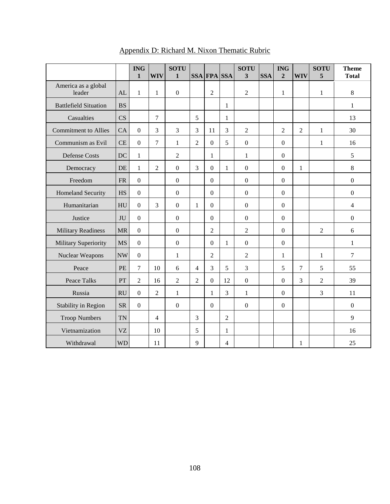|                              |                        | <b>ING</b><br>$\mathbf{1}$ | <b>WIV</b>     | <b>SOTU</b><br>1 |                | <b>SSA FPA SSA</b> |                | <b>SOTU</b><br>3 | <b>SSA</b> | <b>ING</b><br>$\overline{2}$ | <b>WIV</b>     | <b>SOTU</b><br>5 | <b>Theme</b><br><b>Total</b> |
|------------------------------|------------------------|----------------------------|----------------|------------------|----------------|--------------------|----------------|------------------|------------|------------------------------|----------------|------------------|------------------------------|
| America as a global          |                        |                            |                |                  |                |                    |                |                  |            |                              |                |                  |                              |
| leader                       | AL                     | $\mathbf{1}$               | $\mathbf{1}$   | $\boldsymbol{0}$ |                | $\overline{2}$     |                | $\overline{2}$   |            | $\mathbf{1}$                 |                | $\mathbf{1}$     | 8                            |
| <b>Battlefield Situation</b> | <b>BS</b>              |                            |                |                  |                |                    | 1              |                  |            |                              |                |                  | $\mathbf{1}$                 |
| Casualties                   | $\overline{\text{CS}}$ |                            | $\overline{7}$ |                  | 5              |                    | $\mathbf{1}$   |                  |            |                              |                |                  | 13                           |
| <b>Commitment to Allies</b>  | CA                     | $\mathbf{0}$               | 3              | 3                | 3              | 11                 | 3              | $\overline{2}$   |            | $\overline{2}$               | $\overline{2}$ | $\mathbf{1}$     | 30                           |
| Communism as Evil            | CE                     | $\mathbf{0}$               | 7              | $\mathbf{1}$     | $\overline{2}$ | $\mathbf{0}$       | 5              | $\overline{0}$   |            | $\mathbf{0}$                 |                | 1                | 16                           |
| <b>Defense Costs</b>         | DC                     | $\mathbf{1}$               |                | $\overline{c}$   |                | $\mathbf{1}$       |                | $\mathbf{1}$     |            | $\boldsymbol{0}$             |                |                  | 5                            |
| Democracy                    | DE                     | 1                          | $\overline{2}$ | $\mathbf{0}$     | 3              | $\boldsymbol{0}$   | $\mathbf{1}$   | $\overline{0}$   |            | $\boldsymbol{0}$             | $\mathbf{1}$   |                  | 8                            |
| Freedom                      | <b>FR</b>              | $\mathbf{0}$               |                | $\boldsymbol{0}$ |                | $\boldsymbol{0}$   |                | $\boldsymbol{0}$ |            | $\boldsymbol{0}$             |                |                  | $\boldsymbol{0}$             |
| <b>Homeland Security</b>     | <b>HS</b>              | $\overline{0}$             |                | $\boldsymbol{0}$ |                | $\boldsymbol{0}$   |                | $\mathbf{0}$     |            | $\mathbf{0}$                 |                |                  | $\boldsymbol{0}$             |
| Humanitarian                 | HU                     | $\theta$                   | 3              | $\overline{0}$   | $\mathbf{1}$   | $\overline{0}$     |                | $\boldsymbol{0}$ |            | $\boldsymbol{0}$             |                |                  | $\overline{4}$               |
| Justice                      | JU                     | $\mathbf{0}$               |                | $\boldsymbol{0}$ |                | $\boldsymbol{0}$   |                | $\boldsymbol{0}$ |            | $\boldsymbol{0}$             |                |                  | $\boldsymbol{0}$             |
| <b>Military Readiness</b>    | <b>MR</b>              | $\mathbf{0}$               |                | $\overline{0}$   |                | $\overline{2}$     |                | $\overline{2}$   |            | $\overline{0}$               |                | $\overline{2}$   | 6                            |
| Military Superiority         | <b>MS</b>              | $\mathbf{0}$               |                | $\boldsymbol{0}$ |                | $\boldsymbol{0}$   | $\mathbf{1}$   | $\mathbf{0}$     |            | $\boldsymbol{0}$             |                |                  | $\mathbf{1}$                 |
| Nuclear Weapons              | <b>NW</b>              | $\mathbf{0}$               |                | $\mathbf{1}$     |                | $\overline{2}$     |                | $\overline{2}$   |            | $\mathbf{1}$                 |                | $\mathbf{1}$     | $\overline{7}$               |
| Peace                        | <b>PE</b>              | $7\phantom{.0}$            | 10             | 6                | $\overline{4}$ | $\overline{3}$     | 5              | $\overline{3}$   |            | 5                            | 7              | 5                | 55                           |
| <b>Peace Talks</b>           | PT                     | $\overline{2}$             | 16             | $\overline{2}$   | $\overline{2}$ | $\boldsymbol{0}$   | 12             | $\mathbf{0}$     |            | $\boldsymbol{0}$             | 3              | $\overline{2}$   | 39                           |
| Russia                       | <b>RU</b>              | $\theta$                   | $\overline{2}$ | $\mathbf{1}$     |                | $\mathbf{1}$       | 3              | $\mathbf{1}$     |            | $\boldsymbol{0}$             |                | 3                | 11                           |
| Stability in Region          | <b>SR</b>              | $\mathbf{0}$               |                | $\boldsymbol{0}$ |                | $\overline{0}$     |                | $\mathbf{0}$     |            | $\boldsymbol{0}$             |                |                  | $\boldsymbol{0}$             |
| <b>Troop Numbers</b>         | <b>TN</b>              |                            | $\overline{4}$ |                  | 3              |                    | $\overline{2}$ |                  |            |                              |                |                  | 9                            |
| Vietnamization               | <b>VZ</b>              |                            | 10             |                  | 5              |                    | 1              |                  |            |                              |                |                  | 16                           |
| Withdrawal                   | <b>WD</b>              |                            | 11             |                  | 9              |                    | 4              |                  |            |                              | 1              |                  | 25                           |

## Appendix D: Richard M. Nixon Thematic Rubric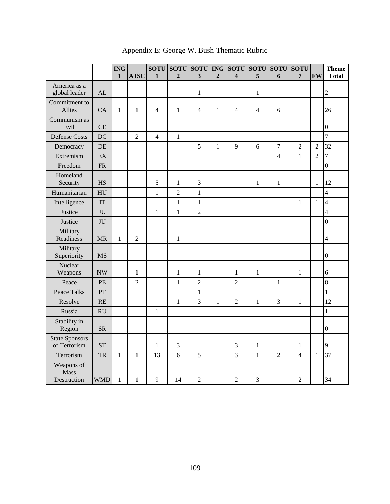|                                          |            | <b>ING</b><br>$\mathbf{1}$ | <b>AJSC</b>    | <b>SOTU</b><br>$\mathbf{1}$ | <b>SOTU</b><br>$\overline{2}$ | <b>SOTU</b><br>$\overline{\mathbf{3}}$ | <b>ING</b><br>$\overline{2}$ | <b>SOTU</b><br>$\overline{\mathbf{4}}$ | <b>SOTU</b><br>5 | <b>SOTU</b><br>6 | <b>SOTU</b><br>7 | <b>FW</b>      | <b>Theme</b><br><b>Total</b> |
|------------------------------------------|------------|----------------------------|----------------|-----------------------------|-------------------------------|----------------------------------------|------------------------------|----------------------------------------|------------------|------------------|------------------|----------------|------------------------------|
| America as a<br>global leader            | AL         |                            |                |                             |                               | $\mathbf{1}$                           |                              |                                        | $\mathbf{1}$     |                  |                  |                | $\overline{2}$               |
| Commitment to<br>Allies                  | CA         | $\mathbf 1$                | $\mathbf{1}$   | $\overline{4}$              | $\mathbf{1}$                  | $\overline{4}$                         | $\mathbf{1}$                 | $\overline{4}$                         | $\overline{4}$   | 6                |                  |                | 26                           |
| Communism as<br>Evil                     | CE         |                            |                |                             |                               |                                        |                              |                                        |                  |                  |                  |                | $\boldsymbol{0}$             |
| <b>Defense Costs</b>                     | DC         |                            | $\overline{2}$ | $\overline{4}$              | $\mathbf{1}$                  |                                        |                              |                                        |                  |                  |                  |                | $\overline{7}$               |
| Democracy                                | DE         |                            |                |                             |                               | 5                                      | $\,1\,$                      | 9                                      | 6                | $\boldsymbol{7}$ | $\overline{2}$   | $\overline{2}$ | 32                           |
| Extremism                                | EX         |                            |                |                             |                               |                                        |                              |                                        |                  | $\overline{4}$   | $\mathbf{1}$     | $\overline{2}$ | $\overline{7}$               |
| Freedom                                  | ${\sf FR}$ |                            |                |                             |                               |                                        |                              |                                        |                  |                  |                  |                | $\overline{0}$               |
| Homeland<br>Security                     | <b>HS</b>  |                            |                | 5                           | $\mathbf{1}$                  | 3                                      |                              |                                        | $\mathbf{1}$     | $\,1$            |                  | $\mathbf{1}$   | 12                           |
| Humanitarian                             | HU         |                            |                | $\mathbbm{1}$               | $\overline{2}$                | $\mathbf{1}$                           |                              |                                        |                  |                  |                  |                | 4                            |
| Intelligence                             | IT         |                            |                |                             | $\mathbf{1}$                  | $\mathbf{1}$                           |                              |                                        |                  |                  | $\mathbf{1}$     | $\mathbf{1}$   | $\overline{\mathbf{4}}$      |
| Justice                                  | JU         |                            |                | $\mathbf{1}$                | $\mathbf{1}$                  | $\overline{c}$                         |                              |                                        |                  |                  |                  |                | $\overline{4}$               |
| Justice                                  | JU         |                            |                |                             |                               |                                        |                              |                                        |                  |                  |                  |                | $\overline{0}$               |
| Military<br>Readiness                    | <b>MR</b>  | $\mathbf{1}$               | $\overline{2}$ |                             | $\mathbf{1}$                  |                                        |                              |                                        |                  |                  |                  |                | 4                            |
| Military<br>Superiority                  | <b>MS</b>  |                            |                |                             |                               |                                        |                              |                                        |                  |                  |                  |                | $\mathbf{0}$                 |
| Nuclear<br>Weapons                       | <b>NW</b>  |                            | $\mathbf{1}$   |                             | $\mathbf{1}$                  | $\mathbf{1}$                           |                              | $\mathbf{1}$                           | $\mathbf{1}$     |                  | $\mathbf{1}$     |                | 6                            |
| Peace                                    | <b>PE</b>  |                            | $\overline{2}$ |                             | $\mathbf{1}$                  | $\overline{2}$                         |                              | $\overline{2}$                         |                  | 1                |                  |                | 8                            |
| <b>Peace Talks</b>                       | PT         |                            |                |                             |                               | $\mathbf{1}$                           |                              |                                        |                  |                  |                  |                | $\mathbf{1}$                 |
| Resolve                                  | RE         |                            |                |                             | $\mathbf{1}$                  | 3                                      | $\,1$                        | $\overline{2}$                         | $\,1$            | $\mathfrak{Z}$   | $\,1$            |                | 12                           |
| Russia                                   | RU         |                            |                | $\mathbf{1}$                |                               |                                        |                              |                                        |                  |                  |                  |                | $\mathbf{1}$                 |
| Stability in<br>Region                   | ${\rm SR}$ |                            |                |                             |                               |                                        |                              |                                        |                  |                  |                  |                | $\boldsymbol{0}$             |
| <b>State Sponsors</b><br>of Terrorism    | <b>ST</b>  |                            |                | $\mathbf{1}$                | $\mathfrak{Z}$                |                                        |                              | 3                                      | $\,1$            |                  | $\mathbf{1}$     |                | 9                            |
| Terrorism                                | <b>TR</b>  | $\mathbf{1}$               | $\mathbf{1}$   | 13                          | 6                             | 5                                      |                              | $\overline{3}$                         | $\mathbf{1}$     | $\overline{2}$   | $\overline{4}$   | $\mathbf{1}$   | 37                           |
| Weapons of<br><b>Mass</b><br>Destruction | <b>WMD</b> | $\,1\,$                    | $\mathbf{1}$   | 9                           | 14                            | $\overline{2}$                         |                              | $\overline{2}$                         | $\mathfrak{Z}$   |                  | $\overline{2}$   |                | 34                           |

## Appendix E: George W. Bush Thematic Rubric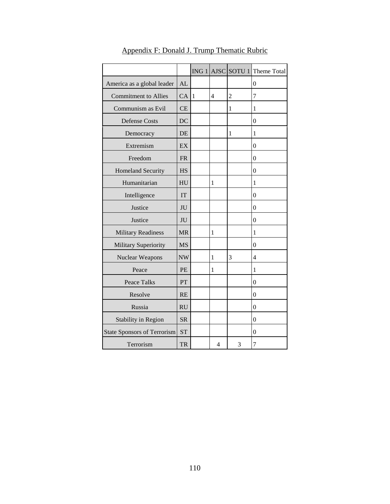|                                    |           |              |                |                | $ING 1$ AJSC SOTU 1 Theme Total |
|------------------------------------|-----------|--------------|----------------|----------------|---------------------------------|
| America as a global leader         | AL        |              |                |                | $\boldsymbol{0}$                |
| <b>Commitment to Allies</b>        | CA        | $\mathbf{1}$ | $\overline{4}$ | $\overline{c}$ | 7                               |
| Communism as Evil                  | CE        |              |                | 1              | 1                               |
| <b>Defense Costs</b>               | DC        |              |                |                | $\boldsymbol{0}$                |
| Democracy                          | DE        |              |                | $\mathbf{1}$   | 1                               |
| Extremism                          | EX        |              |                |                | $\boldsymbol{0}$                |
| Freedom                            | <b>FR</b> |              |                |                | $\boldsymbol{0}$                |
| Homeland Security                  | <b>HS</b> |              |                |                | $\boldsymbol{0}$                |
| Humanitarian                       | HU        |              | $\mathbf{1}$   |                | 1                               |
| Intelligence                       | <b>IT</b> |              |                |                | $\boldsymbol{0}$                |
| Justice                            | $\rm JU$  |              |                |                | $\overline{0}$                  |
| Justice                            | JU        |              |                |                | $\overline{0}$                  |
| <b>Military Readiness</b>          | <b>MR</b> |              | $\mathbf{1}$   |                | 1                               |
| Military Superiority               | <b>MS</b> |              |                |                | $\overline{0}$                  |
| Nuclear Weapons                    | <b>NW</b> |              | $\mathbf{1}$   | 3              | 4                               |
| Peace                              | <b>PE</b> |              | $\mathbf{1}$   |                | $\mathbf{1}$                    |
| Peace Talks                        | PT        |              |                |                | 0                               |
| Resolve                            | RE        |              |                |                | $\boldsymbol{0}$                |
| Russia                             | RU        |              |                |                | $\boldsymbol{0}$                |
| Stability in Region                | <b>SR</b> |              |                |                | 0                               |
| <b>State Sponsors of Terrorism</b> | <b>ST</b> |              |                |                | 0                               |
| Terrorism                          | <b>TR</b> |              | 4              | 3              | 7                               |

Appendix F: Donald J. Trump Thematic Rubric